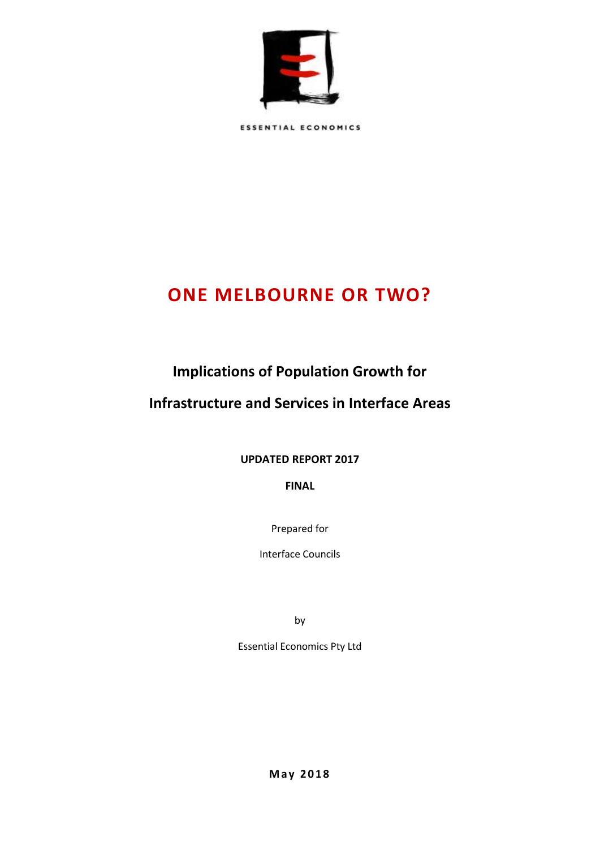

**ESSENTIAL ECONOMICS** 

# **ONE MELBOURNE OR TWO?**

# **Implications of Population Growth for**

### **Infrastructure and Services in Interface Areas**

**UPDATED REPORT 2017**

**FINAL** 

Prepared for

Interface Councils

by

Essential Economics Pty Ltd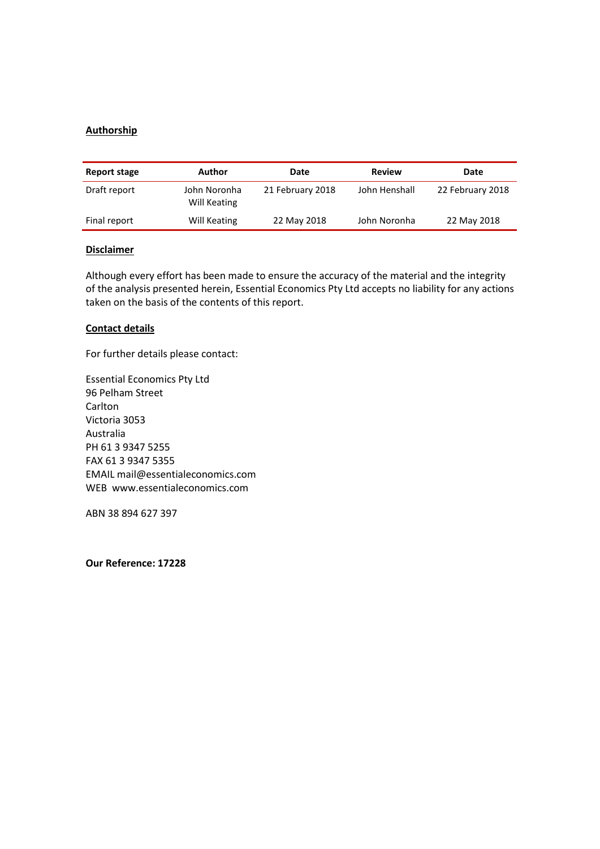#### **Authorship**

| Report stage | Author                       | Date             | <b>Review</b> | Date             |
|--------------|------------------------------|------------------|---------------|------------------|
| Draft report | John Noronha<br>Will Keating | 21 February 2018 | John Henshall | 22 February 2018 |
| Final report | Will Keating                 | 22 May 2018      | John Noronha  | 22 May 2018      |

#### **Disclaimer**

Although every effort has been made to ensure the accuracy of the material and the integrity of the analysis presented herein, Essential Economics Pty Ltd accepts no liability for any actions taken on the basis of the contents of this report.

#### **Contact details**

For further details please contact:

Essential Economics Pty Ltd 96 Pelham Street Carlton Victoria 3053 Australia PH 61 3 9347 5255 FAX 61 3 9347 5355 EMAIL mail@essentialeconomics.com WEB www.essentialeconomics.com

ABN 38 894 627 397

**Our Reference: 17228**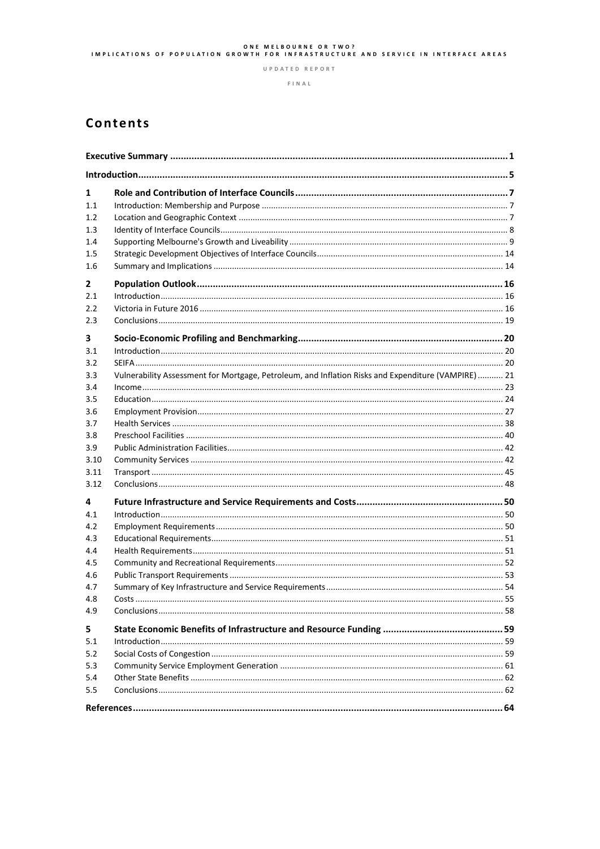# ONE MELBOURNE OR TWO?<br>IMPLICATIONS OF POPULATION GROWTH FOR INFRASTRUCTURE AND SERVICE IN INTERFACE AREAS

UPDATED REPORT

 $F \mid N A L$ 

## Contents

| 1<br>1.1<br>1.2<br>1.3<br>1.4<br>1.5<br>1.6 |                                                                                                    |  |
|---------------------------------------------|----------------------------------------------------------------------------------------------------|--|
| $\mathbf{2}$<br>2.1<br>2.2<br>2.3           |                                                                                                    |  |
| 3<br>3.1<br>3.2                             |                                                                                                    |  |
| 3.3<br>3.4<br>3.5                           | Vulnerability Assessment for Mortgage, Petroleum, and Inflation Risks and Expenditure (VAMPIRE) 21 |  |
| 3.6<br>3.7<br>3.8                           |                                                                                                    |  |
| 3.9<br>3.10<br>3.11<br>3.12                 |                                                                                                    |  |
| 4                                           |                                                                                                    |  |
| 4.1<br>4.2<br>4.3<br>4.4                    |                                                                                                    |  |
| 4.5<br>4.6<br>4.7                           |                                                                                                    |  |
| 4.8<br>4.9                                  |                                                                                                    |  |
| 5<br>5.1<br>5.2<br>5.3<br>5.4               |                                                                                                    |  |
| 5.5                                         |                                                                                                    |  |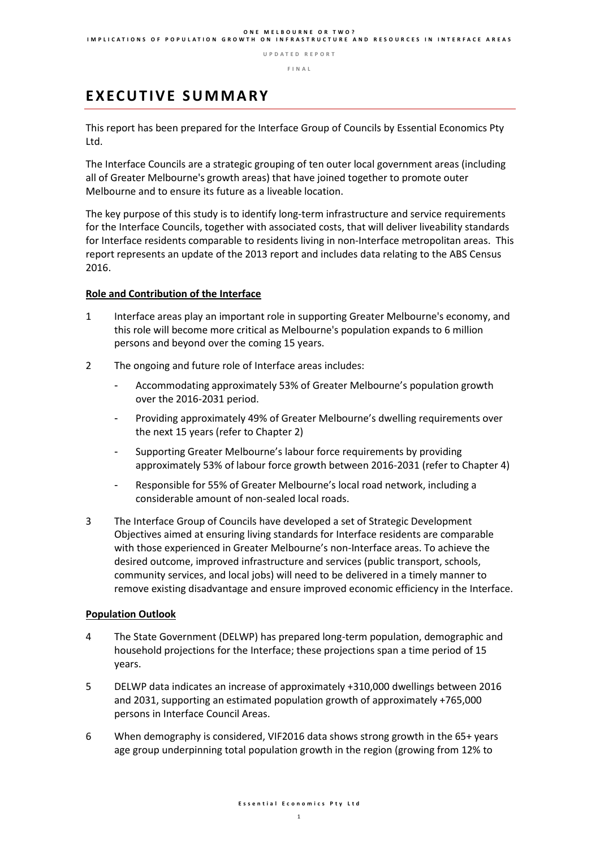**F I N A L** 

## **E X E C U T I V E S U M M A R Y**

This report has been prepared for the Interface Group of Councils by Essential Economics Pty Ltd.

The Interface Councils are a strategic grouping of ten outer local government areas (including all of Greater Melbourne's growth areas) that have joined together to promote outer Melbourne and to ensure its future as a liveable location.

The key purpose of this study is to identify long-term infrastructure and service requirements for the Interface Councils, together with associated costs, that will deliver liveability standards for Interface residents comparable to residents living in non-Interface metropolitan areas. This report represents an update of the 2013 report and includes data relating to the ABS Census 2016.

#### **Role and Contribution of the Interface**

- 1 Interface areas play an important role in supporting Greater Melbourne's economy, and this role will become more critical as Melbourne's population expands to 6 million persons and beyond over the coming 15 years.
- 2 The ongoing and future role of Interface areas includes:
	- Accommodating approximately 53% of Greater Melbourne's population growth over the 2016-2031 period.
	- Providing approximately 49% of Greater Melbourne's dwelling requirements over the next 15 years (refer to Chapter 2)
	- Supporting Greater Melbourne's labour force requirements by providing approximately 53% of labour force growth between 2016-2031 (refer to Chapter 4)
	- Responsible for 55% of Greater Melbourne's local road network, including a considerable amount of non-sealed local roads.
- 3 The Interface Group of Councils have developed a set of Strategic Development Objectives aimed at ensuring living standards for Interface residents are comparable with those experienced in Greater Melbourne's non-Interface areas. To achieve the desired outcome, improved infrastructure and services (public transport, schools, community services, and local jobs) will need to be delivered in a timely manner to remove existing disadvantage and ensure improved economic efficiency in the Interface.

#### **Population Outlook**

- 4 The State Government (DELWP) has prepared long-term population, demographic and household projections for the Interface; these projections span a time period of 15 years.
- 5 DELWP data indicates an increase of approximately +310,000 dwellings between 2016 and 2031, supporting an estimated population growth of approximately +765,000 persons in Interface Council Areas.
- 6 When demography is considered, VIF2016 data shows strong growth in the 65+ years age group underpinning total population growth in the region (growing from 12% to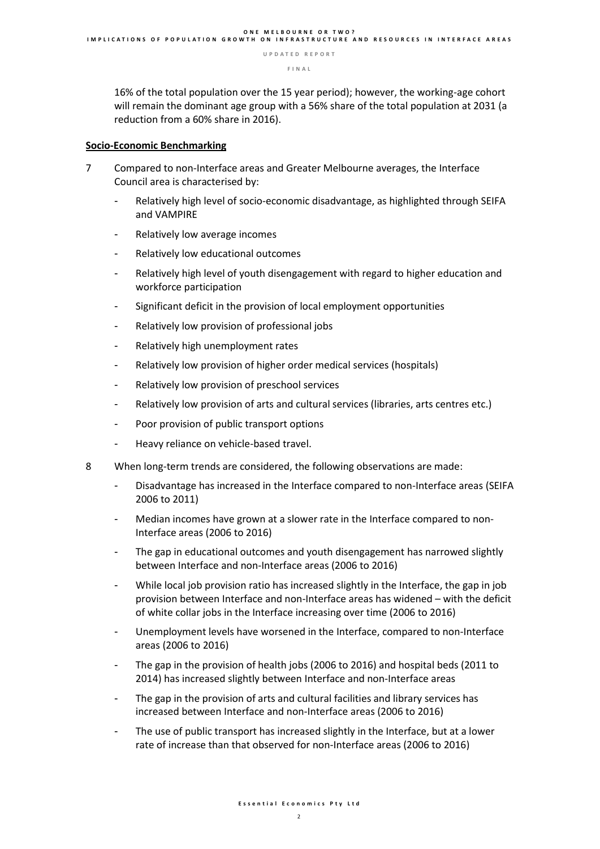16% of the total population over the 15 year period); however, the working-age cohort will remain the dominant age group with a 56% share of the total population at 2031 (a reduction from a 60% share in 2016).

#### **Socio-Economic Benchmarking**

- 7 Compared to non-Interface areas and Greater Melbourne averages, the Interface Council area is characterised by:
	- Relatively high level of socio-economic disadvantage, as highlighted through SEIFA and VAMPIRE
	- Relatively low average incomes
	- Relatively low educational outcomes
	- Relatively high level of youth disengagement with regard to higher education and workforce participation
	- Significant deficit in the provision of local employment opportunities
	- Relatively low provision of professional jobs
	- Relatively high unemployment rates
	- Relatively low provision of higher order medical services (hospitals)
	- Relatively low provision of preschool services
	- Relatively low provision of arts and cultural services (libraries, arts centres etc.)
	- Poor provision of public transport options
	- Heavy reliance on vehicle-based travel.
- 8 When long-term trends are considered, the following observations are made:
	- Disadvantage has increased in the Interface compared to non-Interface areas (SEIFA 2006 to 2011)
	- Median incomes have grown at a slower rate in the Interface compared to non-Interface areas (2006 to 2016)
	- The gap in educational outcomes and youth disengagement has narrowed slightly between Interface and non-Interface areas (2006 to 2016)
	- While local job provision ratio has increased slightly in the Interface, the gap in job provision between Interface and non-Interface areas has widened – with the deficit of white collar jobs in the Interface increasing over time (2006 to 2016)
	- Unemployment levels have worsened in the Interface, compared to non-Interface areas (2006 to 2016)
	- The gap in the provision of health jobs (2006 to 2016) and hospital beds (2011 to 2014) has increased slightly between Interface and non-Interface areas
	- The gap in the provision of arts and cultural facilities and library services has increased between Interface and non-Interface areas (2006 to 2016)
	- The use of public transport has increased slightly in the Interface, but at a lower rate of increase than that observed for non-Interface areas (2006 to 2016)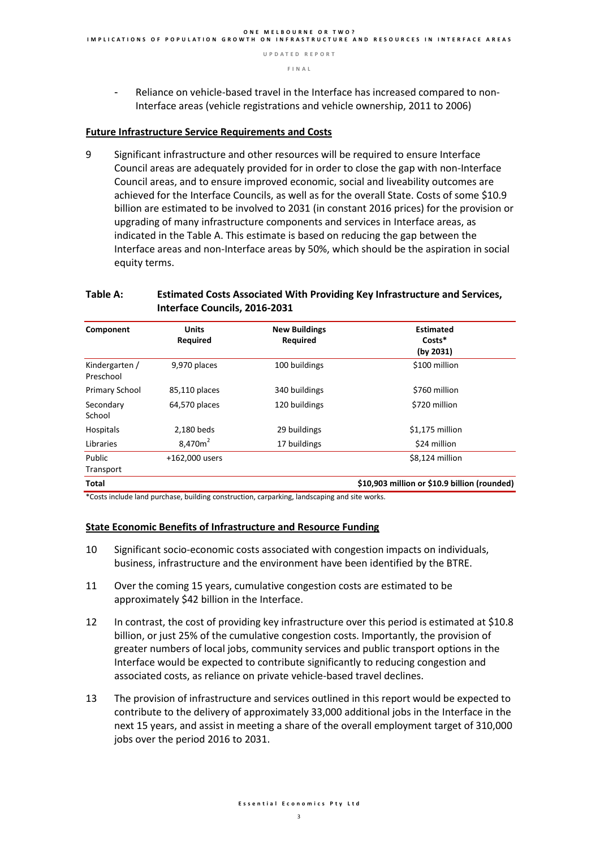- Reliance on vehicle-based travel in the Interface has increased compared to non-Interface areas (vehicle registrations and vehicle ownership, 2011 to 2006)

#### **Future Infrastructure Service Requirements and Costs**

9 Significant infrastructure and other resources will be required to ensure Interface Council areas are adequately provided for in order to close the gap with non-Interface Council areas, and to ensure improved economic, social and liveability outcomes are achieved for the Interface Councils, as well as for the overall State. Costs of some \$10.9 billion are estimated to be involved to 2031 (in constant 2016 prices) for the provision or upgrading of many infrastructure components and services in Interface areas, as indicated in the Table A. This estimate is based on reducing the gap between the Interface areas and non-Interface areas by 50%, which should be the aspiration in social equity terms.

#### **Table A: Estimated Costs Associated With Providing Key Infrastructure and Services, Interface Councils, 2016-2031**

| Component                   | <b>Units</b><br>Required        | <b>New Buildings</b><br>Required | <b>Estimated</b><br>Costs*<br>(by 2031)      |
|-----------------------------|---------------------------------|----------------------------------|----------------------------------------------|
| Kindergarten /<br>Preschool | 9,970 places                    | 100 buildings                    | \$100 million                                |
| <b>Primary School</b>       | 85,110 places                   | 340 buildings                    | \$760 million                                |
| Secondary<br>School         | 64,570 places                   | 120 buildings                    | \$720 million                                |
| Hospitals                   | 2,180 beds                      | 29 buildings                     | \$1,175 million                              |
| Libraries                   | 8,470 <sub>m</sub> <sup>2</sup> | 17 buildings                     | \$24 million                                 |
| Public<br>Transport         | +162,000 users                  |                                  | \$8,124 million                              |
| Total                       |                                 |                                  | \$10,903 million or \$10.9 billion (rounded) |

\*Costs include land purchase, building construction, carparking, landscaping and site works.

#### **State Economic Benefits of Infrastructure and Resource Funding**

- 10 Significant socio-economic costs associated with congestion impacts on individuals, business, infrastructure and the environment have been identified by the BTRE.
- 11 Over the coming 15 years, cumulative congestion costs are estimated to be approximately \$42 billion in the Interface.
- 12 In contrast, the cost of providing key infrastructure over this period is estimated at \$10.8 billion, or just 25% of the cumulative congestion costs. Importantly, the provision of greater numbers of local jobs, community services and public transport options in the Interface would be expected to contribute significantly to reducing congestion and associated costs, as reliance on private vehicle-based travel declines.
- 13 The provision of infrastructure and services outlined in this report would be expected to contribute to the delivery of approximately 33,000 additional jobs in the Interface in the next 15 years, and assist in meeting a share of the overall employment target of 310,000 jobs over the period 2016 to 2031.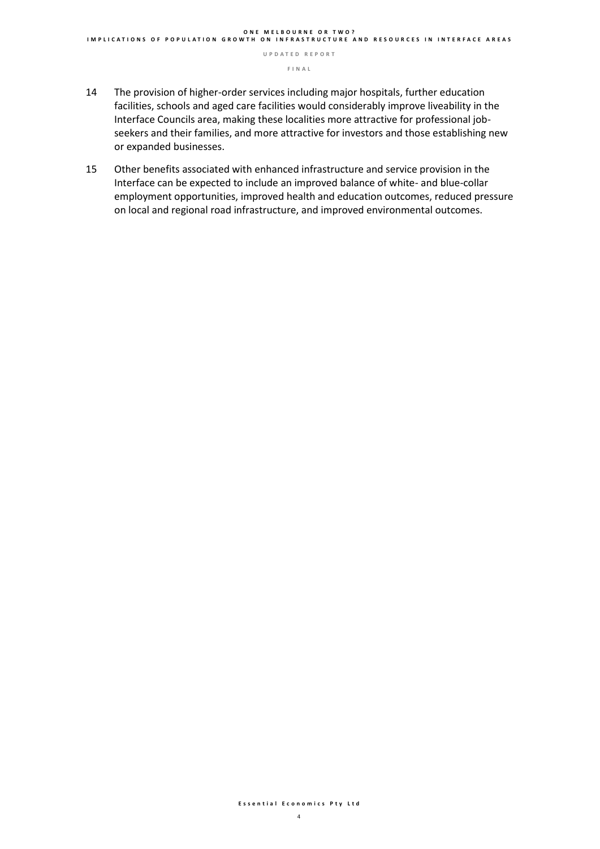- 14 The provision of higher-order services including major hospitals, further education facilities, schools and aged care facilities would considerably improve liveability in the Interface Councils area, making these localities more attractive for professional jobseekers and their families, and more attractive for investors and those establishing new or expanded businesses.
- 15 Other benefits associated with enhanced infrastructure and service provision in the Interface can be expected to include an improved balance of white- and blue-collar employment opportunities, improved health and education outcomes, reduced pressure on local and regional road infrastructure, and improved environmental outcomes.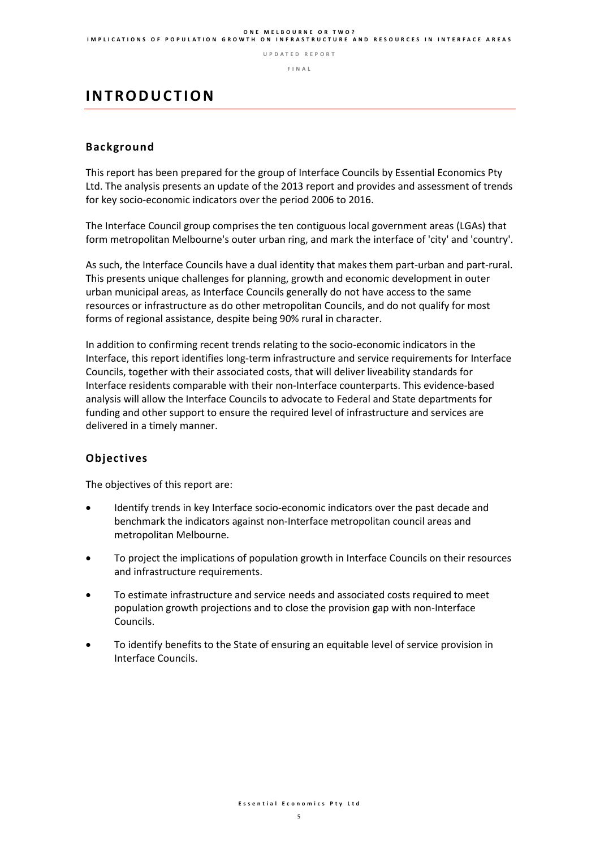#### **O N E M E L B O U R N E O R T W O ? I M P L I C A T I O N S O F P O P U L A T I O N G R O W T H O N I N F R A S T R U C T U R E A N D R E S O U R C E S I N I N T E R F A C E A R E A S**

**U P D A T E D R E P O R T**

**F I N A L** 

### **I N T R O D U C T I O N**

#### **Background**

This report has been prepared for the group of Interface Councils by Essential Economics Pty Ltd. The analysis presents an update of the 2013 report and provides and assessment of trends for key socio-economic indicators over the period 2006 to 2016.

The Interface Council group comprises the ten contiguous local government areas (LGAs) that form metropolitan Melbourne's outer urban ring, and mark the interface of 'city' and 'country'.

As such, the Interface Councils have a dual identity that makes them part-urban and part-rural. This presents unique challenges for planning, growth and economic development in outer urban municipal areas, as Interface Councils generally do not have access to the same resources or infrastructure as do other metropolitan Councils, and do not qualify for most forms of regional assistance, despite being 90% rural in character.

In addition to confirming recent trends relating to the socio-economic indicators in the Interface, this report identifies long-term infrastructure and service requirements for Interface Councils, together with their associated costs, that will deliver liveability standards for Interface residents comparable with their non-Interface counterparts. This evidence-based analysis will allow the Interface Councils to advocate to Federal and State departments for funding and other support to ensure the required level of infrastructure and services are delivered in a timely manner.

#### **Objectives**

The objectives of this report are:

- Identify trends in key Interface socio-economic indicators over the past decade and benchmark the indicators against non-Interface metropolitan council areas and metropolitan Melbourne.
- To project the implications of population growth in Interface Councils on their resources and infrastructure requirements.
- To estimate infrastructure and service needs and associated costs required to meet population growth projections and to close the provision gap with non-Interface Councils.
- To identify benefits to the State of ensuring an equitable level of service provision in Interface Councils.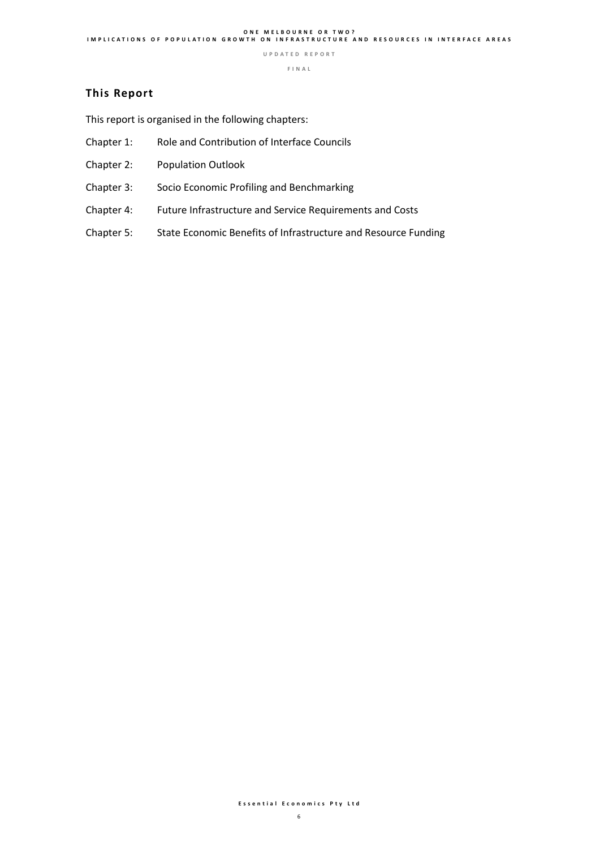**F I N A L** 

#### **This Report**

This report is organised in the following chapters:

- Chapter 1: Role and Contribution of Interface Councils
- Chapter 2: Population Outlook
- Chapter 3: Socio Economic Profiling and Benchmarking
- Chapter 4: Future Infrastructure and Service Requirements and Costs
- Chapter 5: State Economic Benefits of Infrastructure and Resource Funding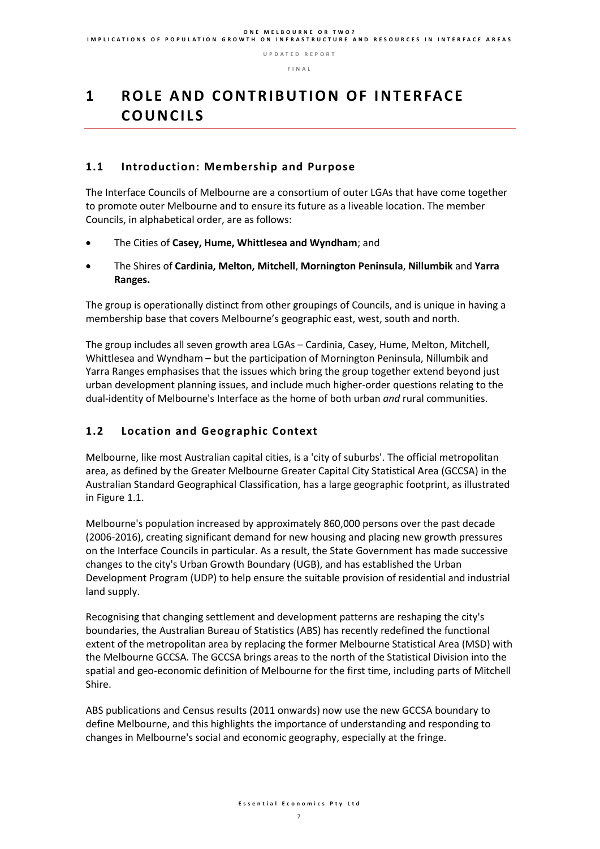# **1 R O L E A N D C O N T R I B U T I O N O F I N T E R FA C E C O U N C I L S**

### **1.1 Introduction: Membership and Purpose**

The Interface Councils of Melbourne are a consortium of outer LGAs that have come together to promote outer Melbourne and to ensure its future as a liveable location. The member Councils, in alphabetical order, are as follows:

- The Cities of **Casey, Hume, Whittlesea and Wyndham**; and
- The Shires of **Cardinia, Melton, Mitchell**, **Mornington Peninsula**, **Nillumbik** and **Yarra Ranges.**

The group is operationally distinct from other groupings of Councils, and is unique in having a membership base that covers Melbourne's geographic east, west, south and north.

The group includes all seven growth area LGAs – Cardinia, Casey, Hume, Melton, Mitchell, Whittlesea and Wyndham – but the participation of Mornington Peninsula, Nillumbik and Yarra Ranges emphasises that the issues which bring the group together extend beyond just urban development planning issues, and include much higher-order questions relating to the dual-identity of Melbourne's Interface as the home of both urban *and* rural communities.

### **1.2 Location and Geographic Context**

Melbourne, like most Australian capital cities, is a 'city of suburbs'. The official metropolitan area, as defined by the Greater Melbourne Greater Capital City Statistical Area (GCCSA) in the Australian Standard Geographical Classification, has a large geographic footprint, as illustrated in Figure 1.1.

Melbourne's population increased by approximately 860,000 persons over the past decade (2006-2016), creating significant demand for new housing and placing new growth pressures on the Interface Councils in particular. As a result, the State Government has made successive changes to the city's Urban Growth Boundary (UGB), and has established the Urban Development Program (UDP) to help ensure the suitable provision of residential and industrial land supply.

Recognising that changing settlement and development patterns are reshaping the city's boundaries, the Australian Bureau of Statistics (ABS) has recently redefined the functional extent of the metropolitan area by replacing the former Melbourne Statistical Area (MSD) with the Melbourne GCCSA. The GCCSA brings areas to the north of the Statistical Division into the spatial and geo-economic definition of Melbourne for the first time, including parts of Mitchell Shire.

ABS publications and Census results (2011 onwards) now use the new GCCSA boundary to define Melbourne, and this highlights the importance of understanding and responding to changes in Melbourne's social and economic geography, especially at the fringe.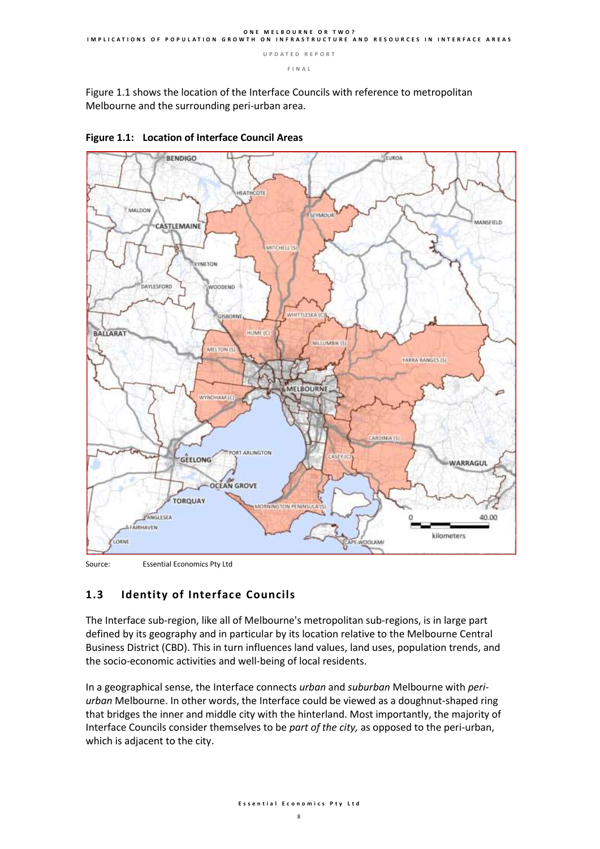Figure 1.1 shows the location of the Interface Councils with reference to metropolitan Melbourne and the surrounding peri-urban area.





Source: Essential Economics Pty Ltd

### **1.3 Identity of Interface Councils**

The Interface sub-region, like all of Melbourne's metropolitan sub-regions, is in large part defined by its geography and in particular by its location relative to the Melbourne Central Business District (CBD). This in turn influences land values, land uses, population trends, and the socio-economic activities and well-being of local residents.

In a geographical sense, the Interface connects *urban* and *suburban* Melbourne with *periurban* Melbourne. In other words, the Interface could be viewed as a doughnut-shaped ring that bridges the inner and middle city with the hinterland. Most importantly, the majority of Interface Councils consider themselves to be *part of the city,* as opposed to the peri-urban, which is adjacent to the city.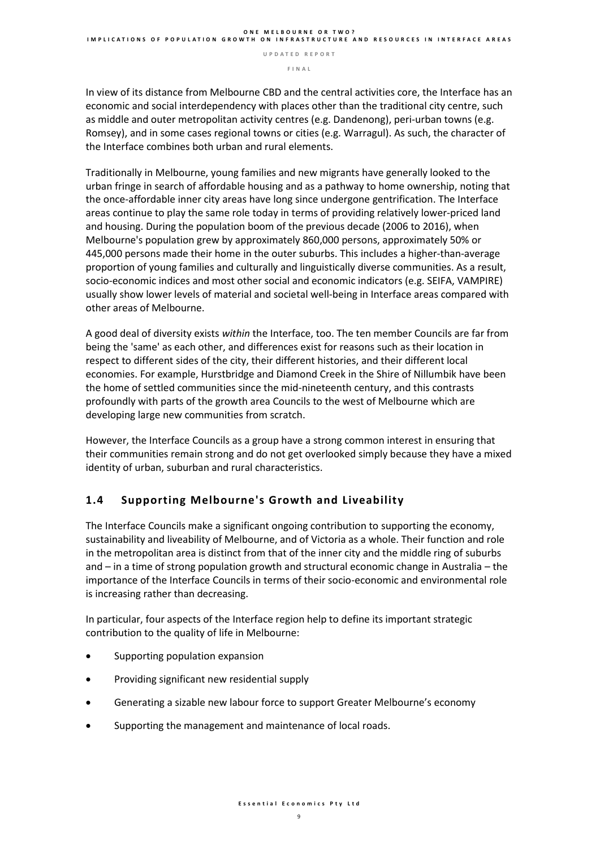**F I N A L** 

In view of its distance from Melbourne CBD and the central activities core, the Interface has an economic and social interdependency with places other than the traditional city centre, such as middle and outer metropolitan activity centres (e.g. Dandenong), peri-urban towns (e.g. Romsey), and in some cases regional towns or cities (e.g. Warragul). As such, the character of the Interface combines both urban and rural elements.

Traditionally in Melbourne, young families and new migrants have generally looked to the urban fringe in search of affordable housing and as a pathway to home ownership, noting that the once-affordable inner city areas have long since undergone gentrification. The Interface areas continue to play the same role today in terms of providing relatively lower-priced land and housing. During the population boom of the previous decade (2006 to 2016), when Melbourne's population grew by approximately 860,000 persons, approximately 50% or 445,000 persons made their home in the outer suburbs. This includes a higher-than-average proportion of young families and culturally and linguistically diverse communities. As a result, socio-economic indices and most other social and economic indicators (e.g. SEIFA, VAMPIRE) usually show lower levels of material and societal well-being in Interface areas compared with other areas of Melbourne.

A good deal of diversity exists *within* the Interface, too. The ten member Councils are far from being the 'same' as each other, and differences exist for reasons such as their location in respect to different sides of the city, their different histories, and their different local economies. For example, Hurstbridge and Diamond Creek in the Shire of Nillumbik have been the home of settled communities since the mid-nineteenth century, and this contrasts profoundly with parts of the growth area Councils to the west of Melbourne which are developing large new communities from scratch.

However, the Interface Councils as a group have a strong common interest in ensuring that their communities remain strong and do not get overlooked simply because they have a mixed identity of urban, suburban and rural characteristics.

### **1.4 Supporting Melbourne's Growth and Liveability**

The Interface Councils make a significant ongoing contribution to supporting the economy, sustainability and liveability of Melbourne, and of Victoria as a whole. Their function and role in the metropolitan area is distinct from that of the inner city and the middle ring of suburbs and – in a time of strong population growth and structural economic change in Australia – the importance of the Interface Councils in terms of their socio-economic and environmental role is increasing rather than decreasing.

In particular, four aspects of the Interface region help to define its important strategic contribution to the quality of life in Melbourne:

- Supporting population expansion
- Providing significant new residential supply
- Generating a sizable new labour force to support Greater Melbourne's economy
- Supporting the management and maintenance of local roads.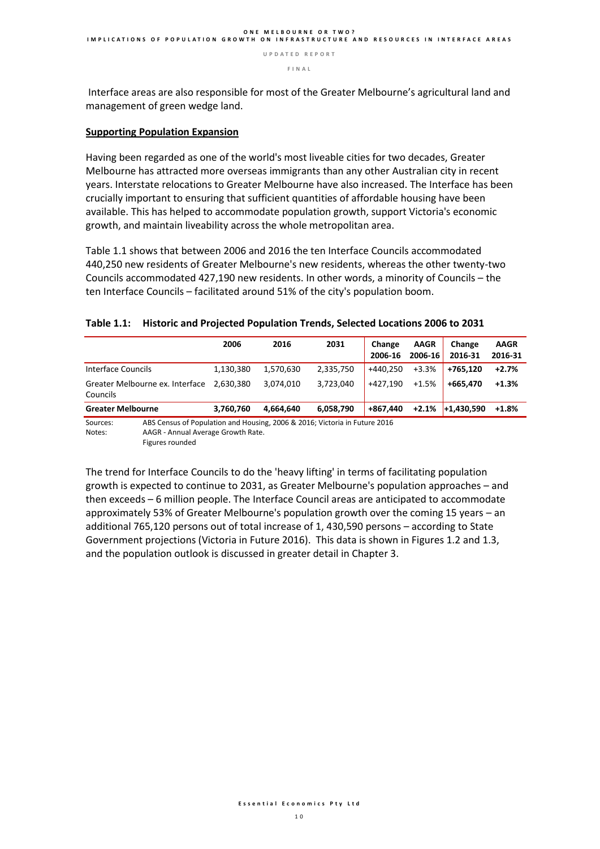**F I N A L** 

Interface areas are also responsible for most of the Greater Melbourne's agricultural land and management of green wedge land.

#### **Supporting Population Expansion**

Having been regarded as one of the world's most liveable cities for two decades, Greater Melbourne has attracted more overseas immigrants than any other Australian city in recent years. Interstate relocations to Greater Melbourne have also increased. The Interface has been crucially important to ensuring that sufficient quantities of affordable housing have been available. This has helped to accommodate population growth, support Victoria's economic growth, and maintain liveability across the whole metropolitan area.

Table 1.1 shows that between 2006 and 2016 the ten Interface Councils accommodated 440,250 new residents of Greater Melbourne's new residents, whereas the other twenty-two Councils accommodated 427,190 new residents. In other words, a minority of Councils – the ten Interface Councils – facilitated around 51% of the city's population boom.

|                                                                                        | 2006      | 2016      | 2031      | Change<br>2006-16 | <b>AAGR</b><br>2006-16 | Change<br>2016-31 | <b>AAGR</b><br>2016-31 |
|----------------------------------------------------------------------------------------|-----------|-----------|-----------|-------------------|------------------------|-------------------|------------------------|
| Interface Councils                                                                     | 1,130,380 | 1.570.630 | 2,335,750 | +440.250          | $+3.3%$                | +765.120          | $+2.7%$                |
| Greater Melbourne ex. Interface<br>Councils                                            | 2.630.380 | 3.074.010 | 3,723,040 | +427.190          | $+1.5%$                | +665.470          | $+1.3%$                |
| <b>Greater Melbourne</b>                                                               | 3.760.760 | 4.664.640 | 6,058,790 | +867.440          | $+2.1%$                | $+1.430.590$      | $+1.8%$                |
| ABS Census of Population and Housing, 2006 & 2016; Victoria in Future 2016<br>Sources: |           |           |           |                   |                        |                   |                        |

#### **Table 1.1: Historic and Projected Population Trends, Selected Locations 2006 to 2031**

Sources: ABS Census of Population and Housing, 2006 & 2016; Victoria in Future 2016 Notes: AAGR - Annual Average Growth Rate. Figures rounded

The trend for Interface Councils to do the 'heavy lifting' in terms of facilitating population growth is expected to continue to 2031, as Greater Melbourne's population approaches – and then exceeds – 6 million people. The Interface Council areas are anticipated to accommodate approximately 53% of Greater Melbourne's population growth over the coming 15 years – an additional 765,120 persons out of total increase of 1, 430,590 persons – according to State Government projections (Victoria in Future 2016). This data is shown in Figures 1.2 and 1.3, and the population outlook is discussed in greater detail in Chapter 3.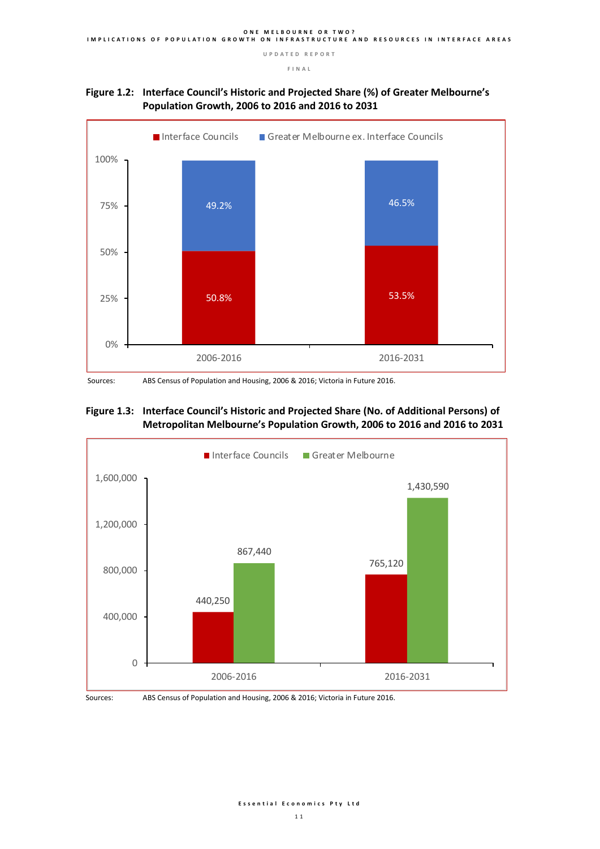





Sources: ABS Census of Population and Housing, 2006 & 2016; Victoria in Future 2016.

#### **Figure 1.3: Interface Council's Historic and Projected Share (No. of Additional Persons) of Metropolitan Melbourne's Population Growth, 2006 to 2016 and 2016 to 2031**





Sources: ABS Census of Population and Housing, 2006 & 2016; Victoria in Future 2016.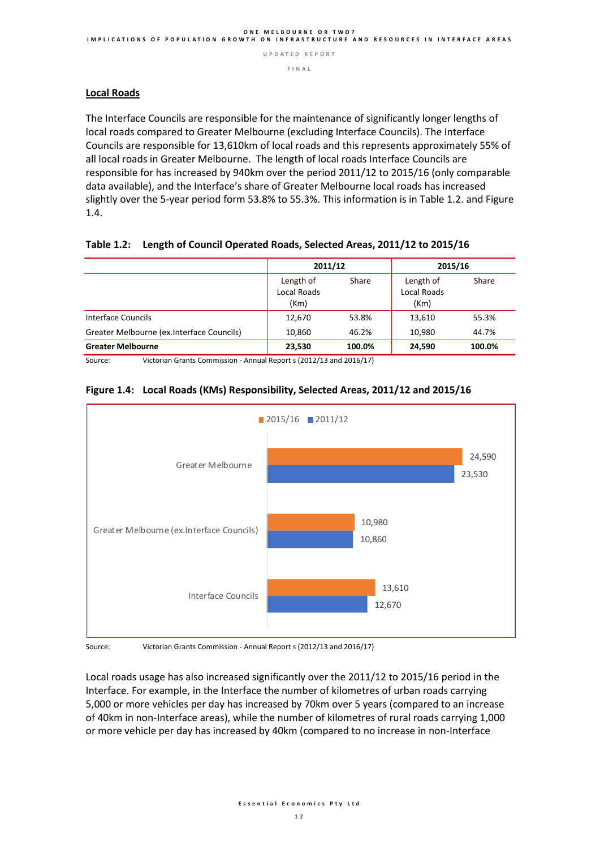**F I N A L** 

#### **Local Roads**

The Interface Councils are responsible for the maintenance of significantly longer lengths of local roads compared to Greater Melbourne (excluding Interface Councils). The Interface Councils are responsible for 13,610km of local roads and this represents approximately 55% of all local roads in Greater Melbourne. The length of local roads Interface Councils are responsible for has increased by 940km over the period 2011/12 to 2015/16 (only comparable data available), and the Interface's share of Greater Melbourne local roads has increased slightly over the 5-year period form 53.8% to 55.3%. This information is in Table 1.2. and Figure 1.4.

#### **Table 1.2: Length of Council Operated Roads, Selected Areas, 2011/12 to 2015/16**

|                                            | 2011/12                                 |        | 2015/16                                 |        |  |
|--------------------------------------------|-----------------------------------------|--------|-----------------------------------------|--------|--|
|                                            | Length of<br><b>Local Roads</b><br>(Km) | Share  | Length of<br><b>Local Roads</b><br>(Km) | Share  |  |
| Interface Councils                         | 12.670                                  | 53.8%  | 13,610                                  | 55.3%  |  |
| Greater Melbourne (ex. Interface Councils) | 10,860                                  | 46.2%  | 10.980                                  | 44.7%  |  |
| <b>Greater Melbourne</b>                   | 23.530                                  | 100.0% | 24.590                                  | 100.0% |  |

Source: Victorian Grants Commission - Annual Report s (2012/13 and 2016/17)

#### **Figure 1.4: Local Roads (KMs) Responsibility, Selected Areas, 2011/12 and 2015/16**



Source: Victorian Grants Commission - Annual Report s (2012/13 and 2016/17)

Local roads usage has also increased significantly over the 2011/12 to 2015/16 period in the Interface. For example, in the Interface the number of kilometres of urban roads carrying 5,000 or more vehicles per day has increased by 70km over 5 years (compared to an increase of 40km in non-Interface areas), while the number of kilometres of rural roads carrying 1,000 or more vehicle per day has increased by 40km (compared to no increase in non-Interface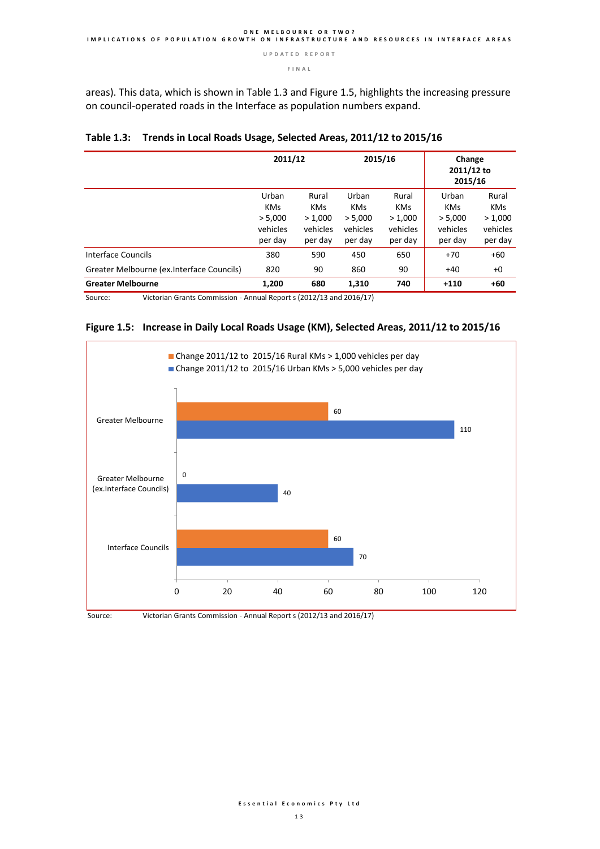#### **F I N A L**

areas). This data, which is shown in Table 1.3 and Figure 1.5, highlights the increasing pressure on council-operated roads in the Interface as population numbers expand.

|                                            | 2011/12                                               |                                                       | 2015/16                                               |                                                       | Change<br>2011/12 to<br>2015/16                       |                                                       |
|--------------------------------------------|-------------------------------------------------------|-------------------------------------------------------|-------------------------------------------------------|-------------------------------------------------------|-------------------------------------------------------|-------------------------------------------------------|
|                                            | Urban<br><b>KMs</b><br>> 5,000<br>vehicles<br>per day | Rural<br><b>KMs</b><br>> 1,000<br>vehicles<br>per day | Urban<br><b>KMs</b><br>> 5,000<br>vehicles<br>per day | Rural<br><b>KMs</b><br>> 1,000<br>vehicles<br>per day | Urban<br><b>KMs</b><br>> 5,000<br>vehicles<br>per day | Rural<br><b>KMs</b><br>> 1,000<br>vehicles<br>per day |
| Interface Councils                         | 380                                                   | 590                                                   | 450                                                   | 650                                                   | $+70$                                                 | $+60$                                                 |
| Greater Melbourne (ex. Interface Councils) | 820                                                   | 90                                                    | 860                                                   | 90                                                    | $+40$                                                 | $+0$                                                  |
| <b>Greater Melbourne</b>                   | 1,200                                                 | 680                                                   | 1,310                                                 | 740                                                   | $+110$                                                | $+60$                                                 |

|  | Table 1.3: Trends in Local Roads Usage, Selected Areas, 2011/12 to 2015/16 |  |  |  |  |
|--|----------------------------------------------------------------------------|--|--|--|--|
|--|----------------------------------------------------------------------------|--|--|--|--|

Source: Victorian Grants Commission - Annual Report s (2012/13 and 2016/17)





Source: Victorian Grants Commission - Annual Report s (2012/13 and 2016/17)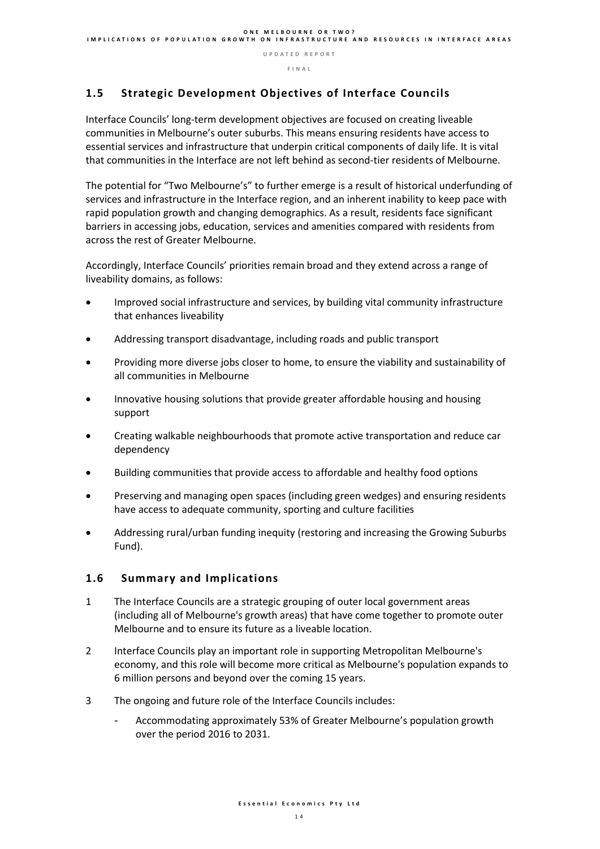### **1.5 Strategic Development Objectives of Interface Councils**

Interface Councils' long-term development objectives are focused on creating liveable communities in Melbourne's outer suburbs. This means ensuring residents have access to essential services and infrastructure that underpin critical components of daily life. It is vital that communities in the Interface are not left behind as second-tier residents of Melbourne.

The potential for "Two Melbourne's" to further emerge is a result of historical underfunding of services and infrastructure in the Interface region, and an inherent inability to keep pace with rapid population growth and changing demographics. As a result, residents face significant barriers in accessing jobs, education, services and amenities compared with residents from across the rest of Greater Melbourne.

Accordingly, Interface Councils' priorities remain broad and they extend across a range of liveability domains, as follows:

- Improved social infrastructure and services, by building vital community infrastructure that enhances liveability
- Addressing transport disadvantage, including roads and public transport
- Providing more diverse jobs closer to home, to ensure the viability and sustainability of all communities in Melbourne
- Innovative housing solutions that provide greater affordable housing and housing support
- Creating walkable neighbourhoods that promote active transportation and reduce car dependency
- Building communities that provide access to affordable and healthy food options
- Preserving and managing open spaces (including green wedges) and ensuring residents have access to adequate community, sporting and culture facilities
- Addressing rural/urban funding inequity (restoring and increasing the Growing Suburbs Fund).

#### **1.6 Summary and Implications**

- 1 The Interface Councils are a strategic grouping of outer local government areas (including all of Melbourne's growth areas) that have come together to promote outer Melbourne and to ensure its future as a liveable location.
- 2 Interface Councils play an important role in supporting Metropolitan Melbourne's economy, and this role will become more critical as Melbourne's population expands to 6 million persons and beyond over the coming 15 years.
- 3 The ongoing and future role of the Interface Councils includes:
	- Accommodating approximately 53% of Greater Melbourne's population growth over the period 2016 to 2031.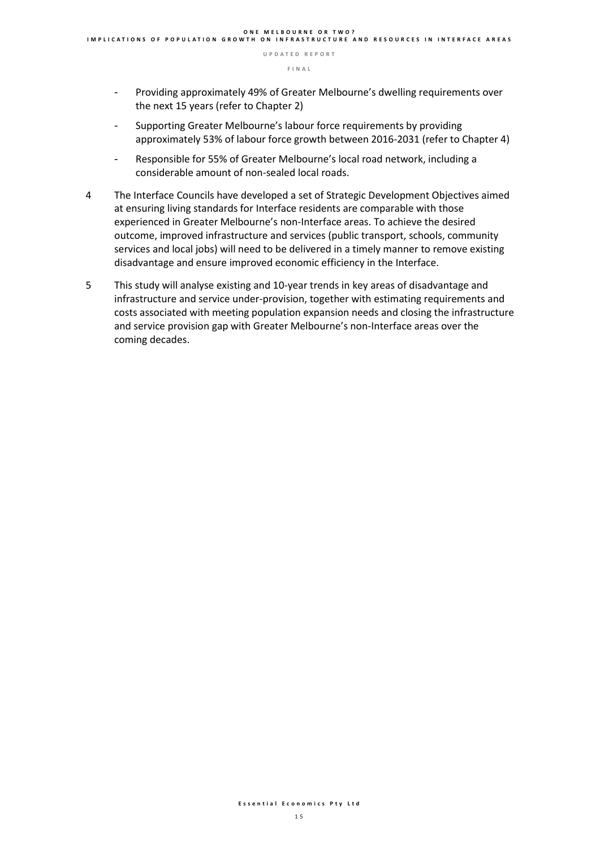- Providing approximately 49% of Greater Melbourne's dwelling requirements over the next 15 years (refer to Chapter 2)
- Supporting Greater Melbourne's labour force requirements by providing approximately 53% of labour force growth between 2016-2031 (refer to Chapter 4)
- Responsible for 55% of Greater Melbourne's local road network, including a considerable amount of non-sealed local roads.
- 4 The Interface Councils have developed a set of Strategic Development Objectives aimed at ensuring living standards for Interface residents are comparable with those experienced in Greater Melbourne's non-Interface areas. To achieve the desired outcome, improved infrastructure and services (public transport, schools, community services and local jobs) will need to be delivered in a timely manner to remove existing disadvantage and ensure improved economic efficiency in the Interface.
- 5 This study will analyse existing and 10-year trends in key areas of disadvantage and infrastructure and service under-provision, together with estimating requirements and costs associated with meeting population expansion needs and closing the infrastructure and service provision gap with Greater Melbourne's non-Interface areas over the coming decades.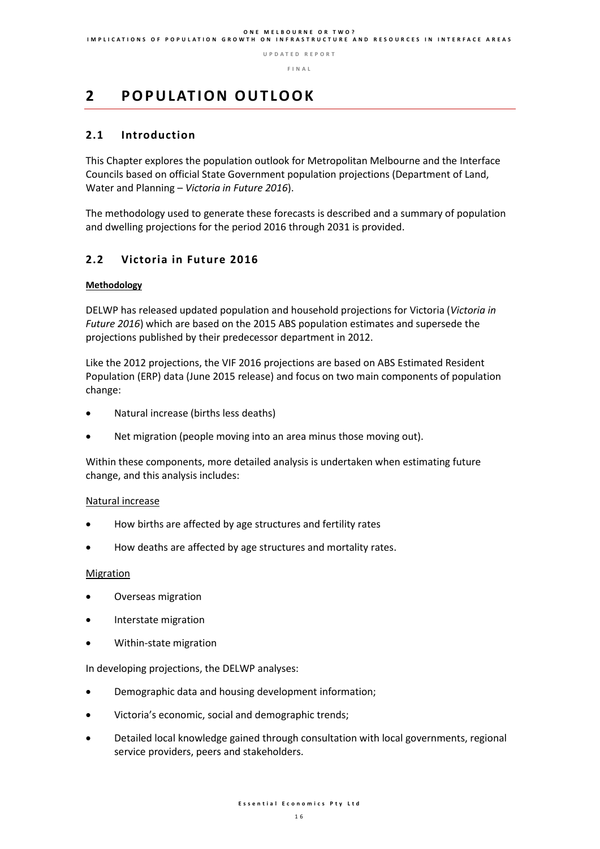## **2 P O P U L AT I O N O U T LO O K**

### **2.1 Introduction**

This Chapter explores the population outlook for Metropolitan Melbourne and the Interface Councils based on official State Government population projections (Department of Land, Water and Planning – *Victoria in Future 2016*).

The methodology used to generate these forecasts is described and a summary of population and dwelling projections for the period 2016 through 2031 is provided.

### **2.2 Victoria in Future 2016**

#### **Methodology**

DELWP has released updated population and household projections for Victoria (*Victoria in Future 2016*) which are based on the 2015 ABS population estimates and supersede the projections published by their predecessor department in 2012.

Like the 2012 projections, the VIF 2016 projections are based on ABS Estimated Resident Population (ERP) data (June 2015 release) and focus on two main components of population change:

- Natural increase (births less deaths)
- Net migration (people moving into an area minus those moving out).

Within these components, more detailed analysis is undertaken when estimating future change, and this analysis includes:

#### Natural increase

- How births are affected by age structures and fertility rates
- How deaths are affected by age structures and mortality rates.

#### **Migration**

- Overseas migration
- Interstate migration
- Within-state migration

In developing projections, the DELWP analyses:

- Demographic data and housing development information;
- Victoria's economic, social and demographic trends;
- Detailed local knowledge gained through consultation with local governments, regional service providers, peers and stakeholders.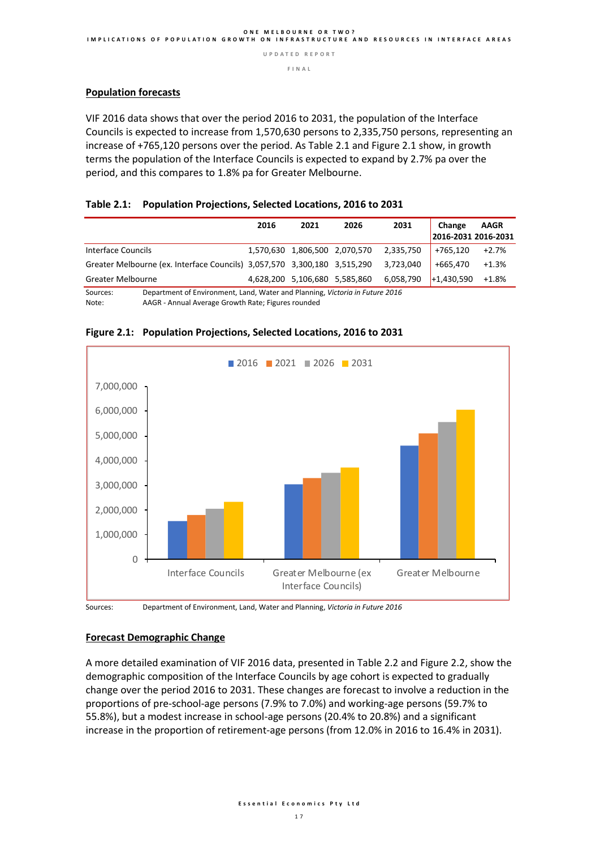**F I N A L** 

#### **Population forecasts**

VIF 2016 data shows that over the period 2016 to 2031, the population of the Interface Councils is expected to increase from 1,570,630 persons to 2,335,750 persons, representing an increase of +765,120 persons over the period. As Table 2.1 and Figure 2.1 show, in growth terms the population of the Interface Councils is expected to expand by 2.7% pa over the period, and this compares to 1.8% pa for Greater Melbourne.

#### **Table 2.1: Population Projections, Selected Locations, 2016 to 2031**

|                                                                          | 2016 | 2021                          | 2026 | 2031      | Change<br>2016-2031 2016-2031 | <b>AAGR</b> |
|--------------------------------------------------------------------------|------|-------------------------------|------|-----------|-------------------------------|-------------|
| Interface Councils                                                       |      | 1,570,630 1,806,500 2,070,570 |      | 2.335.750 | +765.120                      | $+2.7%$     |
| Greater Melbourne (ex. Interface Councils) 3,057,570 3,300,180 3,515,290 |      |                               |      | 3.723.040 | +665.470                      | $+1.3%$     |
| <b>Greater Melbourne</b>                                                 |      | 4,628,200 5,106,680 5,585,860 |      | 6,058,790 | $+1,430,590$                  | +1.8%       |

Sources: Department of Environment, Land, Water and Planning, *Victoria in Future 2016*

AAGR - Annual Average Growth Rate; Figures rounded



#### **Figure 2.1: Population Projections, Selected Locations, 2016 to 2031**

Sources: Department of Environment, Land, Water and Planning, *Victoria in Future 2016*

#### **Forecast Demographic Change**

A more detailed examination of VIF 2016 data, presented in Table 2.2 and Figure 2.2, show the demographic composition of the Interface Councils by age cohort is expected to gradually change over the period 2016 to 2031. These changes are forecast to involve a reduction in the proportions of pre-school-age persons (7.9% to 7.0%) and working-age persons (59.7% to 55.8%), but a modest increase in school-age persons (20.4% to 20.8%) and a significant increase in the proportion of retirement-age persons (from 12.0% in 2016 to 16.4% in 2031).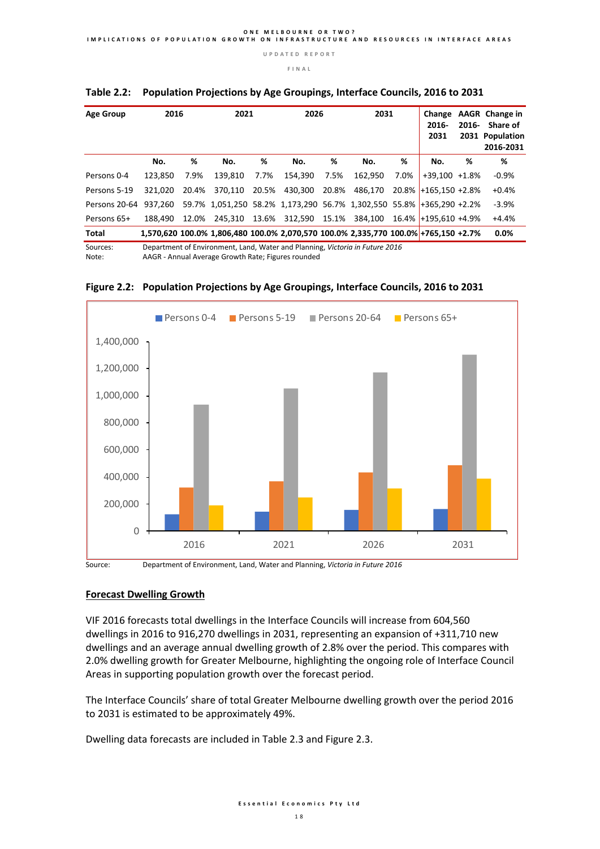**F I N A L** 

| <b>Age Group</b>      | 2016    |       | 2021                                                                                                                              |       | 2026                  |       | 2031          |      | Change<br>$2016 -$<br>2031 |   | AAGR Change in<br>2016- Share of<br>2031 Population<br>2016-2031 |
|-----------------------|---------|-------|-----------------------------------------------------------------------------------------------------------------------------------|-------|-----------------------|-------|---------------|------|----------------------------|---|------------------------------------------------------------------|
|                       | No.     | ℅     | No.                                                                                                                               | ℅     | No.                   | ℅     | No.           | %    | No.                        | % | %                                                                |
| Persons 0-4           | 123.850 | 7.9%  | 139.810                                                                                                                           | 7.7%  | 154.390               | 7.5%  | 162.950       | 7.0% | $+39,100$ $+1.8\%$         |   | $-0.9%$                                                          |
| Persons 5-19          | 321.020 | 20.4% | 370,110                                                                                                                           | 20.5% | 430,300               | 20.8% | 486.170       |      | $20.8\%$ +165.150 +2.8%    |   | $+0.4%$                                                          |
| Persons 20-64         | 937.260 |       | 59.7% 1,051,250 58.2% 1,173,290 56.7% 1,302,550 55.8% +365,290 +2.2%                                                              |       |                       |       |               |      |                            |   | $-3.9%$                                                          |
| Persons 65+           | 188.490 | 12.0% |                                                                                                                                   |       | 245,310 13.6% 312,590 |       | 15.1% 384.100 |      | 16.4% +195.610 +4.9%       |   | $+4.4%$                                                          |
| Total                 |         |       | 1,570,620 100.0% 1,806,480 100.0% 2,070,570 100.0% 2,335,770 100.0% +765,150 +2.7%                                                |       |                       |       |               |      |                            |   | $0.0\%$                                                          |
| Sources:<br>$N = + -$ |         |       | Department of Environment, Land, Water and Planning, Victoria in Future 2016<br>AACD, Annual Augrass Crough Bata: Figures rounded |       |                       |       |               |      |                            |   |                                                                  |

#### **Table 2.2: Population Projections by Age Groupings, Interface Councils, 2016 to 2031**

Note: AAGR - Annual Average Growth Rate; Figures rounded



**Figure 2.2: Population Projections by Age Groupings, Interface Councils, 2016 to 2031**

Source: Department of Environment, Land, Water and Planning, *Victoria in Future 2016*

### **Forecast Dwelling Growth**

VIF 2016 forecasts total dwellings in the Interface Councils will increase from 604,560 dwellings in 2016 to 916,270 dwellings in 2031, representing an expansion of +311,710 new dwellings and an average annual dwelling growth of 2.8% over the period. This compares with 2.0% dwelling growth for Greater Melbourne, highlighting the ongoing role of Interface Council Areas in supporting population growth over the forecast period.

The Interface Councils' share of total Greater Melbourne dwelling growth over the period 2016 to 2031 is estimated to be approximately 49%.

Dwelling data forecasts are included in Table 2.3 and Figure 2.3.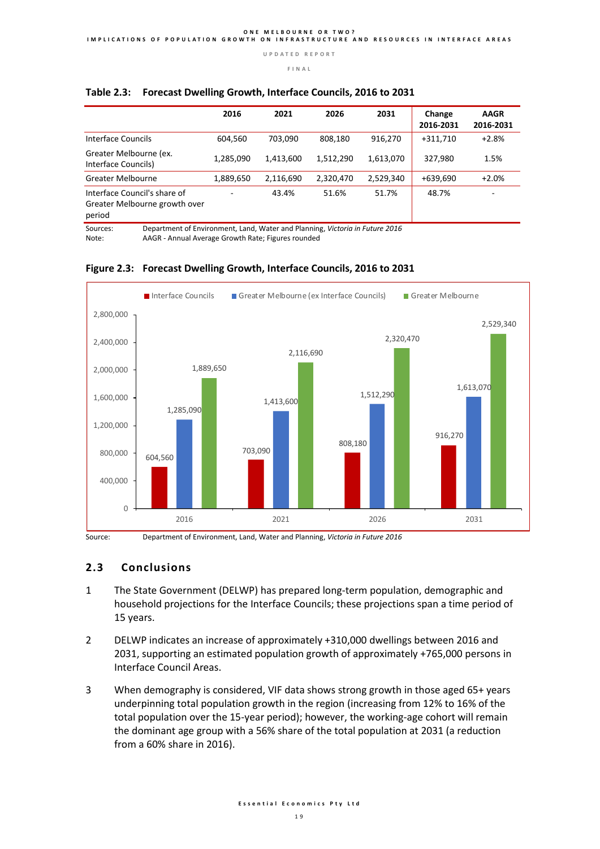#### **F I N A L**

|                                                                                          | 2016      | 2021      | 2026      | 2031      | Change<br>2016-2031 | <b>AAGR</b><br>2016-2031 |
|------------------------------------------------------------------------------------------|-----------|-----------|-----------|-----------|---------------------|--------------------------|
| Interface Councils                                                                       | 604,560   | 703.090   | 808,180   | 916,270   | $+311,710$          | $+2.8%$                  |
| Greater Melbourne (ex.<br>Interface Councils)                                            | 1,285,090 | 1,413,600 | 1,512,290 | 1,613,070 | 327,980             | 1.5%                     |
| Greater Melbourne                                                                        | 1,889,650 | 2,116,690 | 2,320,470 | 2,529,340 | +639,690            | $+2.0%$                  |
| Interface Council's share of<br>Greater Melbourne growth over<br>period                  |           | 43.4%     | 51.6%     | 51.7%     | 48.7%               |                          |
| Department of Environment, Land, Water and Planning, Victoria in Future 2016<br>Sources: |           |           |           |           |                     |                          |

#### **Table 2.3: Forecast Dwelling Growth, Interface Councils, 2016 to 2031**

Note: AAGR - Annual Average Growth Rate; Figures rounded



#### **Figure 2.3: Forecast Dwelling Growth, Interface Councils, 2016 to 2031**

Source: Department of Environment, Land, Water and Planning, *Victoria in Future 2016*

#### **2.3 Conclusions**

- 1 The State Government (DELWP) has prepared long-term population, demographic and household projections for the Interface Councils; these projections span a time period of 15 years.
- 2 DELWP indicates an increase of approximately +310,000 dwellings between 2016 and 2031, supporting an estimated population growth of approximately +765,000 persons in Interface Council Areas.
- 3 When demography is considered, VIF data shows strong growth in those aged 65+ years underpinning total population growth in the region (increasing from 12% to 16% of the total population over the 15-year period); however, the working-age cohort will remain the dominant age group with a 56% share of the total population at 2031 (a reduction from a 60% share in 2016).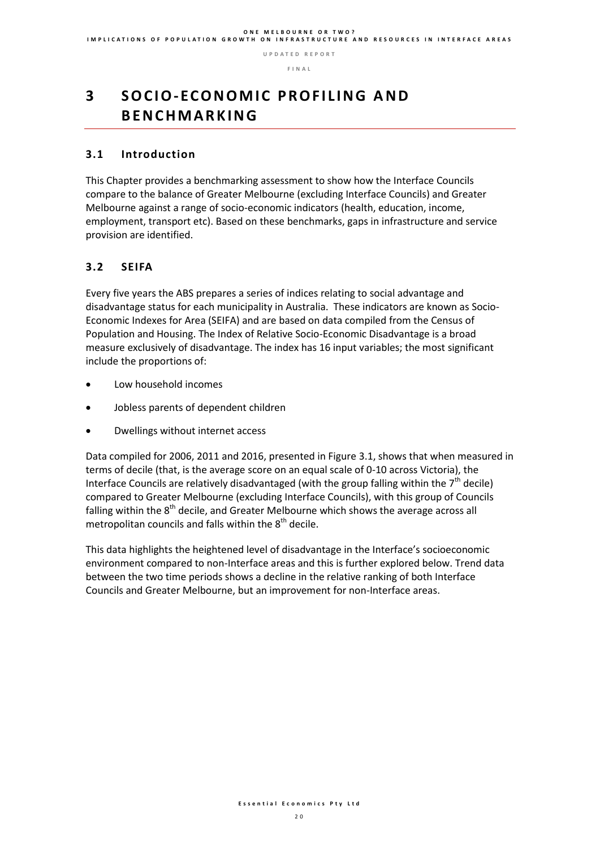# **3** SOCIO-ECONOMIC PROFILING AND **B E N C H M A R K I N G**

#### **3.1 Introduction**

This Chapter provides a benchmarking assessment to show how the Interface Councils compare to the balance of Greater Melbourne (excluding Interface Councils) and Greater Melbourne against a range of socio-economic indicators (health, education, income, employment, transport etc). Based on these benchmarks, gaps in infrastructure and service provision are identified.

### **3.2 SEIFA**

Every five years the ABS prepares a series of indices relating to social advantage and disadvantage status for each municipality in Australia. These indicators are known as Socio-Economic Indexes for Area (SEIFA) and are based on data compiled from the Census of Population and Housing. The Index of Relative Socio-Economic Disadvantage is a broad measure exclusively of disadvantage. The index has 16 input variables; the most significant include the proportions of:

- Low household incomes
- Jobless parents of dependent children
- Dwellings without internet access

Data compiled for 2006, 2011 and 2016, presented in Figure 3.1, shows that when measured in terms of decile (that, is the average score on an equal scale of 0-10 across Victoria), the Interface Councils are relatively disadvantaged (with the group falling within the  $7<sup>th</sup>$  decile) compared to Greater Melbourne (excluding Interface Councils), with this group of Councils falling within the  $8<sup>th</sup>$  decile, and Greater Melbourne which shows the average across all metropolitan councils and falls within the  $8<sup>th</sup>$  decile.

This data highlights the heightened level of disadvantage in the Interface's socioeconomic environment compared to non-Interface areas and this is further explored below. Trend data between the two time periods shows a decline in the relative ranking of both Interface Councils and Greater Melbourne, but an improvement for non-Interface areas.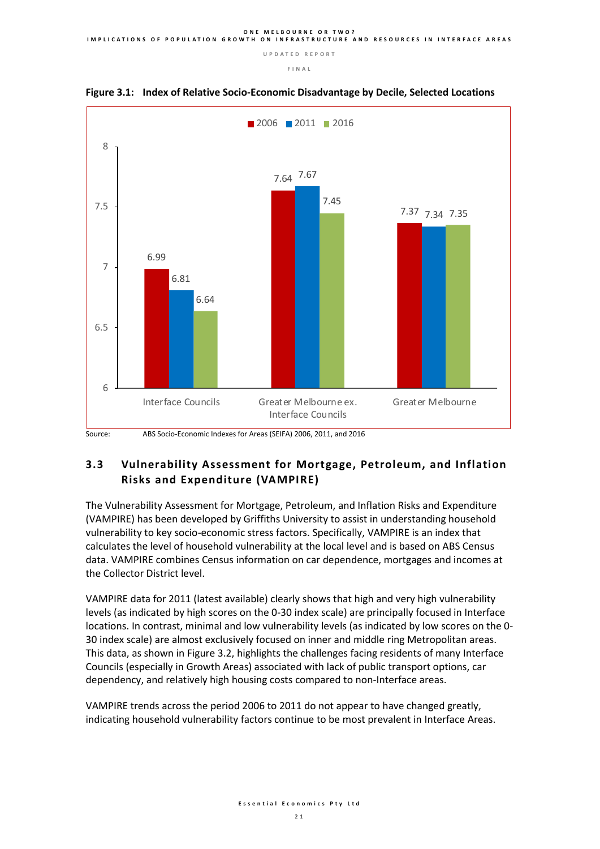**F I N A L** 





#### **3.3 Vulnerability Assessment for Mortgage, Petroleum, and Inflation Risks and Expenditure (VAMPIRE)**

The Vulnerability Assessment for Mortgage, Petroleum, and Inflation Risks and Expenditure (VAMPIRE) has been developed by Griffiths University to assist in understanding household vulnerability to key socio-economic stress factors. Specifically, VAMPIRE is an index that calculates the level of household vulnerability at the local level and is based on ABS Census data. VAMPIRE combines Census information on car dependence, mortgages and incomes at the Collector District level.

VAMPIRE data for 2011 (latest available) clearly shows that high and very high vulnerability levels (as indicated by high scores on the 0-30 index scale) are principally focused in Interface locations. In contrast, minimal and low vulnerability levels (as indicated by low scores on the 0- 30 index scale) are almost exclusively focused on inner and middle ring Metropolitan areas. This data, as shown in Figure 3.2, highlights the challenges facing residents of many Interface Councils (especially in Growth Areas) associated with lack of public transport options, car dependency, and relatively high housing costs compared to non-Interface areas.

VAMPIRE trends across the period 2006 to 2011 do not appear to have changed greatly, indicating household vulnerability factors continue to be most prevalent in Interface Areas.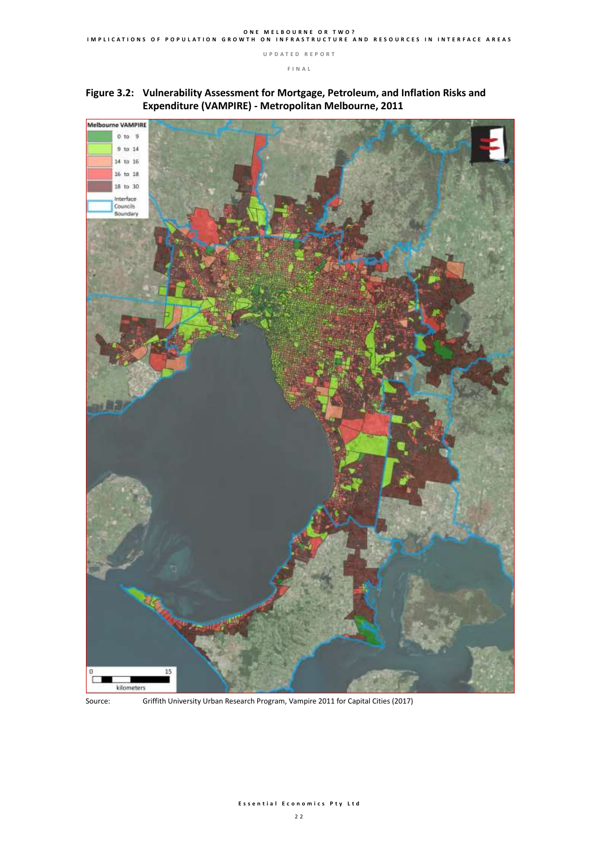





Source: Griffith University Urban Research Program, Vampire 2011 for Capital Cities (2017)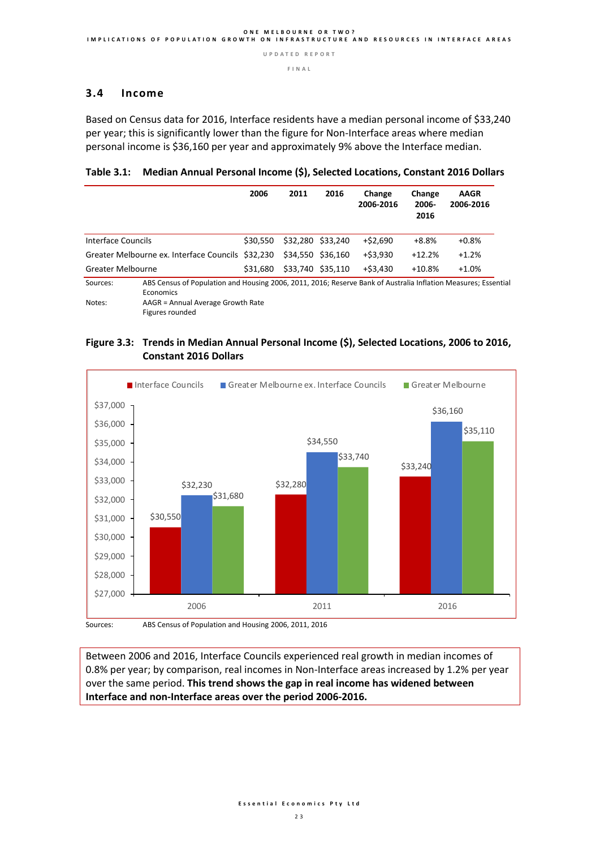**F I N A L** 

#### **3.4 Income**

Based on Census data for 2016, Interface residents have a median personal income of \$33,240 per year; this is significantly lower than the figure for Non-Interface areas where median personal income is \$36,160 per year and approximately 9% above the Interface median.

**Table 3.1: Median Annual Personal Income (\$), Selected Locations, Constant 2016 Dollars**

|                    |                                                                                                                             | 2006     | 2011 | 2016              | Change<br>2006-2016 | Change<br>2006-<br>2016 | <b>AAGR</b><br>2006-2016 |
|--------------------|-----------------------------------------------------------------------------------------------------------------------------|----------|------|-------------------|---------------------|-------------------------|--------------------------|
| Interface Councils |                                                                                                                             | \$30.550 |      | \$32,280 \$33,240 | $+$ \$2,690         | $+8.8%$                 | $+0.8%$                  |
|                    | Greater Melbourne ex. Interface Councils \$32,230                                                                           |          |      | \$34,550 \$36,160 | +\$3,930            | $+12.2%$                | $+1.2%$                  |
| Greater Melbourne  |                                                                                                                             | \$31.680 |      | \$33,740 \$35,110 | $+$ \$3,430         | $+10.8%$                | $+1.0%$                  |
| Sources:           | ABS Census of Population and Housing 2006, 2011, 2016; Reserve Bank of Australia Inflation Measures; Essential<br>Economics |          |      |                   |                     |                         |                          |

Notes: AAGR = Annual Average Growth Rate

Figures rounded

#### **Figure 3.3: Trends in Median Annual Personal Income (\$), Selected Locations, 2006 to 2016, Constant 2016 Dollars**



Sources: ABS Census of Population and Housing 2006, 2011, 2016

Between 2006 and 2016, Interface Councils experienced real growth in median incomes of 0.8% per year; by comparison, real incomes in Non-Interface areas increased by 1.2% per year over the same period. **This trend shows the gap in real income has widened between Interface and non-Interface areas over the period 2006-2016.**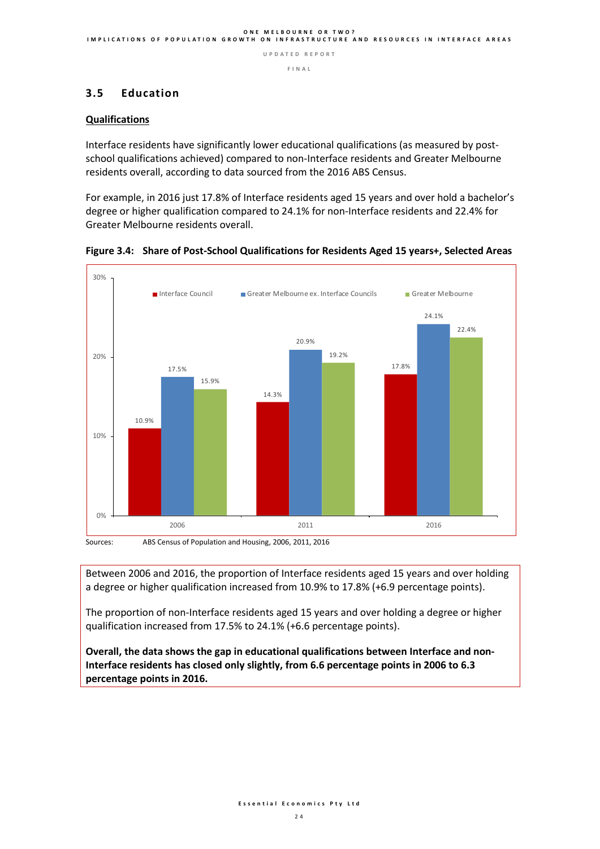**F I N A L** 

#### **3.5 Education**

#### **Qualifications**

Interface residents have significantly lower educational qualifications (as measured by postschool qualifications achieved) compared to non-Interface residents and Greater Melbourne residents overall, according to data sourced from the 2016 ABS Census.

For example, in 2016 just 17.8% of Interface residents aged 15 years and over hold a bachelor's degree or higher qualification compared to 24.1% for non-Interface residents and 22.4% for Greater Melbourne residents overall.





Between 2006 and 2016, the proportion of Interface residents aged 15 years and over holding a degree or higher qualification increased from 10.9% to 17.8% (+6.9 percentage points).

The proportion of non-Interface residents aged 15 years and over holding a degree or higher qualification increased from 17.5% to 24.1% (+6.6 percentage points).

**Overall, the data shows the gap in educational qualifications between Interface and non-Interface residents has closed only slightly, from 6.6 percentage points in 2006 to 6.3 percentage points in 2016.**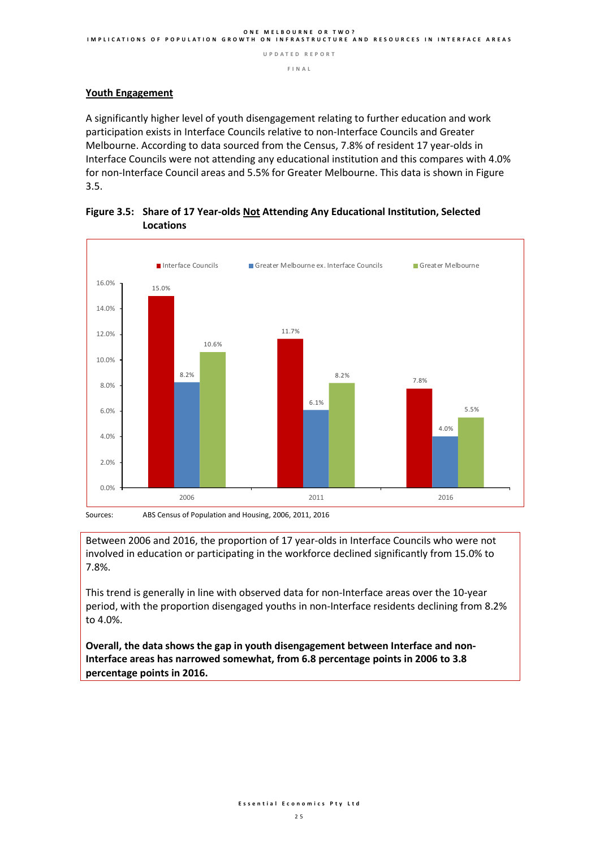**F I N A L** 

#### **Youth Engagement**

A significantly higher level of youth disengagement relating to further education and work participation exists in Interface Councils relative to non-Interface Councils and Greater Melbourne. According to data sourced from the Census, 7.8% of resident 17 year-olds in Interface Councils were not attending any educational institution and this compares with 4.0% for non-Interface Council areas and 5.5% for Greater Melbourne. This data is shown in Figure 3.5.





Between 2006 and 2016, the proportion of 17 year-olds in Interface Councils who were not involved in education or participating in the workforce declined significantly from 15.0% to 7.8%.

This trend is generally in line with observed data for non-Interface areas over the 10-year period, with the proportion disengaged youths in non-Interface residents declining from 8.2% to 4.0%.

**Overall, the data shows the gap in youth disengagement between Interface and non-Interface areas has narrowed somewhat, from 6.8 percentage points in 2006 to 3.8 percentage points in 2016.**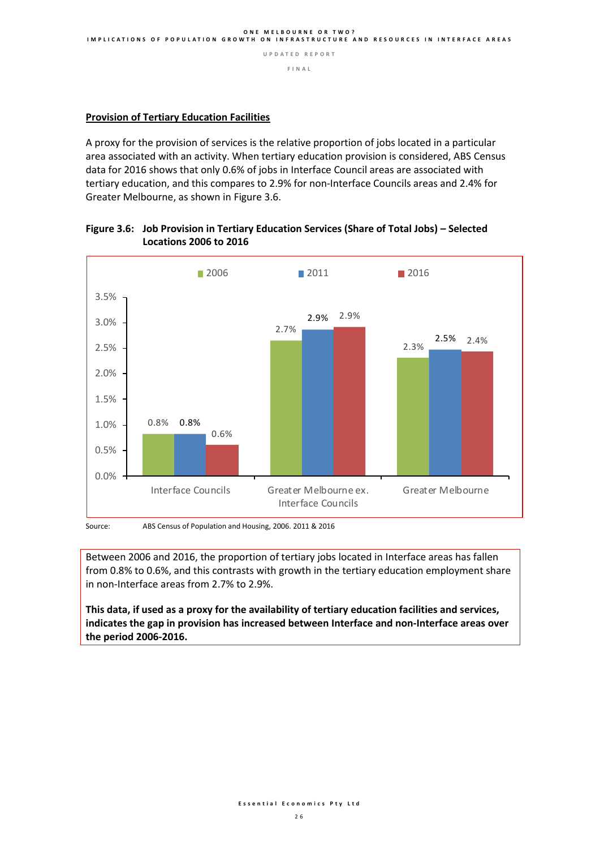#### **F I N A L**

#### **Provision of Tertiary Education Facilities**

A proxy for the provision of services is the relative proportion of jobs located in a particular area associated with an activity. When tertiary education provision is considered, ABS Census data for 2016 shows that only 0.6% of jobs in Interface Council areas are associated with tertiary education, and this compares to 2.9% for non-Interface Councils areas and 2.4% for Greater Melbourne, as shown in Figure 3.6.



#### **Figure 3.6: Job Provision in Tertiary Education Services (Share of Total Jobs) – Selected Locations 2006 to 2016**

Source: ABS Census of Population and Housing, 2006. 2011 & 2016

Between 2006 and 2016, the proportion of tertiary jobs located in Interface areas has fallen from 0.8% to 0.6%, and this contrasts with growth in the tertiary education employment share in non-Interface areas from 2.7% to 2.9%.

**This data, if used as a proxy for the availability of tertiary education facilities and services, indicates the gap in provision has increased between Interface and non-Interface areas over the period 2006-2016.**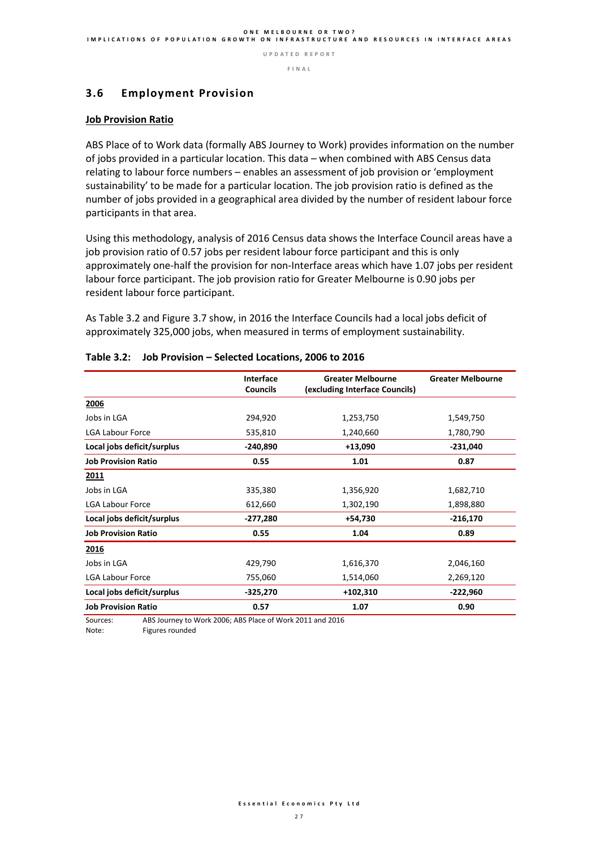**F I N A L** 

#### **3.6 Employment Provision**

#### **Job Provision Ratio**

ABS Place of to Work data (formally ABS Journey to Work) provides information on the number of jobs provided in a particular location. This data – when combined with ABS Census data relating to labour force numbers – enables an assessment of job provision or 'employment sustainability' to be made for a particular location. The job provision ratio is defined as the number of jobs provided in a geographical area divided by the number of resident labour force participants in that area.

Using this methodology, analysis of 2016 Census data shows the Interface Council areas have a job provision ratio of 0.57 jobs per resident labour force participant and this is only approximately one-half the provision for non-Interface areas which have 1.07 jobs per resident labour force participant. The job provision ratio for Greater Melbourne is 0.90 jobs per resident labour force participant.

As Table 3.2 and Figure 3.7 show, in 2016 the Interface Councils had a local jobs deficit of approximately 325,000 jobs, when measured in terms of employment sustainability.

|                            | Interface       | <b>Greater Melbourne</b>       | <b>Greater Melbourne</b> |
|----------------------------|-----------------|--------------------------------|--------------------------|
|                            | <b>Councils</b> | (excluding Interface Councils) |                          |
| 2006                       |                 |                                |                          |
| Jobs in LGA                | 294,920         | 1,253,750                      | 1,549,750                |
| <b>LGA Labour Force</b>    | 535,810         | 1,240,660                      | 1,780,790                |
| Local jobs deficit/surplus | $-240,890$      | $+13,090$                      | $-231,040$               |
| <b>Job Provision Ratio</b> | 0.55            | 1.01                           | 0.87                     |
| 2011                       |                 |                                |                          |
| Jobs in LGA                | 335,380         | 1,356,920                      | 1,682,710                |
| <b>LGA Labour Force</b>    | 612,660         | 1,302,190                      | 1,898,880                |
| Local jobs deficit/surplus | $-277,280$      | +54,730                        | $-216,170$               |
| <b>Job Provision Ratio</b> | 0.55            | 1.04                           | 0.89                     |
| 2016                       |                 |                                |                          |
| Jobs in LGA                | 429,790         | 1,616,370                      | 2,046,160                |
| <b>LGA Labour Force</b>    | 755,060         | 1,514,060                      | 2,269,120                |
| Local jobs deficit/surplus | -325,270        | +102,310                       | $-222,960$               |
| <b>Job Provision Ratio</b> | 0.57            | 1.07                           | 0.90                     |

#### **Table 3.2: Job Provision – Selected Locations, 2006 to 2016**

Sources: ABS Journey to Work 2006; ABS Place of Work 2011 and 2016

Note: Figures rounded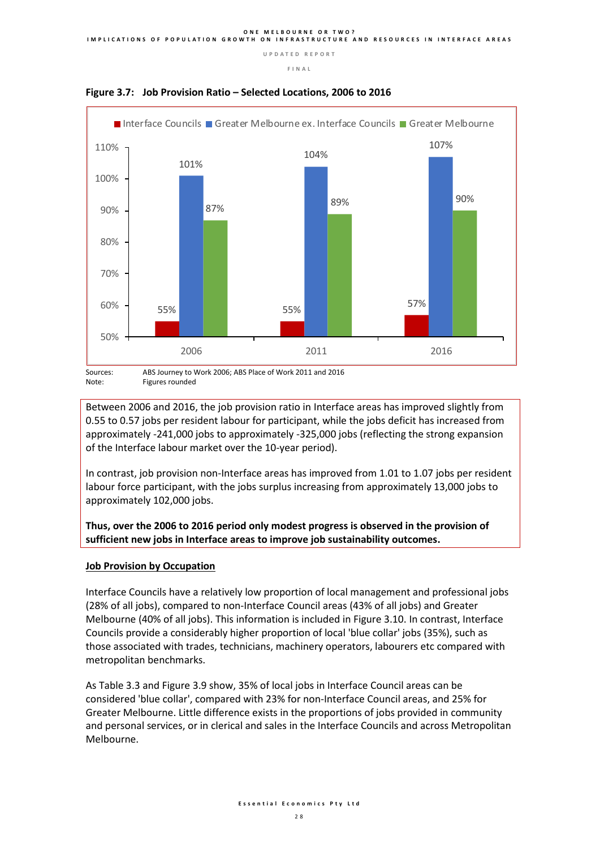**F I N A L** 





Figures rounded

Between 2006 and 2016, the job provision ratio in Interface areas has improved slightly from 0.55 to 0.57 jobs per resident labour for participant, while the jobs deficit has increased from approximately -241,000 jobs to approximately -325,000 jobs (reflecting the strong expansion of the Interface labour market over the 10-year period).

In contrast, job provision non-Interface areas has improved from 1.01 to 1.07 jobs per resident labour force participant, with the jobs surplus increasing from approximately 13,000 jobs to approximately 102,000 jobs.

**Thus, over the 2006 to 2016 period only modest progress is observed in the provision of sufficient new jobs in Interface areas to improve job sustainability outcomes.**

#### **Job Provision by Occupation**

Interface Councils have a relatively low proportion of local management and professional jobs (28% of all jobs), compared to non-Interface Council areas (43% of all jobs) and Greater Melbourne (40% of all jobs). This information is included in Figure 3.10. In contrast, Interface Councils provide a considerably higher proportion of local 'blue collar' jobs (35%), such as those associated with trades, technicians, machinery operators, labourers etc compared with metropolitan benchmarks.

As Table 3.3 and Figure 3.9 show, 35% of local jobs in Interface Council areas can be considered 'blue collar', compared with 23% for non-Interface Council areas, and 25% for Greater Melbourne. Little difference exists in the proportions of jobs provided in community and personal services, or in clerical and sales in the Interface Councils and across Metropolitan Melbourne.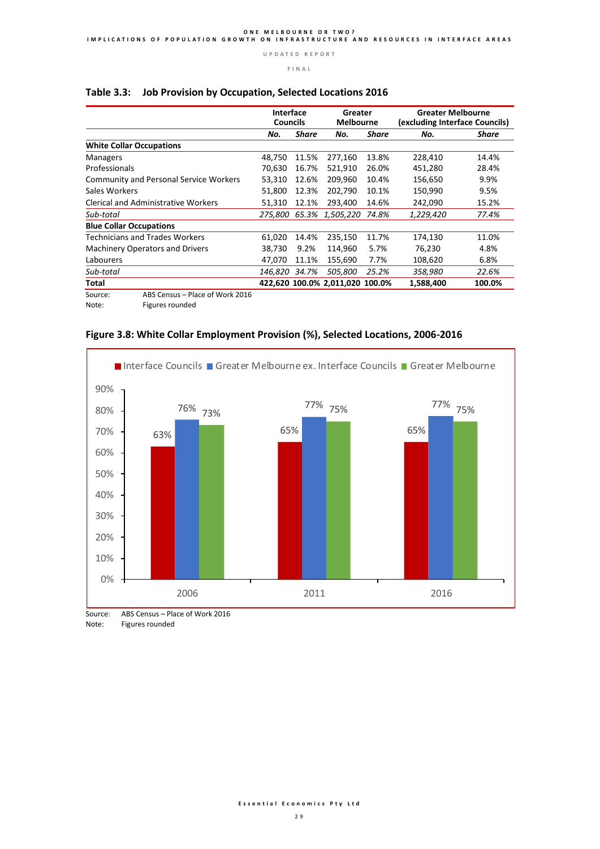#### **Interface Greater Greater Melbourne Councils Melbourne (excluding Interface Councils)** *No. Share No. Share No. Share*  **White Collar Occupations** Managers 11.5% 277,160 13.8% 228,410 14.4%<br>Professionals 16.7% 70,630 16.7% 521,910 26.0% 451,280 28.4% 70,630 16.7% 521,910 26.0% Community and Personal Service Workers 53,310 12.6% 209,960 10.4% 156,650 9.9% Sales Workers 51,800 12.3% 202,790 10.1% 150,990 9.5% Clerical and Administrative Workers 51,310 12.1% 293,400 14.6% 242,090 15.2% *Sub-total 275,800 65.3% 1,505,220 74.8% 1,229,420 77.4%* **Blue Collar Occupations** Technicians and Trades Workers 61,020 14.4% 235,150 11.7% 174,130 11.0% Machinery Operators and Drivers 38,730 9.2% 114,960 5.7% 76,230 4.8% Labourers 47,070 11.1% 155,690 7.7% 108,620 6.8% *Sub-total 146,820 34.7% 505,800 25.2% 358,980 22.6%* **Total 422,620 100.0% 2,011,020 100.0% 1,588,400 100.0%**

#### **Table 3.3: Job Provision by Occupation, Selected Locations 2016**

Source: ABS Census – Place of Work 2016<br>Note: Figures rounded

Figures rounded



#### **Figure 3.8: White Collar Employment Provision (%), Selected Locations, 2006-2016**

Source: ABS Census – Place of Work 2016 Note: Figures rounded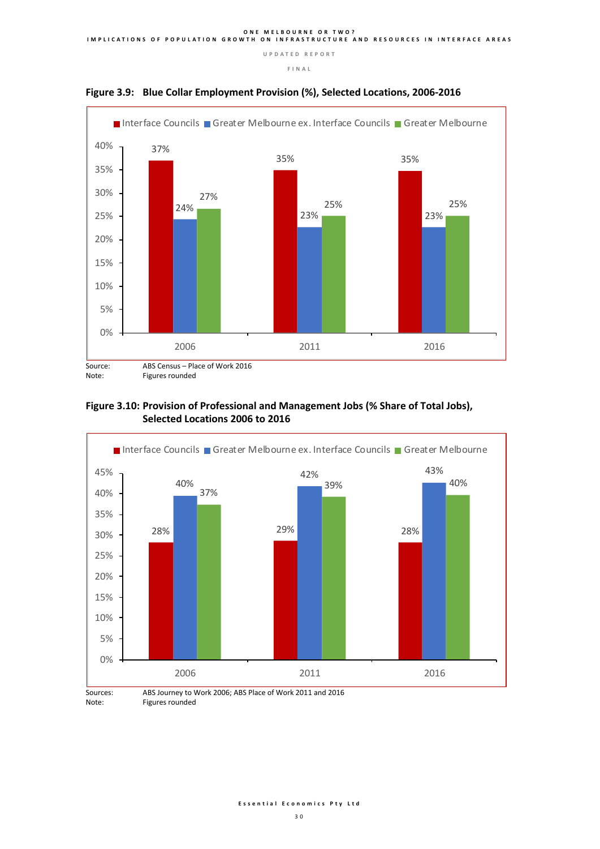**F I N A L** 





#### **Figure 3.10: Provision of Professional and Management Jobs (% Share of Total Jobs), Selected Locations 2006 to 2016**



Note: Figures rounded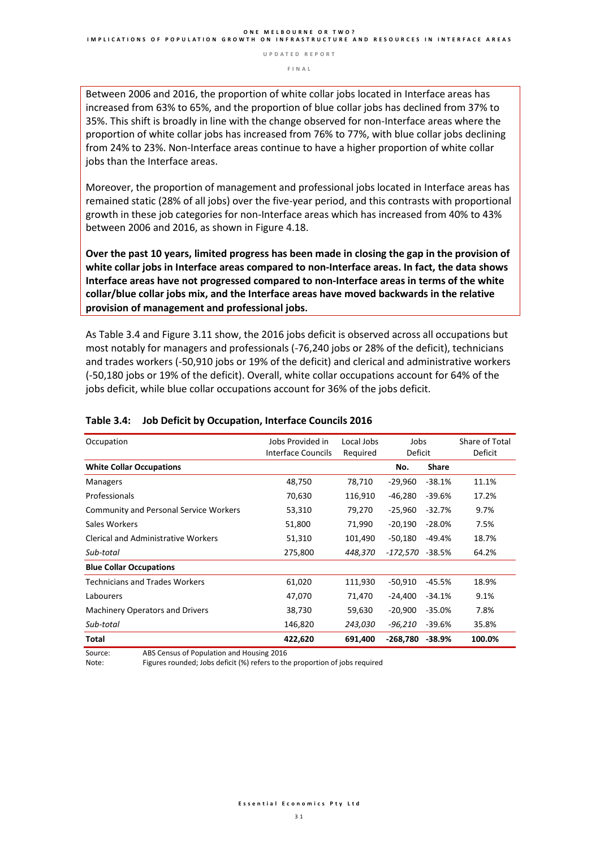**F I N A L** 

Between 2006 and 2016, the proportion of white collar jobs located in Interface areas has increased from 63% to 65%, and the proportion of blue collar jobs has declined from 37% to 35%. This shift is broadly in line with the change observed for non-Interface areas where the proportion of white collar jobs has increased from 76% to 77%, with blue collar jobs declining from 24% to 23%. Non-Interface areas continue to have a higher proportion of white collar jobs than the Interface areas.

Moreover, the proportion of management and professional jobs located in Interface areas has remained static (28% of all jobs) over the five-year period, and this contrasts with proportional growth in these job categories for non-Interface areas which has increased from 40% to 43% between 2006 and 2016, as shown in Figure 4.18.

**Over the past 10 years, limited progress has been made in closing the gap in the provision of white collar jobs in Interface areas compared to non-Interface areas. In fact, the data shows Interface areas have not progressed compared to non-Interface areas in terms of the white collar/blue collar jobs mix, and the Interface areas have moved backwards in the relative provision of management and professional jobs.**

As Table 3.4 and Figure 3.11 show, the 2016 jobs deficit is observed across all occupations but most notably for managers and professionals (-76,240 jobs or 28% of the deficit), technicians and trades workers (-50,910 jobs or 19% of the deficit) and clerical and administrative workers (-50,180 jobs or 19% of the deficit). Overall, white collar occupations account for 64% of the jobs deficit, while blue collar occupations account for 36% of the jobs deficit.

| Occupation                                    | Jobs Provided in   | Local Jobs | Jobs       |              | Share of Total |
|-----------------------------------------------|--------------------|------------|------------|--------------|----------------|
|                                               | Interface Councils | Required   | Deficit    |              | Deficit        |
| <b>White Collar Occupations</b>               |                    |            | No.        | <b>Share</b> |                |
| <b>Managers</b>                               | 48,750             | 78,710     | $-29,960$  | $-38.1%$     | 11.1%          |
| Professionals                                 | 70,630             | 116,910    | $-46,280$  | $-39.6%$     | 17.2%          |
| <b>Community and Personal Service Workers</b> | 53,310             | 79,270     | $-25,960$  | $-32.7%$     | 9.7%           |
| Sales Workers                                 | 51,800             | 71,990     | $-20,190$  | $-28.0%$     | 7.5%           |
| <b>Clerical and Administrative Workers</b>    | 51,310             | 101,490    | $-50,180$  | $-49.4%$     | 18.7%          |
| Sub-total                                     | 275,800            | 448,370    | -172,570   | -38.5%       | 64.2%          |
| <b>Blue Collar Occupations</b>                |                    |            |            |              |                |
| <b>Technicians and Trades Workers</b>         | 61,020             | 111,930    | $-50,910$  | -45.5%       | 18.9%          |
| Labourers                                     | 47,070             | 71,470     | -24,400    | $-34.1%$     | 9.1%           |
| Machinery Operators and Drivers               | 38,730             | 59,630     | $-20,900$  | $-35.0%$     | 7.8%           |
| Sub-total                                     | 146,820            | 243,030    | -96,210    | $-39.6%$     | 35.8%          |
| Total                                         | 422,620            | 691,400    | $-268,780$ | -38.9%       | 100.0%         |

#### **Table 3.4: Job Deficit by Occupation, Interface Councils 2016**

Source: ABS Census of Population and Housing 2016

Note: Figures rounded; Jobs deficit (%) refers to the proportion of jobs required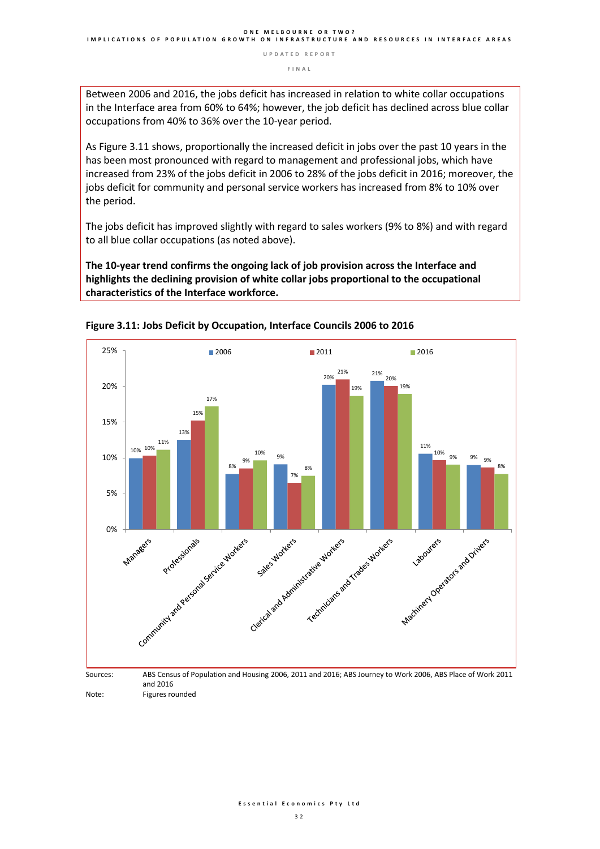**F I N A L** 

Between 2006 and 2016, the jobs deficit has increased in relation to white collar occupations in the Interface area from 60% to 64%; however, the job deficit has declined across blue collar occupations from 40% to 36% over the 10-year period.

As Figure 3.11 shows, proportionally the increased deficit in jobs over the past 10 years in the has been most pronounced with regard to management and professional jobs, which have increased from 23% of the jobs deficit in 2006 to 28% of the jobs deficit in 2016; moreover, the jobs deficit for community and personal service workers has increased from 8% to 10% over the period.

The jobs deficit has improved slightly with regard to sales workers (9% to 8%) and with regard to all blue collar occupations (as noted above).

**The 10-year trend confirms the ongoing lack of job provision across the Interface and highlights the declining provision of white collar jobs proportional to the occupational characteristics of the Interface workforce.** 





Note: Figures rounded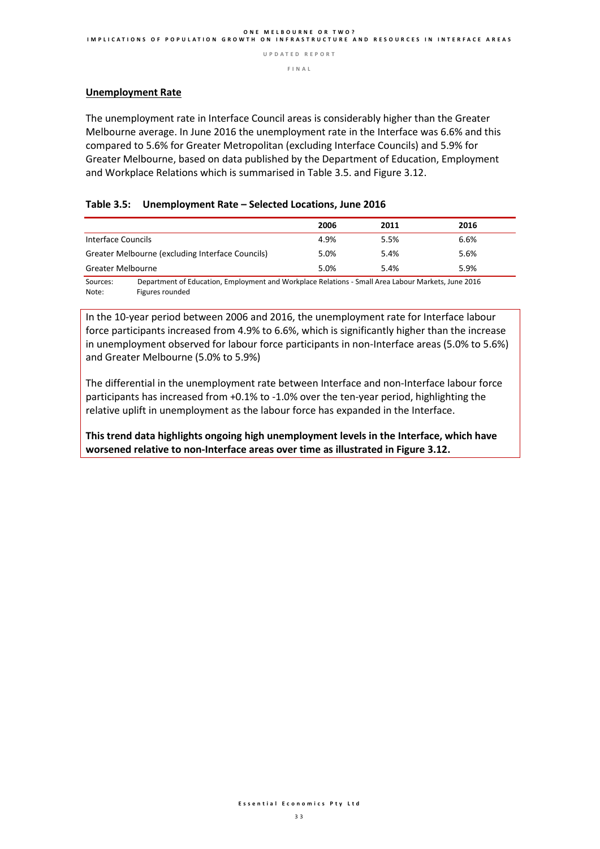**F I N A L** 

#### **Unemployment Rate**

The unemployment rate in Interface Council areas is considerably higher than the Greater Melbourne average. In June 2016 the unemployment rate in the Interface was 6.6% and this compared to 5.6% for Greater Metropolitan (excluding Interface Councils) and 5.9% for Greater Melbourne, based on data published by the Department of Education, Employment and Workplace Relations which is summarised in Table 3.5. and Figure 3.12.

#### **Table 3.5: Unemployment Rate – Selected Locations, June 2016**

|                                                                                                                | 2006 | 2011 | 2016 |
|----------------------------------------------------------------------------------------------------------------|------|------|------|
| Interface Councils                                                                                             | 4.9% | 5.5% | 6.6% |
| Greater Melbourne (excluding Interface Councils)                                                               | 5.0% | 5.4% | 5.6% |
| <b>Greater Melbourne</b>                                                                                       | 5.0% | 5.4% | 5.9% |
| Department of Education, Employment and Warkplace Polations. Small Area Labour Markets, June 2016<br>$C_{011}$ |      |      |      |

Sources: Department of Education, Employment and Workplace Relations - Small Area Labour Markets, June 2016 Figures rounded

In the 10-year period between 2006 and 2016, the unemployment rate for Interface labour force participants increased from 4.9% to 6.6%, which is significantly higher than the increase in unemployment observed for labour force participants in non-Interface areas (5.0% to 5.6%) and Greater Melbourne (5.0% to 5.9%)

The differential in the unemployment rate between Interface and non-Interface labour force participants has increased from +0.1% to -1.0% over the ten-year period, highlighting the relative uplift in unemployment as the labour force has expanded in the Interface.

**This trend data highlights ongoing high unemployment levels in the Interface, which have worsened relative to non-Interface areas over time as illustrated in Figure 3.12.**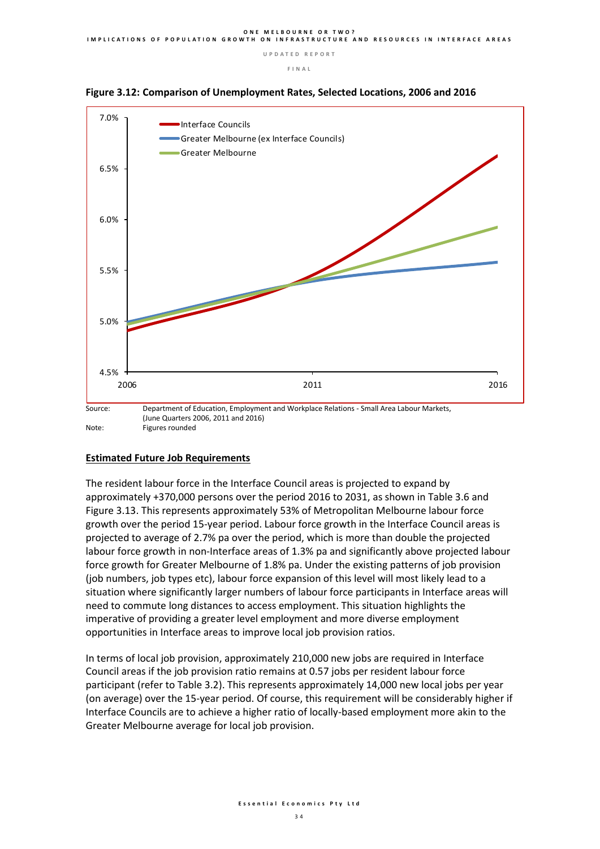**F I N A L** 





#### **Estimated Future Job Requirements**

The resident labour force in the Interface Council areas is projected to expand by approximately +370,000 persons over the period 2016 to 2031, as shown in Table 3.6 and Figure 3.13. This represents approximately 53% of Metropolitan Melbourne labour force growth over the period 15-year period. Labour force growth in the Interface Council areas is projected to average of 2.7% pa over the period, which is more than double the projected labour force growth in non-Interface areas of 1.3% pa and significantly above projected labour force growth for Greater Melbourne of 1.8% pa. Under the existing patterns of job provision (job numbers, job types etc), labour force expansion of this level will most likely lead to a situation where significantly larger numbers of labour force participants in Interface areas will need to commute long distances to access employment. This situation highlights the imperative of providing a greater level employment and more diverse employment opportunities in Interface areas to improve local job provision ratios.

In terms of local job provision, approximately 210,000 new jobs are required in Interface Council areas if the job provision ratio remains at 0.57 jobs per resident labour force participant (refer to Table 3.2). This represents approximately 14,000 new local jobs per year (on average) over the 15-year period. Of course, this requirement will be considerably higher if Interface Councils are to achieve a higher ratio of locally-based employment more akin to the Greater Melbourne average for local job provision.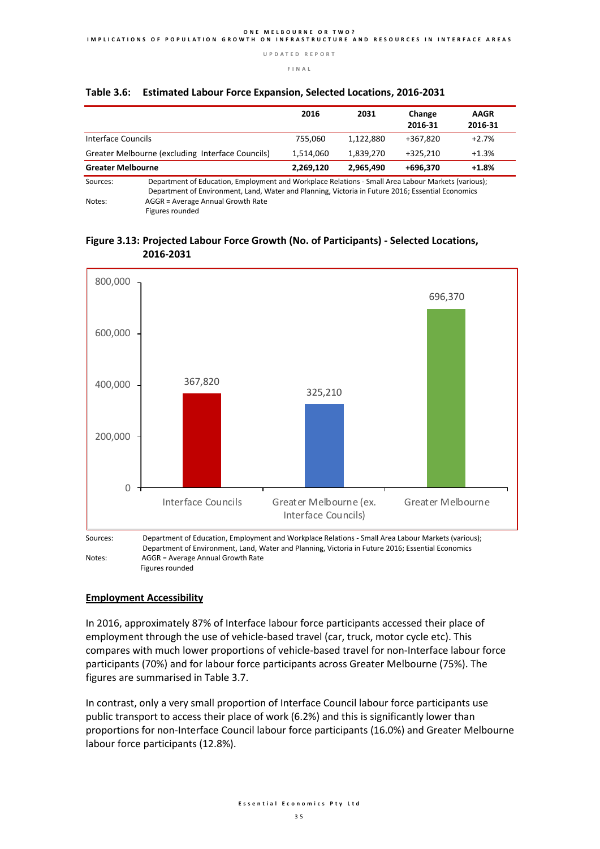**F I N A L** 

|                                                                                                                |                                   | 2016      | 2031      | Change<br>2016-31 | <b>AAGR</b><br>2016-31 |  |
|----------------------------------------------------------------------------------------------------------------|-----------------------------------|-----------|-----------|-------------------|------------------------|--|
|                                                                                                                |                                   |           |           |                   |                        |  |
| Interface Councils                                                                                             |                                   | 755.060   | 1,122,880 | +367,820          | $+2.7%$                |  |
| Greater Melbourne (excluding Interface Councils)                                                               |                                   | 1.514.060 | 1.839.270 | $+325.210$        | $+1.3%$                |  |
| <b>Greater Melbourne</b>                                                                                       |                                   | 2,269,120 | 2.965.490 | +696.370          | $+1.8%$                |  |
| Department of Education, Employment and Workplace Relations - Small Area Labour Markets (various);<br>Sources: |                                   |           |           |                   |                        |  |
| Department of Environment, Land, Water and Planning, Victoria in Future 2016; Essential Economics              |                                   |           |           |                   |                        |  |
| Notes:                                                                                                         | AGGR = Average Annual Growth Rate |           |           |                   |                        |  |

#### **Table 3.6: Estimated Labour Force Expansion, Selected Locations, 2016-2031**

Figures rounded

#### **Figure 3.13: Projected Labour Force Growth (No. of Participants) - Selected Locations, 2016-2031**



Figures rounded

#### **Employment Accessibility**

In 2016, approximately 87% of Interface labour force participants accessed their place of employment through the use of vehicle-based travel (car, truck, motor cycle etc). This compares with much lower proportions of vehicle-based travel for non-Interface labour force participants (70%) and for labour force participants across Greater Melbourne (75%). The figures are summarised in Table 3.7.

In contrast, only a very small proportion of Interface Council labour force participants use public transport to access their place of work (6.2%) and this is significantly lower than proportions for non-Interface Council labour force participants (16.0%) and Greater Melbourne labour force participants (12.8%).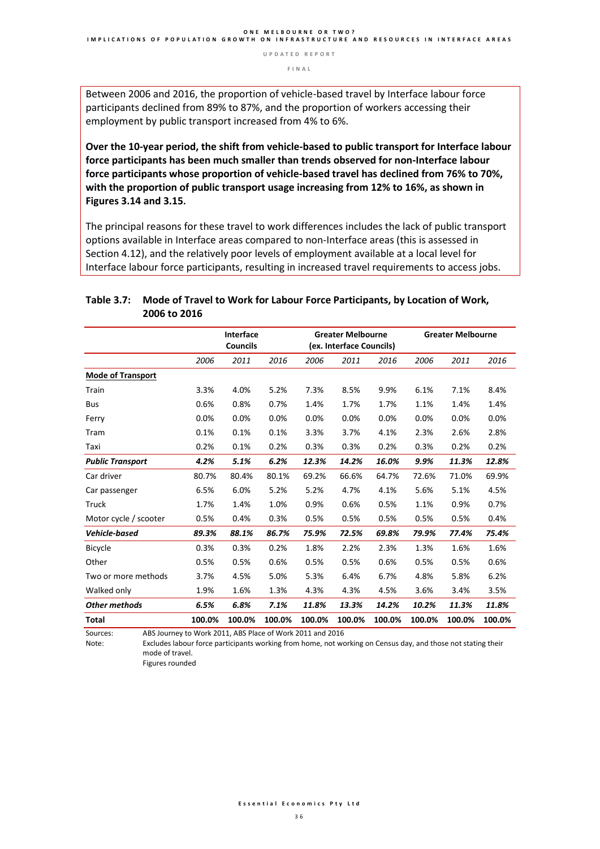**F I N A L** 

Between 2006 and 2016, the proportion of vehicle-based travel by Interface labour force participants declined from 89% to 87%, and the proportion of workers accessing their employment by public transport increased from 4% to 6%.

**Over the 10-year period, the shift from vehicle-based to public transport for Interface labour force participants has been much smaller than trends observed for non-Interface labour force participants whose proportion of vehicle-based travel has declined from 76% to 70%, with the proportion of public transport usage increasing from 12% to 16%, as shown in Figures 3.14 and 3.15.**

The principal reasons for these travel to work differences includes the lack of public transport options available in Interface areas compared to non-Interface areas (this is assessed in Section 4.12), and the relatively poor levels of employment available at a local level for Interface labour force participants, resulting in increased travel requirements to access jobs.

|                          |        | <b>Interface</b><br><b>Councils</b> |        |        | <b>Greater Melbourne</b><br>(ex. Interface Councils) |        |        | <b>Greater Melbourne</b> |        |
|--------------------------|--------|-------------------------------------|--------|--------|------------------------------------------------------|--------|--------|--------------------------|--------|
|                          | 2006   | 2011                                | 2016   | 2006   | 2011                                                 | 2016   | 2006   | 2011                     | 2016   |
| <b>Mode of Transport</b> |        |                                     |        |        |                                                      |        |        |                          |        |
| Train                    | 3.3%   | 4.0%                                | 5.2%   | 7.3%   | 8.5%                                                 | 9.9%   | 6.1%   | 7.1%                     | 8.4%   |
| <b>Bus</b>               | 0.6%   | 0.8%                                | 0.7%   | 1.4%   | 1.7%                                                 | 1.7%   | 1.1%   | 1.4%                     | 1.4%   |
| Ferry                    | 0.0%   | 0.0%                                | 0.0%   | 0.0%   | 0.0%                                                 | 0.0%   | 0.0%   | 0.0%                     | 0.0%   |
| Tram                     | 0.1%   | 0.1%                                | 0.1%   | 3.3%   | 3.7%                                                 | 4.1%   | 2.3%   | 2.6%                     | 2.8%   |
| Taxi                     | 0.2%   | 0.1%                                | 0.2%   | 0.3%   | 0.3%                                                 | 0.2%   | 0.3%   | 0.2%                     | 0.2%   |
| <b>Public Transport</b>  | 4.2%   | 5.1%                                | 6.2%   | 12.3%  | 14.2%                                                | 16.0%  | 9.9%   | 11.3%                    | 12.8%  |
| Car driver               | 80.7%  | 80.4%                               | 80.1%  | 69.2%  | 66.6%                                                | 64.7%  | 72.6%  | 71.0%                    | 69.9%  |
| Car passenger            | 6.5%   | 6.0%                                | 5.2%   | 5.2%   | 4.7%                                                 | 4.1%   | 5.6%   | 5.1%                     | 4.5%   |
| Truck                    | 1.7%   | 1.4%                                | 1.0%   | 0.9%   | 0.6%                                                 | 0.5%   | 1.1%   | 0.9%                     | 0.7%   |
| Motor cycle / scooter    | 0.5%   | 0.4%                                | 0.3%   | 0.5%   | 0.5%                                                 | 0.5%   | 0.5%   | 0.5%                     | 0.4%   |
| <b>Vehicle-based</b>     | 89.3%  | 88.1%                               | 86.7%  | 75.9%  | 72.5%                                                | 69.8%  | 79.9%  | 77.4%                    | 75.4%  |
| <b>Bicycle</b>           | 0.3%   | 0.3%                                | 0.2%   | 1.8%   | 2.2%                                                 | 2.3%   | 1.3%   | 1.6%                     | 1.6%   |
| Other                    | 0.5%   | 0.5%                                | 0.6%   | 0.5%   | 0.5%                                                 | 0.6%   | 0.5%   | 0.5%                     | 0.6%   |
| Two or more methods      | 3.7%   | 4.5%                                | 5.0%   | 5.3%   | 6.4%                                                 | 6.7%   | 4.8%   | 5.8%                     | 6.2%   |
| Walked only              | 1.9%   | 1.6%                                | 1.3%   | 4.3%   | 4.3%                                                 | 4.5%   | 3.6%   | 3.4%                     | 3.5%   |
| <b>Other methods</b>     | 6.5%   | 6.8%                                | 7.1%   | 11.8%  | 13.3%                                                | 14.2%  | 10.2%  | 11.3%                    | 11.8%  |
| <b>Total</b>             | 100.0% | 100.0%                              | 100.0% | 100.0% | 100.0%                                               | 100.0% | 100.0% | 100.0%                   | 100.0% |

#### **Table 3.7: Mode of Travel to Work for Labour Force Participants, by Location of Work, 2006 to 2016**

Sources: ABS Journey to Work 2011, ABS Place of Work 2011 and 2016

Excludes labour force participants working from home, not working on Census day, and those not stating their mode of travel.

Figures rounded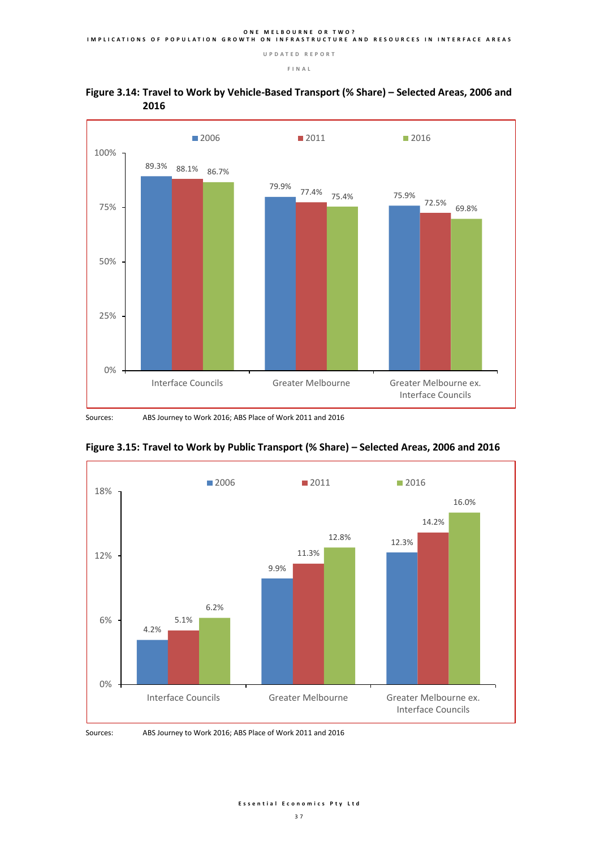

#### **Figure 3.14: Travel to Work by Vehicle-Based Transport (% Share) – Selected Areas, 2006 and 2016**

Sources: ABS Journey to Work 2016; ABS Place of Work 2011 and 2016





Sources: ABS Journey to Work 2016; ABS Place of Work 2011 and 2016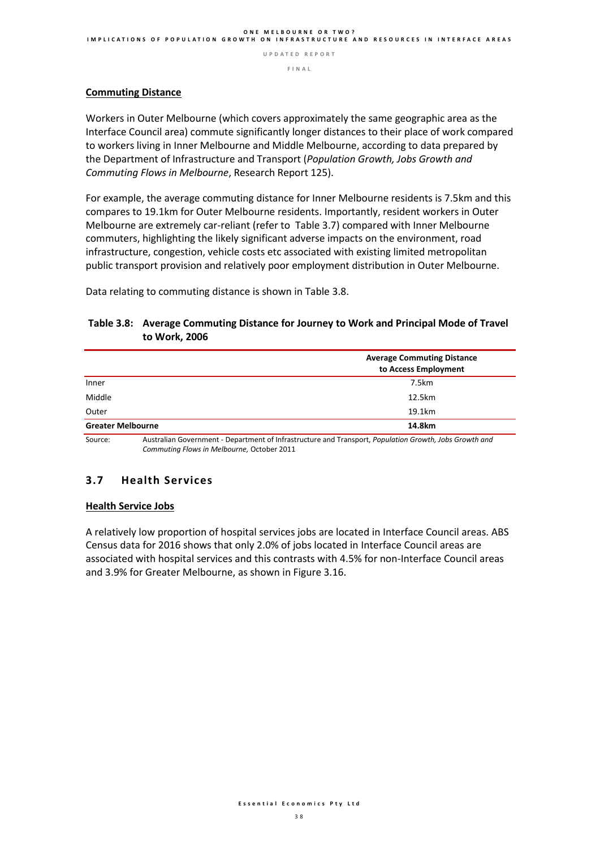**F I N A L** 

#### **Commuting Distance**

Workers in Outer Melbourne (which covers approximately the same geographic area as the Interface Council area) commute significantly longer distances to their place of work compared to workers living in Inner Melbourne and Middle Melbourne, according to data prepared by the Department of Infrastructure and Transport (*Population Growth, Jobs Growth and Commuting Flows in Melbourne*, Research Report 125).

For example, the average commuting distance for Inner Melbourne residents is 7.5km and this compares to 19.1km for Outer Melbourne residents. Importantly, resident workers in Outer Melbourne are extremely car-reliant (refer to Table 3.7) compared with Inner Melbourne commuters, highlighting the likely significant adverse impacts on the environment, road infrastructure, congestion, vehicle costs etc associated with existing limited metropolitan public transport provision and relatively poor employment distribution in Outer Melbourne.

Data relating to commuting distance is shown in Table 3.8.

#### **Table 3.8: Average Commuting Distance for Journey to Work and Principal Mode of Travel to Work, 2006**

|                          | <b>Average Commuting Distance</b><br>to Access Employment                                              |
|--------------------------|--------------------------------------------------------------------------------------------------------|
| Inner                    | 7.5km                                                                                                  |
| Middle                   | 12.5km                                                                                                 |
| Outer                    | 19.1km                                                                                                 |
| <b>Greater Melbourne</b> | 14.8km                                                                                                 |
| Source:                  | Australian Government - Denartment of Infrastructure and Transport, Ponulation Growth, Johs Growth and |

Source: Australian Government - Department of Infrastructure and Transport, *Population Growth, Jobs Growth and Commuting Flows in Melbourne,* October 2011

#### **3.7 Health Services**

#### **Health Service Jobs**

A relatively low proportion of hospital services jobs are located in Interface Council areas. ABS Census data for 2016 shows that only 2.0% of jobs located in Interface Council areas are associated with hospital services and this contrasts with 4.5% for non-Interface Council areas and 3.9% for Greater Melbourne, as shown in Figure 3.16.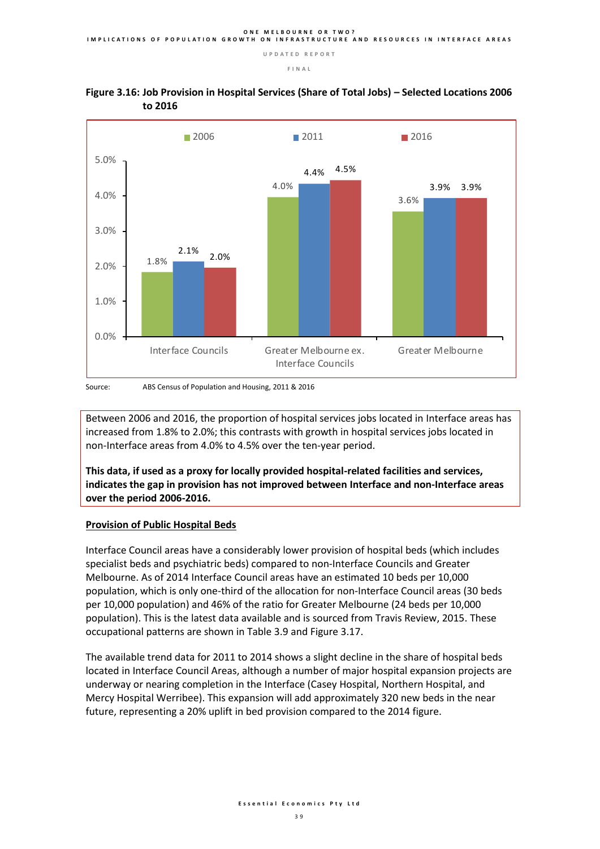

#### **Figure 3.16: Job Provision in Hospital Services (Share of Total Jobs) – Selected Locations 2006 to 2016**

Between 2006 and 2016, the proportion of hospital services jobs located in Interface areas has increased from 1.8% to 2.0%; this contrasts with growth in hospital services jobs located in non-Interface areas from 4.0% to 4.5% over the ten-year period.

**This data, if used as a proxy for locally provided hospital-related facilities and services, indicates the gap in provision has not improved between Interface and non-Interface areas over the period 2006-2016.** 

#### **Provision of Public Hospital Beds**

Interface Council areas have a considerably lower provision of hospital beds (which includes specialist beds and psychiatric beds) compared to non-Interface Councils and Greater Melbourne. As of 2014 Interface Council areas have an estimated 10 beds per 10,000 population, which is only one-third of the allocation for non-Interface Council areas (30 beds per 10,000 population) and 46% of the ratio for Greater Melbourne (24 beds per 10,000 population). This is the latest data available and is sourced from Travis Review, 2015. These occupational patterns are shown in Table 3.9 and Figure 3.17.

The available trend data for 2011 to 2014 shows a slight decline in the share of hospital beds located in Interface Council Areas, although a number of major hospital expansion projects are underway or nearing completion in the Interface (Casey Hospital, Northern Hospital, and Mercy Hospital Werribee). This expansion will add approximately 320 new beds in the near future, representing a 20% uplift in bed provision compared to the 2014 figure.

Source: ABS Census of Population and Housing, 2011 & 2016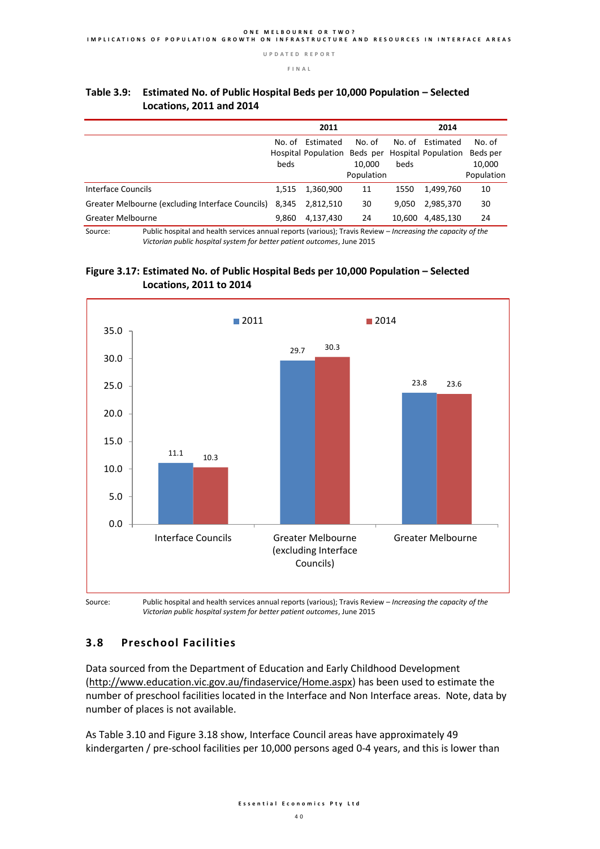**2011 2014** No. of Hospital Population Beds per Hospital Population Beds per beds Estimated No. of 10,000 Population No. of beds Estimated No. of 10,000 Population Interface Councils 1,515 1,360,900 11 1550 1,499,760 10 Greater Melbourne (excluding Interface Councils) 8,345 2,812,510 30 9,050 2,985,370 30 Greater Melbourne 9,860 4,137,430 24 10,600 4,485,130 24

#### **Table 3.9: Estimated No. of Public Hospital Beds per 10,000 Population – Selected Locations, 2011 and 2014**

Source: Public hospital and health services annual reports (various); Travis Review – *Increasing the capacity of the Victorian public hospital system for better patient outcomes*, June 2015





Source: Public hospital and health services annual reports (various); Travis Review – *Increasing the capacity of the Victorian public hospital system for better patient outcomes*, June 2015

### **3.8 Preschool Facilities**

Data sourced from the Department of Education and Early Childhood Development [\(http://www.education.vic.gov.au/findaservice/Home.aspx\)](http://www.education.vic.gov.au/findaservice/Home.aspx) has been used to estimate the number of preschool facilities located in the Interface and Non Interface areas. Note, data by number of places is not available.

As Table 3.10 and Figure 3.18 show, Interface Council areas have approximately 49 kindergarten / pre-school facilities per 10,000 persons aged 0-4 years, and this is lower than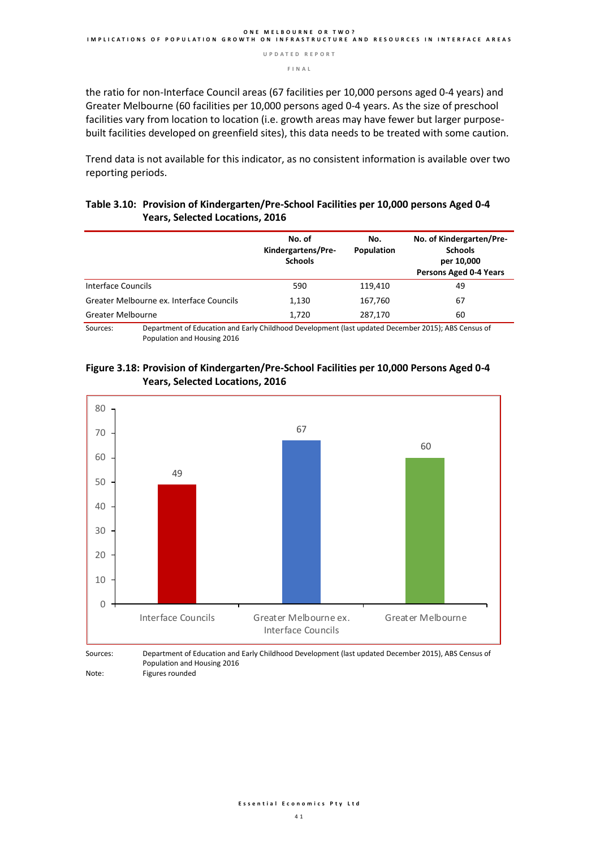**F I N A L** 

the ratio for non-Interface Council areas (67 facilities per 10,000 persons aged 0-4 years) and Greater Melbourne (60 facilities per 10,000 persons aged 0-4 years. As the size of preschool facilities vary from location to location (i.e. growth areas may have fewer but larger purposebuilt facilities developed on greenfield sites), this data needs to be treated with some caution.

Trend data is not available for this indicator, as no consistent information is available over two reporting periods.

#### **Table 3.10: Provision of Kindergarten/Pre-School Facilities per 10,000 persons Aged 0-4 Years, Selected Locations, 2016**

|                                          | No. of<br>Kindergartens/Pre-<br><b>Schools</b> | No.<br>Population | No. of Kindergarten/Pre-<br><b>Schools</b><br>per 10,000<br>Persons Aged 0-4 Years |
|------------------------------------------|------------------------------------------------|-------------------|------------------------------------------------------------------------------------|
| Interface Councils                       | 590                                            | 119.410           | 49                                                                                 |
| Greater Melbourne ex. Interface Councils | 1,130                                          | 167,760           | 67                                                                                 |
| <b>Greater Melbourne</b>                 | 1,720                                          | 287,170           | 60                                                                                 |

Sources: Department of Education and Early Childhood Development (last updated December 2015); ABS Census of Population and Housing 2016

#### **Figure 3.18: Provision of Kindergarten/Pre-School Facilities per 10,000 Persons Aged 0-4 Years, Selected Locations, 2016**



Population and Housing 2016 Note: Figures rounded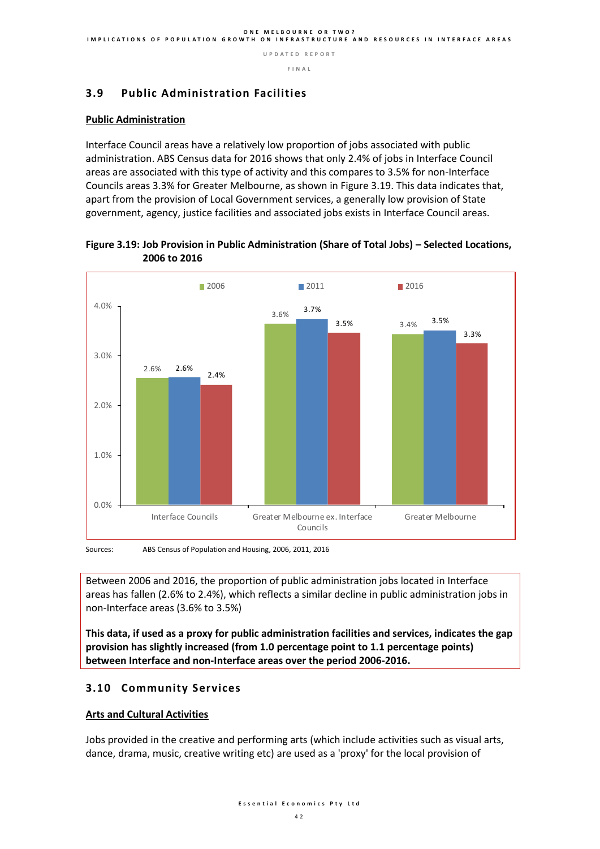#### **F I N A L**

#### **3.9 Public Administration Facilities**

#### **Public Administration**

Interface Council areas have a relatively low proportion of jobs associated with public administration. ABS Census data for 2016 shows that only 2.4% of jobs in Interface Council areas are associated with this type of activity and this compares to 3.5% for non-Interface Councils areas 3.3% for Greater Melbourne, as shown in Figure 3.19. This data indicates that, apart from the provision of Local Government services, a generally low provision of State government, agency, justice facilities and associated jobs exists in Interface Council areas.

# **Figure 3.19: Job Provision in Public Administration (Share of Total Jobs) – Selected Locations, 2006 to 2016**



Between 2006 and 2016, the proportion of public administration jobs located in Interface areas has fallen (2.6% to 2.4%), which reflects a similar decline in public administration jobs in non-Interface areas (3.6% to 3.5%)

**This data, if used as a proxy for public administration facilities and services, indicates the gap provision has slightly increased (from 1.0 percentage point to 1.1 percentage points) between Interface and non-Interface areas over the period 2006-2016.** 

#### **3.10 Community Services**

#### **Arts and Cultural Activities**

Jobs provided in the creative and performing arts (which include activities such as visual arts, dance, drama, music, creative writing etc) are used as a 'proxy' for the local provision of

Sources: ABS Census of Population and Housing, 2006, 2011, 2016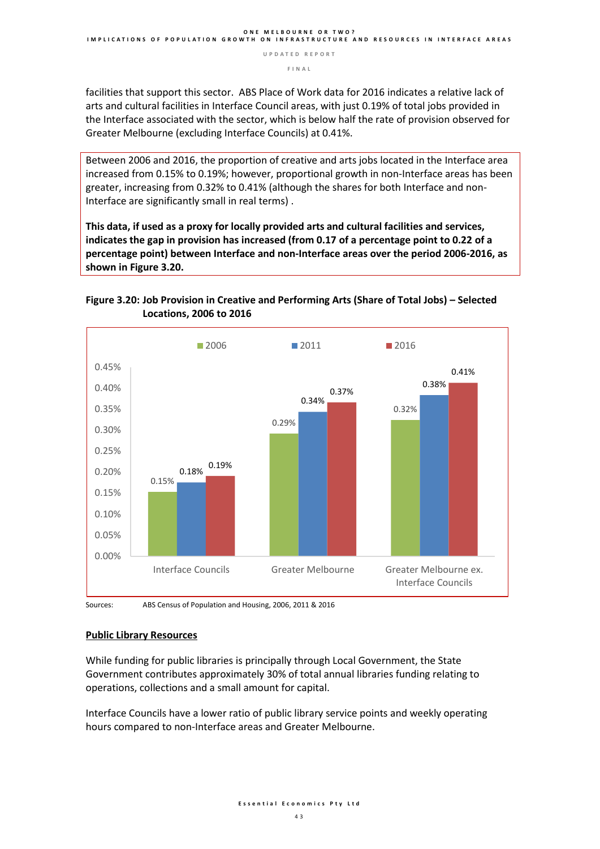facilities that support this sector. ABS Place of Work data for 2016 indicates a relative lack of arts and cultural facilities in Interface Council areas, with just 0.19% of total jobs provided in the Interface associated with the sector, which is below half the rate of provision observed for Greater Melbourne (excluding Interface Councils) at 0.41%.

Between 2006 and 2016, the proportion of creative and arts jobs located in the Interface area increased from 0.15% to 0.19%; however, proportional growth in non-Interface areas has been greater, increasing from 0.32% to 0.41% (although the shares for both Interface and non-Interface are significantly small in real terms) .

**This data, if used as a proxy for locally provided arts and cultural facilities and services, indicates the gap in provision has increased (from 0.17 of a percentage point to 0.22 of a percentage point) between Interface and non-Interface areas over the period 2006-2016, as shown in Figure 3.20.**

#### **Figure 3.20: Job Provision in Creative and Performing Arts (Share of Total Jobs) – Selected Locations, 2006 to 2016**



Sources: ABS Census of Population and Housing, 2006, 2011 & 2016

#### **Public Library Resources**

While funding for public libraries is principally through Local Government, the State Government contributes approximately 30% of total annual libraries funding relating to operations, collections and a small amount for capital.

Interface Councils have a lower ratio of public library service points and weekly operating hours compared to non-Interface areas and Greater Melbourne.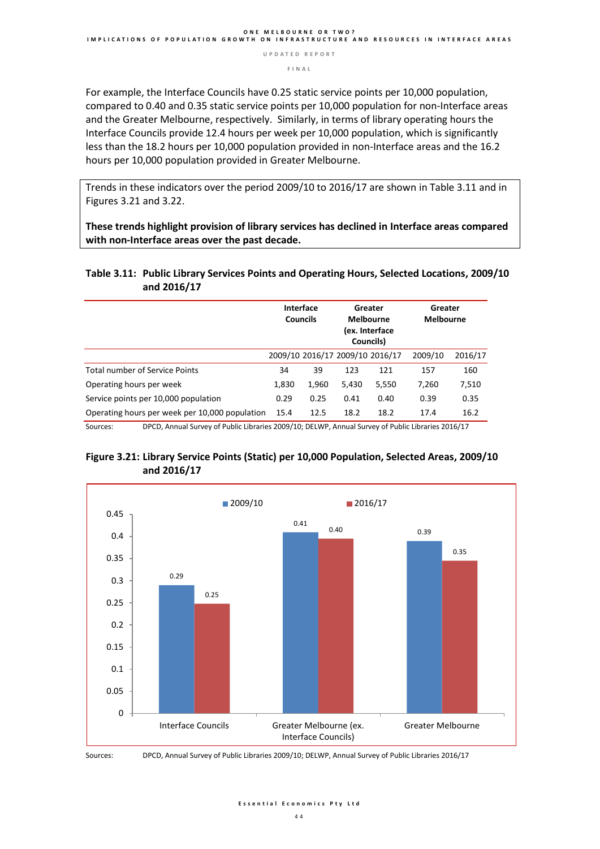**F I N A L** 

For example, the Interface Councils have 0.25 static service points per 10,000 population, compared to 0.40 and 0.35 static service points per 10,000 population for non-Interface areas and the Greater Melbourne, respectively. Similarly, in terms of library operating hours the Interface Councils provide 12.4 hours per week per 10,000 population, which is significantly less than the 18.2 hours per 10,000 population provided in non-Interface areas and the 16.2 hours per 10,000 population provided in Greater Melbourne.

Trends in these indicators over the period 2009/10 to 2016/17 are shown in Table 3.11 and in Figures 3.21 and 3.22.

**These trends highlight provision of library services has declined in Interface areas compared with non-Interface areas over the past decade.**

#### **Table 3.11: Public Library Services Points and Operating Hours, Selected Locations, 2009/10 and 2016/17**

|                                                | Interface<br><b>Councils</b> |       | Greater<br><b>Melbourne</b><br>(ex. Interface<br>Councils) |                                 | Greater<br><b>Melbourne</b> |         |
|------------------------------------------------|------------------------------|-------|------------------------------------------------------------|---------------------------------|-----------------------------|---------|
|                                                |                              |       |                                                            | 2009/10 2016/17 2009/10 2016/17 | 2009/10                     | 2016/17 |
| <b>Total number of Service Points</b>          | 34                           | 39    | 123                                                        | 121                             | 157                         | 160     |
| Operating hours per week                       | 1,830                        | 1,960 | 5,430                                                      | 5,550                           | 7.260                       | 7,510   |
| Service points per 10,000 population           | 0.29                         | 0.25  | 0.41                                                       | 0.40                            | 0.39                        | 0.35    |
| Operating hours per week per 10,000 population | 15.4                         | 12.5  | 18.2                                                       | 18.2                            | 17.4                        | 16.2    |

Sources: DPCD, Annual Survey of Public Libraries 2009/10; DELWP, Annual Survey of Public Libraries 2016/17

#### **Figure 3.21: Library Service Points (Static) per 10,000 Population, Selected Areas, 2009/10 and 2016/17**





Sources: DPCD, Annual Survey of Public Libraries 2009/10; DELWP, Annual Survey of Public Libraries 2016/17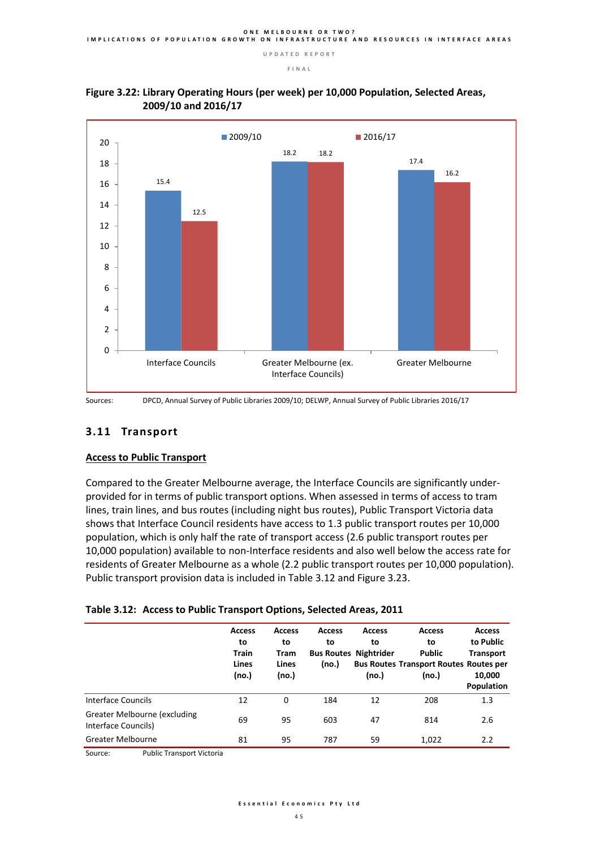



Sources: DPCD, Annual Survey of Public Libraries 2009/10; DELWP, Annual Survey of Public Libraries 2016/17

### **3.11 Transport**

#### **Access to Public Transport**

Compared to the Greater Melbourne average, the Interface Councils are significantly underprovided for in terms of public transport options. When assessed in terms of access to tram lines, train lines, and bus routes (including night bus routes), Public Transport Victoria data shows that Interface Council residents have access to 1.3 public transport routes per 10,000 population, which is only half the rate of transport access (2.6 public transport routes per 10,000 population) available to non-Interface residents and also well below the access rate for residents of Greater Melbourne as a whole (2.2 public transport routes per 10,000 population). Public transport provision data is included in Table 3.12 and Figure 3.23.

|  |  | Table 3.12: Access to Public Transport Options, Selected Areas, 2011 |  |  |
|--|--|----------------------------------------------------------------------|--|--|
|--|--|----------------------------------------------------------------------|--|--|

|                                                     | <b>Access</b><br>to<br><b>Train</b><br>Lines<br>(no.) | <b>Access</b><br>to<br>Tram<br>Lines<br>(no.) | <b>Access</b><br>to<br><b>Bus Routes Nightrider</b><br>(no.) | <b>Access</b><br>to<br>(no.) | <b>Access</b><br>to<br>Public<br><b>Bus Routes Transport Routes Routes per</b><br>(no.) | <b>Access</b><br>to Public<br><b>Transport</b><br>10,000<br>Population |
|-----------------------------------------------------|-------------------------------------------------------|-----------------------------------------------|--------------------------------------------------------------|------------------------------|-----------------------------------------------------------------------------------------|------------------------------------------------------------------------|
| <b>Interface Councils</b>                           | 12                                                    | 0                                             | 184                                                          | 12                           | 208                                                                                     | 1.3                                                                    |
| Greater Melbourne (excluding<br>Interface Councils) | 69                                                    | 95                                            | 603                                                          | 47                           | 814                                                                                     | 2.6                                                                    |
| <b>Greater Melbourne</b>                            | 81                                                    | 95                                            | 787                                                          | 59                           | 1,022                                                                                   | 2.2                                                                    |

Source: Public Transport Victoria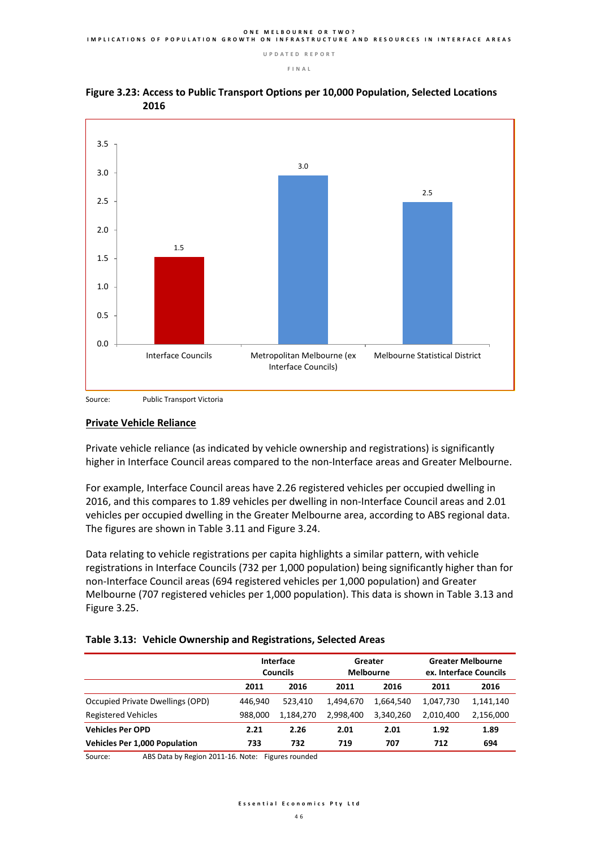

#### **Figure 3.23: Access to Public Transport Options per 10,000 Population, Selected Locations 2016**

Source: Public Transport Victoria

#### **Private Vehicle Reliance**

Private vehicle reliance (as indicated by vehicle ownership and registrations) is significantly higher in Interface Council areas compared to the non-Interface areas and Greater Melbourne.

For example, Interface Council areas have 2.26 registered vehicles per occupied dwelling in 2016, and this compares to 1.89 vehicles per dwelling in non-Interface Council areas and 2.01 vehicles per occupied dwelling in the Greater Melbourne area, according to ABS regional data. The figures are shown in Table 3.11 and Figure 3.24.

Data relating to vehicle registrations per capita highlights a similar pattern, with vehicle registrations in Interface Councils (732 per 1,000 population) being significantly higher than for non-Interface Council areas (694 registered vehicles per 1,000 population) and Greater Melbourne (707 registered vehicles per 1,000 population). This data is shown in Table 3.13 and Figure 3.25.

| Table 3.13: Vehicle Ownership and Registrations, Selected Areas |
|-----------------------------------------------------------------|
|-----------------------------------------------------------------|

|                                      | <b>Interface</b><br><b>Councils</b> |           | Greater<br><b>Melbourne</b> |           | <b>Greater Melbourne</b><br>ex. Interface Councils |           |
|--------------------------------------|-------------------------------------|-----------|-----------------------------|-----------|----------------------------------------------------|-----------|
|                                      | 2011                                | 2016      | 2011                        | 2016      | 2011                                               | 2016      |
| Occupied Private Dwellings (OPD)     | 446.940                             | 523.410   | 1,494,670                   | 1,664,540 | 1,047,730                                          | 1,141,140 |
| <b>Registered Vehicles</b>           | 988,000                             | 1,184,270 | 2,998,400                   | 3,340,260 | 2,010,400                                          | 2,156,000 |
| <b>Vehicles Per OPD</b>              | 2.21                                | 2.26      | 2.01                        | 2.01      | 1.92                                               | 1.89      |
| <b>Vehicles Per 1,000 Population</b> | 733                                 | 732       | 719                         | 707       | 712                                                | 694       |

Source: ABS Data by Region 2011-16. Note: Figures rounded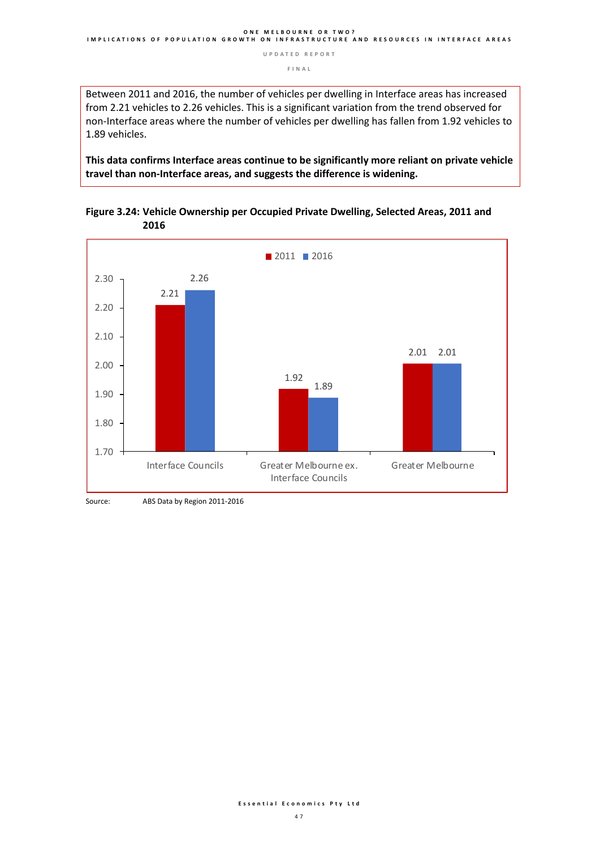**F I N A L** 

Between 2011 and 2016, the number of vehicles per dwelling in Interface areas has increased from 2.21 vehicles to 2.26 vehicles. This is a significant variation from the trend observed for non-Interface areas where the number of vehicles per dwelling has fallen from 1.92 vehicles to 1.89 vehicles.

**This data confirms Interface areas continue to be significantly more reliant on private vehicle travel than non-Interface areas, and suggests the difference is widening.**



**Figure 3.24: Vehicle Ownership per Occupied Private Dwelling, Selected Areas, 2011 and 2016**

Source: ABS Data by Region 2011-2016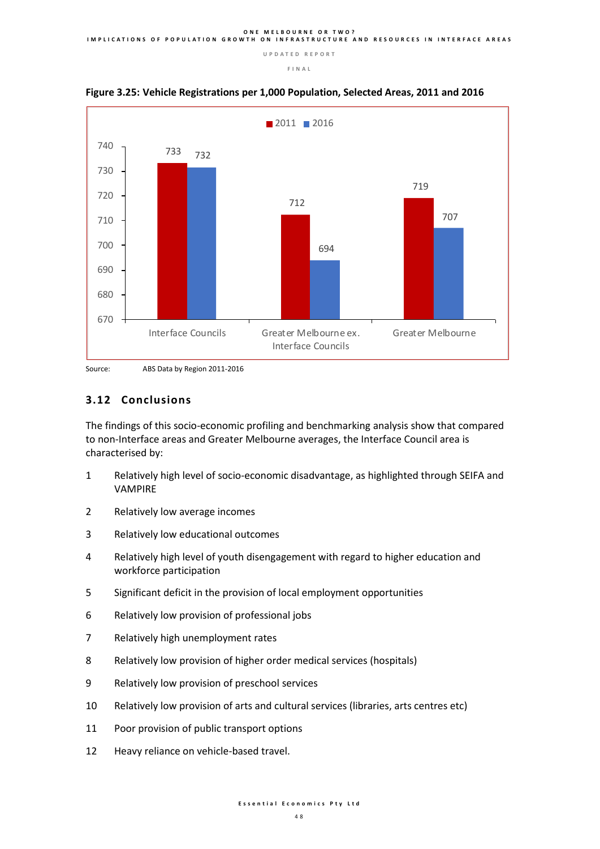





#### **3.12 Conclusions**

The findings of this socio-economic profiling and benchmarking analysis show that compared to non-Interface areas and Greater Melbourne averages, the Interface Council area is characterised by:

- Relatively high level of socio-economic disadvantage, as highlighted through SEIFA and VAMPIRE
- Relatively low average incomes
- Relatively low educational outcomes
- Relatively high level of youth disengagement with regard to higher education and workforce participation
- Significant deficit in the provision of local employment opportunities
- Relatively low provision of professional jobs
- Relatively high unemployment rates
- Relatively low provision of higher order medical services (hospitals)
- Relatively low provision of preschool services
- Relatively low provision of arts and cultural services (libraries, arts centres etc)
- Poor provision of public transport options
- Heavy reliance on vehicle-based travel.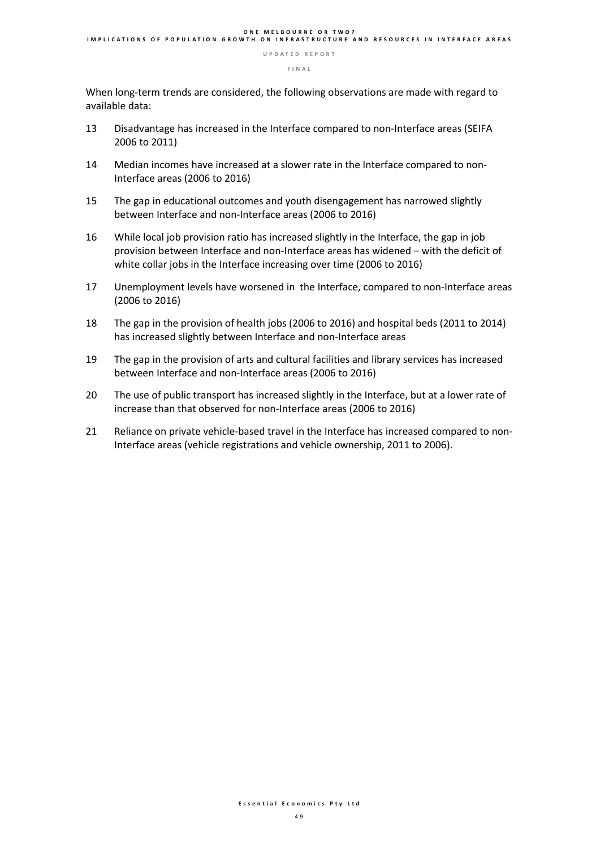**F I N A L** 

When long-term trends are considered, the following observations are made with regard to available data:

- 13 Disadvantage has increased in the Interface compared to non-Interface areas (SEIFA 2006 to 2011)
- 14 Median incomes have increased at a slower rate in the Interface compared to non-Interface areas (2006 to 2016)
- 15 The gap in educational outcomes and youth disengagement has narrowed slightly between Interface and non-Interface areas (2006 to 2016)
- 16 While local job provision ratio has increased slightly in the Interface, the gap in job provision between Interface and non-Interface areas has widened – with the deficit of white collar jobs in the Interface increasing over time (2006 to 2016)
- 17 Unemployment levels have worsened in the Interface, compared to non-Interface areas (2006 to 2016)
- 18 The gap in the provision of health jobs (2006 to 2016) and hospital beds (2011 to 2014) has increased slightly between Interface and non-Interface areas
- 19 The gap in the provision of arts and cultural facilities and library services has increased between Interface and non-Interface areas (2006 to 2016)
- 20 The use of public transport has increased slightly in the Interface, but at a lower rate of increase than that observed for non-Interface areas (2006 to 2016)
- 21 Reliance on private vehicle-based travel in the Interface has increased compared to non-Interface areas (vehicle registrations and vehicle ownership, 2011 to 2006).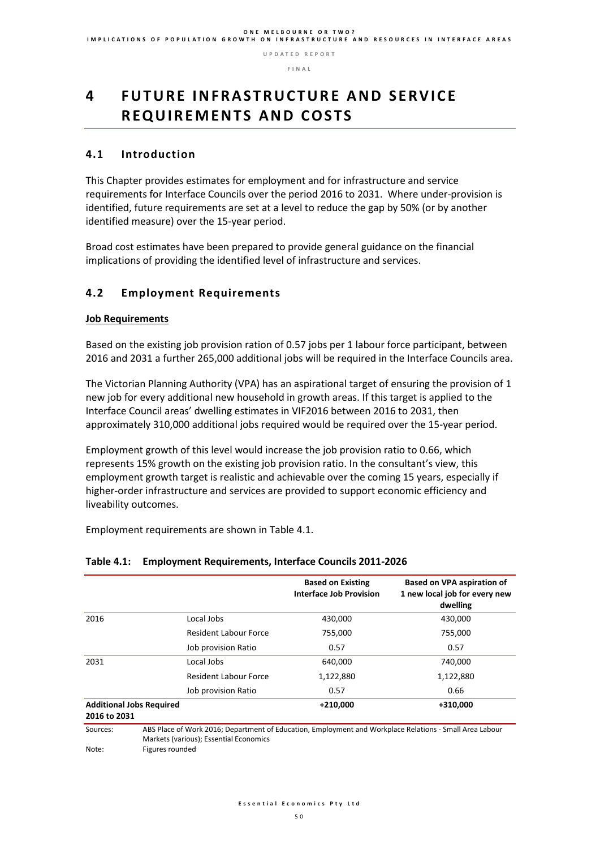# **4 F U T U R E I N F R A S T R U C T U R E A N D S E R V I C E R E Q U I R E M E N T S A N D C O S T S**

#### **4.1 Introduction**

This Chapter provides estimates for employment and for infrastructure and service requirements for Interface Councils over the period 2016 to 2031. Where under-provision is identified, future requirements are set at a level to reduce the gap by 50% (or by another identified measure) over the 15-year period.

Broad cost estimates have been prepared to provide general guidance on the financial implications of providing the identified level of infrastructure and services.

#### **4.2 Employment Requirements**

#### **Job Requirements**

Based on the existing job provision ration of 0.57 jobs per 1 labour force participant, between 2016 and 2031 a further 265,000 additional jobs will be required in the Interface Councils area.

The Victorian Planning Authority (VPA) has an aspirational target of ensuring the provision of 1 new job for every additional new household in growth areas. If this target is applied to the Interface Council areas' dwelling estimates in VIF2016 between 2016 to 2031, then approximately 310,000 additional jobs required would be required over the 15-year period.

Employment growth of this level would increase the job provision ratio to 0.66, which represents 15% growth on the existing job provision ratio. In the consultant's view, this employment growth target is realistic and achievable over the coming 15 years, especially if higher-order infrastructure and services are provided to support economic efficiency and liveability outcomes.

Employment requirements are shown in Table 4.1.

#### **Table 4.1: Employment Requirements, Interface Councils 2011-2026**

|                                                 |                                                                                                                                                   | <b>Based on Existing</b><br><b>Interface Job Provision</b> | Based on VPA aspiration of<br>1 new local job for every new<br>dwelling |
|-------------------------------------------------|---------------------------------------------------------------------------------------------------------------------------------------------------|------------------------------------------------------------|-------------------------------------------------------------------------|
| 2016                                            | Local Jobs                                                                                                                                        | 430,000                                                    | 430,000                                                                 |
|                                                 | <b>Resident Labour Force</b>                                                                                                                      | 755,000                                                    | 755,000                                                                 |
|                                                 | Job provision Ratio                                                                                                                               | 0.57                                                       | 0.57                                                                    |
| 2031                                            | Local Jobs                                                                                                                                        | 640.000                                                    | 740,000                                                                 |
|                                                 | <b>Resident Labour Force</b>                                                                                                                      | 1,122,880                                                  | 1,122,880                                                               |
|                                                 | Job provision Ratio                                                                                                                               | 0.57                                                       | 0.66                                                                    |
| <b>Additional Jobs Required</b><br>2016 to 2031 |                                                                                                                                                   | $+210,000$                                                 | +310,000                                                                |
| Sources:                                        | ABS Place of Work 2016; Department of Education, Employment and Workplace Relations - Small Area Labour<br>Markets (various); Essential Economics |                                                            |                                                                         |

Note: Figures rounded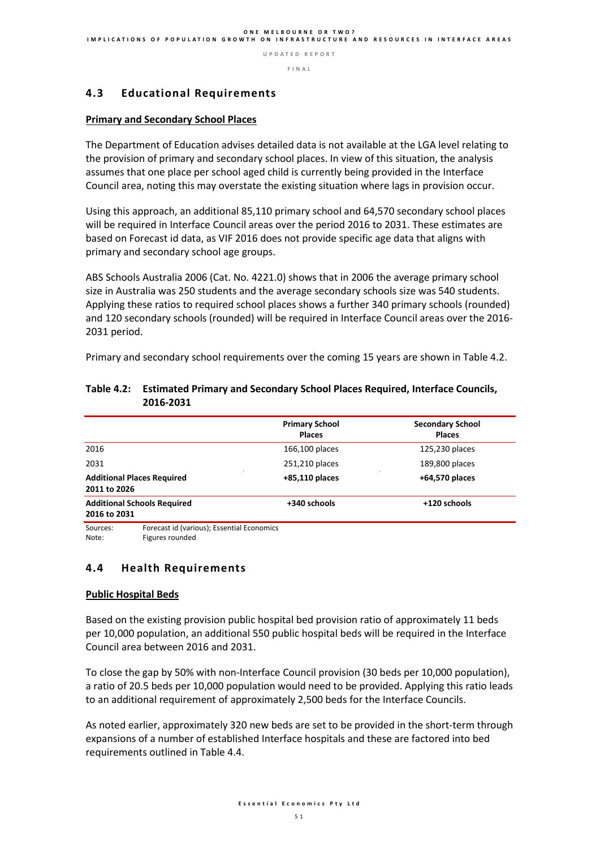**F I N A L** 

#### **4.3 Educational Requirements**

#### **Primary and Secondary School Places**

The Department of Education advises detailed data is not available at the LGA level relating to the provision of primary and secondary school places. In view of this situation, the analysis assumes that one place per school aged child is currently being provided in the Interface Council area, noting this may overstate the existing situation where lags in provision occur.

Using this approach, an additional 85,110 primary school and 64,570 secondary school places will be required in Interface Council areas over the period 2016 to 2031. These estimates are based on Forecast id data, as VIF 2016 does not provide specific age data that aligns with primary and secondary school age groups.

ABS Schools Australia 2006 (Cat. No. 4221.0) shows that in 2006 the average primary school size in Australia was 250 students and the average secondary schools size was 540 students. Applying these ratios to required school places shows a further 340 primary schools (rounded) and 120 secondary schools (rounded) will be required in Interface Council areas over the 2016- 2031 period.

Primary and secondary school requirements over the coming 15 years are shown in Table 4.2.

|                                                    | <b>Primary School</b><br><b>Places</b> | <b>Secondary School</b><br><b>Places</b> |
|----------------------------------------------------|----------------------------------------|------------------------------------------|
| 2016                                               | 166,100 places                         | 125,230 places                           |
| 2031                                               | 251,210 places                         | 189,800 places                           |
| <b>Additional Places Required</b><br>2011 to 2026  | $+85,110$ places                       | +64,570 places                           |
| <b>Additional Schools Required</b><br>2016 to 2031 | +340 schools                           | +120 schools                             |

#### **Table 4.2: Estimated Primary and Secondary School Places Required, Interface Councils, 2016-2031**

Sources: Forecast id (various); Essential Economics Note: Figures rounded

#### **4.4 Health Requirements**

#### **Public Hospital Beds**

Based on the existing provision public hospital bed provision ratio of approximately 11 beds per 10,000 population, an additional 550 public hospital beds will be required in the Interface Council area between 2016 and 2031.

To close the gap by 50% with non-Interface Council provision (30 beds per 10,000 population), a ratio of 20.5 beds per 10,000 population would need to be provided. Applying this ratio leads to an additional requirement of approximately 2,500 beds for the Interface Councils.

As noted earlier, approximately 320 new beds are set to be provided in the short-term through expansions of a number of established Interface hospitals and these are factored into bed requirements outlined in Table 4.4.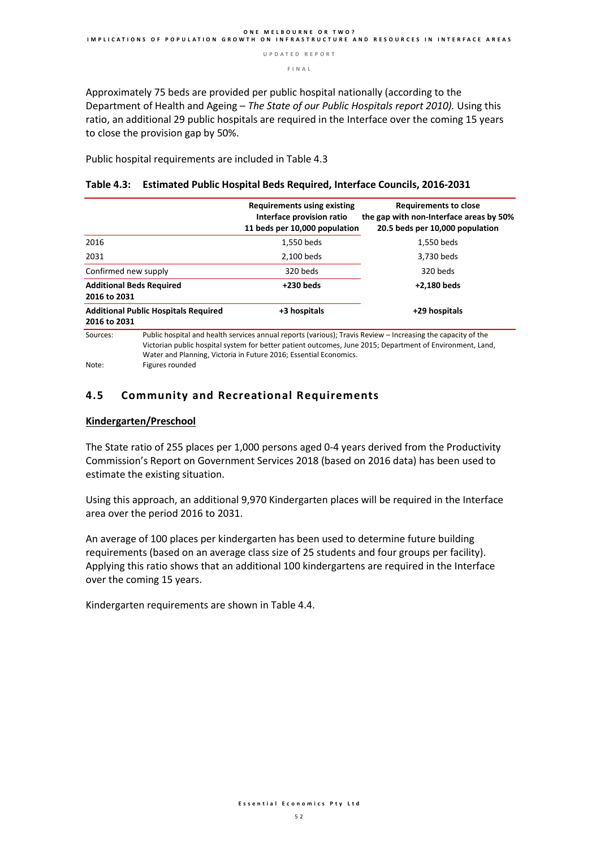**F I N A L** 

Approximately 75 beds are provided per public hospital nationally (according to the Department of Health and Ageing – *The State of our Public Hospitals report 2010).* Using this ratio, an additional 29 public hospitals are required in the Interface over the coming 15 years to close the provision gap by 50%.

Public hospital requirements are included in Table 4.3

|                                                                         |                                             | <b>Requirements using existing</b><br>Interface provision ratio<br>11 beds per 10,000 population | <b>Requirements to close</b><br>the gap with non-Interface areas by 50%<br>20.5 beds per 10,000 population                                                                                                                |
|-------------------------------------------------------------------------|---------------------------------------------|--------------------------------------------------------------------------------------------------|---------------------------------------------------------------------------------------------------------------------------------------------------------------------------------------------------------------------------|
| 2016                                                                    |                                             | 1.550 beds                                                                                       | 1.550 beds                                                                                                                                                                                                                |
| 2031                                                                    |                                             | 2,100 beds                                                                                       | 3,730 beds                                                                                                                                                                                                                |
| Confirmed new supply<br><b>Additional Beds Required</b><br>2016 to 2031 |                                             | 320 beds                                                                                         | 320 beds                                                                                                                                                                                                                  |
|                                                                         |                                             | $+230$ beds                                                                                      | +2,180 beds                                                                                                                                                                                                               |
| 2016 to 2031                                                            | <b>Additional Public Hospitals Required</b> | +3 hospitals                                                                                     | +29 hospitals                                                                                                                                                                                                             |
| Sources:<br>Note:                                                       | Figures rounded                             | Water and Planning, Victoria in Future 2016; Essential Economics.                                | Public hospital and health services annual reports (various); Travis Review – Increasing the capacity of the<br>Victorian public hospital system for better patient outcomes, June 2015; Department of Environment, Land, |

#### **Table 4.3: Estimated Public Hospital Beds Required, Interface Councils, 2016-2031**

#### **4.5 Community and Recreational Requirements**

#### **Kindergarten/Preschool**

The State ratio of 255 places per 1,000 persons aged 0-4 years derived from the Productivity Commission's Report on Government Services 2018 (based on 2016 data) has been used to estimate the existing situation.

Using this approach, an additional 9,970 Kindergarten places will be required in the Interface area over the period 2016 to 2031.

An average of 100 places per kindergarten has been used to determine future building requirements (based on an average class size of 25 students and four groups per facility). Applying this ratio shows that an additional 100 kindergartens are required in the Interface over the coming 15 years.

Kindergarten requirements are shown in Table 4.4.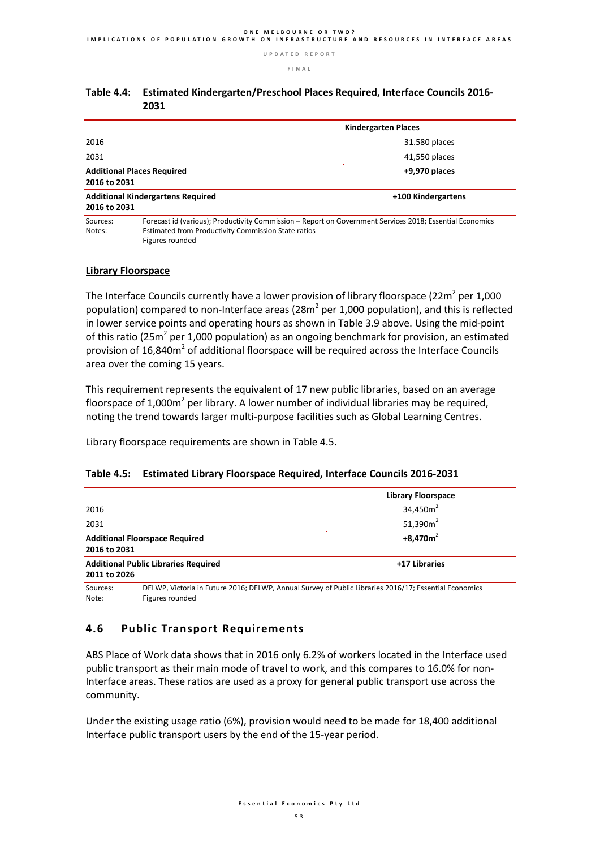**F I N A L** 

|                                                                      |                                                                                                                                                                 | <b>Kindergarten Places</b> |  |  |
|----------------------------------------------------------------------|-----------------------------------------------------------------------------------------------------------------------------------------------------------------|----------------------------|--|--|
| 2016                                                                 |                                                                                                                                                                 | 31.580 places              |  |  |
| 2031                                                                 |                                                                                                                                                                 | 41,550 places              |  |  |
| <b>Additional Places Required</b><br>$+9,970$ places<br>2016 to 2031 |                                                                                                                                                                 |                            |  |  |
| 2016 to 2031                                                         | <b>Additional Kindergartens Required</b>                                                                                                                        | +100 Kindergartens         |  |  |
| Sources:<br>Notes:                                                   | Forecast id (various); Productivity Commission – Report on Government Services 2018; Essential Economics<br>Estimated from Productivity Commission State ratios |                            |  |  |

#### **Table 4.4: Estimated Kindergarten/Preschool Places Required, Interface Councils 2016- 2031**

#### **Library Floorspace**

Figures rounded

The Interface Councils currently have a lower provision of library floorspace (22m<sup>2</sup> per 1,000 population) compared to non-Interface areas (28 $m^2$  per 1,000 population), and this is reflected in lower service points and operating hours as shown in Table 3.9 above. Using the mid-point of this ratio (25m<sup>2</sup> per 1,000 population) as an ongoing benchmark for provision, an estimated provision of 16,840 $m<sup>2</sup>$  of additional floorspace will be required across the Interface Councils area over the coming 15 years.

This requirement represents the equivalent of 17 new public libraries, based on an average floorspace of 1,000 $m^2$  per library. A lower number of individual libraries may be required, noting the trend towards larger multi-purpose facilities such as Global Learning Centres.

Library floorspace requirements are shown in Table 4.5.

#### **Table 4.5: Estimated Library Floorspace Required, Interface Councils 2016-2031**

|                                                             | <b>Library Floorspace</b> |
|-------------------------------------------------------------|---------------------------|
| 2016                                                        | 34,450 $m2$               |
| 2031                                                        | 51,390 $m2$               |
| <b>Additional Floorspace Required</b><br>2016 to 2031       | $+8,470m^2$               |
| <b>Additional Public Libraries Required</b><br>2011 to 2026 | +17 Libraries             |

Sources: DELWP, Victoria in Future 2016; DELWP, Annual Survey of Public Libraries 2016/17; Essential Economics Note: Figures rounded

#### **4.6 Public Transport Requirements**

ABS Place of Work data shows that in 2016 only 6.2% of workers located in the Interface used public transport as their main mode of travel to work, and this compares to 16.0% for non-Interface areas. These ratios are used as a proxy for general public transport use across the community.

Under the existing usage ratio (6%), provision would need to be made for 18,400 additional Interface public transport users by the end of the 15-year period.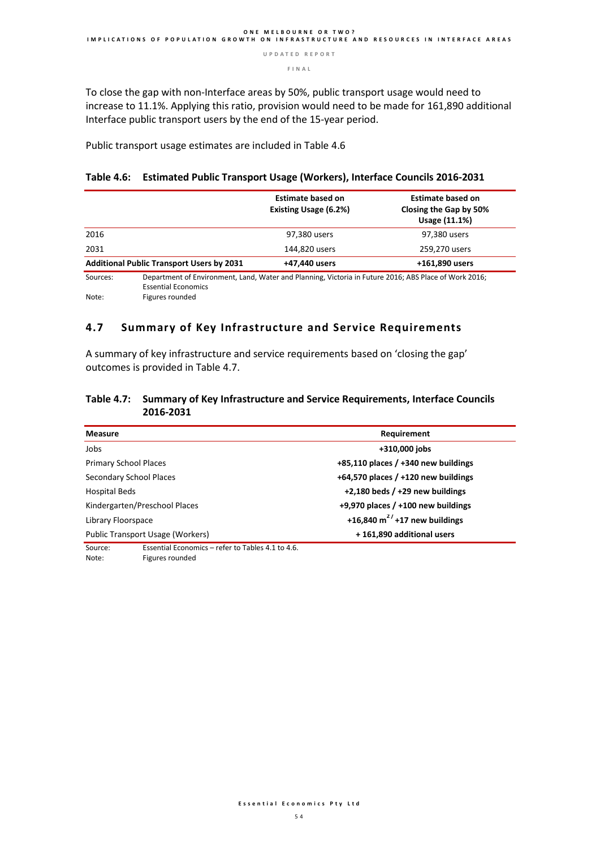**F I N A L** 

To close the gap with non-Interface areas by 50%, public transport usage would need to increase to 11.1%. Applying this ratio, provision would need to be made for 161,890 additional Interface public transport users by the end of the 15-year period.

Public transport usage estimates are included in Table 4.6

#### **Table 4.6: Estimated Public Transport Usage (Workers), Interface Councils 2016-2031**

|          |                                                  | <b>Estimate based on</b><br><b>Existing Usage (6.2%)</b>                                              | <b>Estimate based on</b><br>Closing the Gap by 50%<br>Usage (11.1%) |
|----------|--------------------------------------------------|-------------------------------------------------------------------------------------------------------|---------------------------------------------------------------------|
| 2016     |                                                  | 97,380 users                                                                                          | 97,380 users                                                        |
| 2031     |                                                  | 144,820 users                                                                                         | 259,270 users                                                       |
|          | <b>Additional Public Transport Users by 2031</b> | +47,440 users                                                                                         | +161,890 users                                                      |
| Sources: | <b>Essential Economics</b>                       | Department of Environment, Land, Water and Planning, Victoria in Future 2016; ABS Place of Work 2016; |                                                                     |
| Note:    | Figures rounded                                  |                                                                                                       |                                                                     |

#### **4.7 Summary of Key Infrastructure and Service Requirements**

A summary of key infrastructure and service requirements based on 'closing the gap' outcomes is provided in Table 4.7.

#### **Table 4.7: Summary of Key Infrastructure and Service Requirements, Interface Councils 2016-2031**

| <b>Measure</b>                                               | Requirement                             |  |  |
|--------------------------------------------------------------|-----------------------------------------|--|--|
| Jobs                                                         | +310,000 jobs                           |  |  |
| <b>Primary School Places</b>                                 | $+85,110$ places / $+340$ new buildings |  |  |
| Secondary School Places                                      | $+64,570$ places / $+120$ new buildings |  |  |
| Hospital Beds                                                | $+2,180$ beds / $+29$ new buildings     |  |  |
| Kindergarten/Preschool Places                                | +9,970 places $/$ +100 new buildings    |  |  |
| Library Floorspace                                           | +16,840 $m^2$ / +17 new buildings       |  |  |
| Public Transport Usage (Workers)                             | +161,890 additional users               |  |  |
| Essential Economics – refer to Tables 4.1 to 4.6.<br>Source: |                                         |  |  |

Note: Figures rounded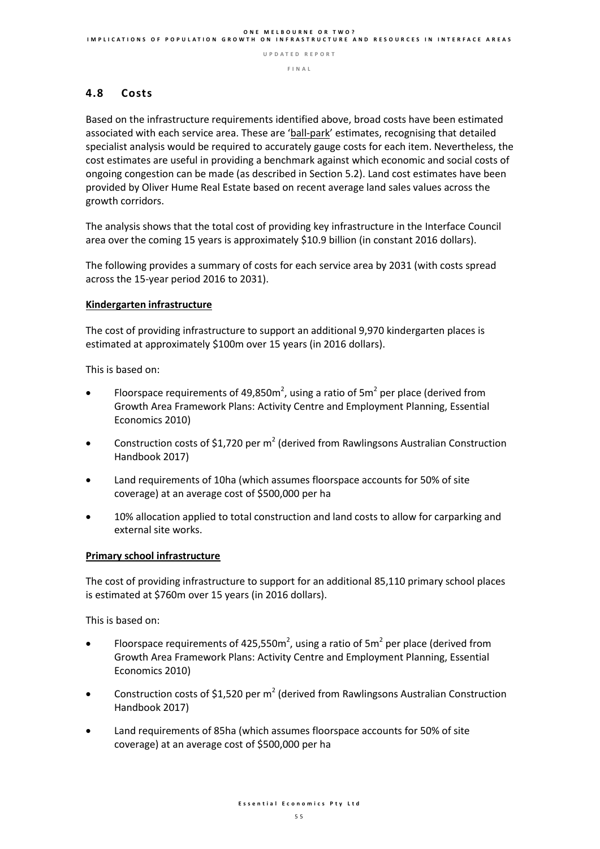#### **4.8 Costs**

Based on the infrastructure requirements identified above, broad costs have been estimated associated with each service area. These are 'ball-park' estimates, recognising that detailed specialist analysis would be required to accurately gauge costs for each item. Nevertheless, the cost estimates are useful in providing a benchmark against which economic and social costs of ongoing congestion can be made (as described in Section 5.2). Land cost estimates have been provided by Oliver Hume Real Estate based on recent average land sales values across the growth corridors.

The analysis shows that the total cost of providing key infrastructure in the Interface Council area over the coming 15 years is approximately \$10.9 billion (in constant 2016 dollars).

The following provides a summary of costs for each service area by 2031 (with costs spread across the 15-year period 2016 to 2031).

#### **Kindergarten infrastructure**

The cost of providing infrastructure to support an additional 9,970 kindergarten places is estimated at approximately \$100m over 15 years (in 2016 dollars).

This is based on:

- Floorspace requirements of 49,850 $m^2$ , using a ratio of 5 $m^2$  per place (derived from Growth Area Framework Plans: Activity Centre and Employment Planning, Essential Economics 2010)
- Construction costs of \$1,720 per  $m^2$  (derived from Rawlingsons Australian Construction Handbook 2017)
- Land requirements of 10ha (which assumes floorspace accounts for 50% of site coverage) at an average cost of \$500,000 per ha
- 10% allocation applied to total construction and land costs to allow for carparking and external site works.

#### **Primary school infrastructure**

The cost of providing infrastructure to support for an additional 85,110 primary school places is estimated at \$760m over 15 years (in 2016 dollars).

This is based on:

- Floorspace requirements of 425,550 $m^2$ , using a ratio of 5 $m^2$  per place (derived from Growth Area Framework Plans: Activity Centre and Employment Planning, Essential Economics 2010)
- Construction costs of \$1,520 per  $m^2$  (derived from Rawlingsons Australian Construction Handbook 2017)
- Land requirements of 85ha (which assumes floorspace accounts for 50% of site coverage) at an average cost of \$500,000 per ha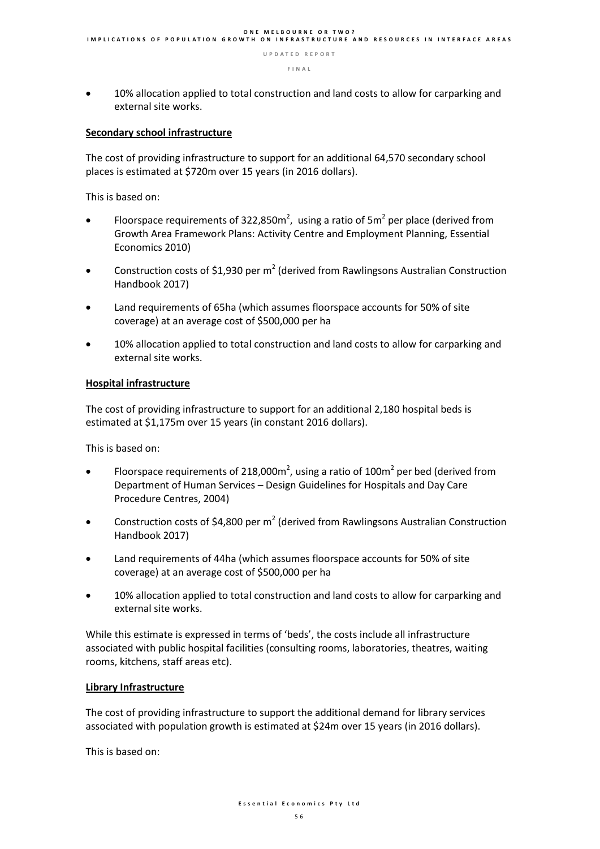10% allocation applied to total construction and land costs to allow for carparking and external site works.

#### **Secondary school infrastructure**

The cost of providing infrastructure to support for an additional 64,570 secondary school places is estimated at \$720m over 15 years (in 2016 dollars).

This is based on:

- Floorspace requirements of 322,850 $m^2$ , using a ratio of 5 $m^2$  per place (derived from Growth Area Framework Plans: Activity Centre and Employment Planning, Essential Economics 2010)
- Construction costs of \$1,930 per  $m^2$  (derived from Rawlingsons Australian Construction Handbook 2017)
- Land requirements of 65ha (which assumes floorspace accounts for 50% of site coverage) at an average cost of \$500,000 per ha
- 10% allocation applied to total construction and land costs to allow for carparking and external site works.

#### **Hospital infrastructure**

The cost of providing infrastructure to support for an additional 2,180 hospital beds is estimated at \$1,175m over 15 years (in constant 2016 dollars).

This is based on:

- Floorspace requirements of 218,000 $m^2$ , using a ratio of 100 $m^2$  per bed (derived from Department of Human Services – Design Guidelines for Hospitals and Day Care Procedure Centres, 2004)
- Construction costs of \$4,800 per  $m^2$  (derived from Rawlingsons Australian Construction Handbook 2017)
- Land requirements of 44ha (which assumes floorspace accounts for 50% of site coverage) at an average cost of \$500,000 per ha
- 10% allocation applied to total construction and land costs to allow for carparking and external site works.

While this estimate is expressed in terms of 'beds', the costs include all infrastructure associated with public hospital facilities (consulting rooms, laboratories, theatres, waiting rooms, kitchens, staff areas etc).

#### **Library Infrastructure**

The cost of providing infrastructure to support the additional demand for library services associated with population growth is estimated at \$24m over 15 years (in 2016 dollars).

This is based on: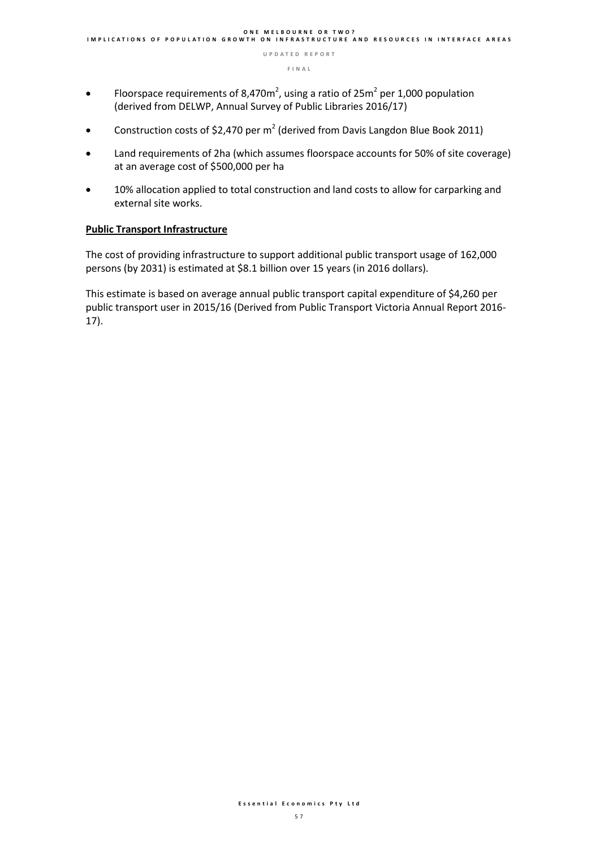- Floorspace requirements of 8,470 $m^2$ , using a ratio of 25 $m^2$  per 1,000 population (derived from DELWP, Annual Survey of Public Libraries 2016/17)
- Construction costs of \$2,470 per  $m^2$  (derived from Davis Langdon Blue Book 2011)
- Land requirements of 2ha (which assumes floorspace accounts for 50% of site coverage) at an average cost of \$500,000 per ha
- 10% allocation applied to total construction and land costs to allow for carparking and external site works.

#### **Public Transport Infrastructure**

The cost of providing infrastructure to support additional public transport usage of 162,000 persons (by 2031) is estimated at \$8.1 billion over 15 years (in 2016 dollars).

This estimate is based on average annual public transport capital expenditure of \$4,260 per public transport user in 2015/16 (Derived from Public Transport Victoria Annual Report 2016- 17).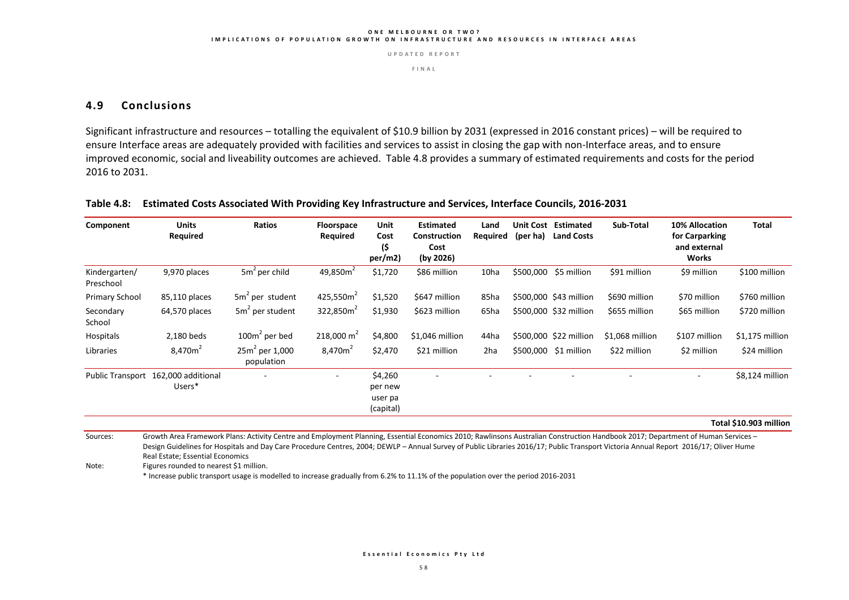#### **O N E M E L B O U R N E O R T W O ? I M P L I C A T I O N S O F P O P U L A T I O N G R O W T H O N I N F R A S T R U C T U R E A N D R E S O U R C E S I N I N T E R F A C E A R E A S**

**U P D A T E D R E P O R T**

**F I N A L** 

#### **4.9 Conclusions**

Significant infrastructure and resources – totalling the equivalent of \$10.9 billion by 2031 (expressed in 2016 constant prices) – will be required to ensure Interface areas are adequately provided with facilities and services to assist in closing the gap with non-Interface areas, and to ensure improved economic, social and liveability outcomes are achieved. Table 4.8 provides a summary of estimated requirements and costs for the period 2016 to 2031.

#### **Table 4.8: Estimated Costs Associated With Providing Key Infrastructure and Services, Interface Councils, 2016-2031**

| Component                  | <b>Units</b><br>Required                      | Ratios                          | <b>Floorspace</b><br>Required | Unit<br>Cost<br>(\$<br>per/m2)             | <b>Estimated</b><br>Construction<br>Cost<br>(by 2026) | Land<br>Reguired | (per ha)  | <b>Unit Cost Estimated</b><br><b>Land Costs</b> | Sub-Total       | 10% Allocation<br>for Carparking<br>and external<br>Works | Total            |
|----------------------------|-----------------------------------------------|---------------------------------|-------------------------------|--------------------------------------------|-------------------------------------------------------|------------------|-----------|-------------------------------------------------|-----------------|-----------------------------------------------------------|------------------|
| Kindergarten/<br>Preschool | 9,970 places                                  | $5m2$ per child                 | 49,850 $m2$                   | \$1,720                                    | \$86 million                                          | 10ha             | \$500,000 | \$5 million                                     | \$91 million    | \$9 million                                               | \$100 million    |
| Primary School             | 85,110 places                                 | 5m <sup>2</sup> per student     | 425,550 $m2$                  | \$1,520                                    | \$647 million                                         | 85ha             |           | \$500,000 \$43 million                          | \$690 million   | \$70 million                                              | \$760 million    |
| Secondary<br>School        | 64,570 places                                 | $5m2$ per student               | 322,850 $m2$                  | \$1,930                                    | \$623 million                                         | 65ha             |           | \$500,000 \$32 million                          | \$655 million   | \$65 million                                              | \$720 million    |
| Hospitals                  | 2,180 beds                                    | $100m2$ per bed                 | $218,000 \text{ m}^2$         | \$4,800                                    | \$1,046 million                                       | 44ha             |           | \$500,000 \$22 million                          | \$1,068 million | \$107 million                                             | $$1,175$ million |
| Libraries                  | 8,470m <sup>2</sup>                           | $25m^2$ per 1,000<br>population | 8,470m <sup>2</sup>           | \$2,470                                    | \$21 million                                          | 2ha              |           | \$500,000 \$1 million                           | \$22 million    | \$2 million                                               | \$24 million     |
|                            | Public Transport 162,000 additional<br>Users* | $\overline{\phantom{a}}$        | ۰                             | \$4,260<br>per new<br>user pa<br>(capital) | $\overline{\phantom{a}}$                              |                  |           |                                                 |                 |                                                           | \$8,124 million  |

**Total \$10.903 million** 

Sources: Growth Area Framework Plans: Activity Centre and Employment Planning, Essential Economics 2010; Rawlinsons Australian Construction Handbook 2017; Department of Human Services -Design Guidelines for Hospitals and Day Care Procedure Centres, 2004; DEWLP - Annual Survey of Public Libraries 2016/17; Public Transport Victoria Annual Report 2016/17; Oliver Hume Real Estate; Essential Economics

Note: Figures rounded to nearest \$1 million.

\* Increase public transport usage is modelled to increase gradually from 6.2% to 11.1% of the population over the period 2016-2031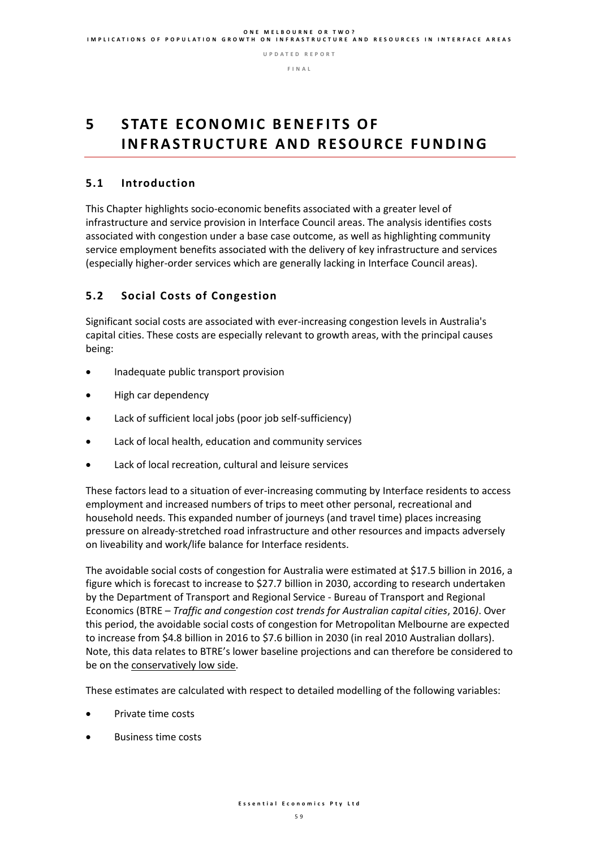**F I N A L** 

# **5** STATE ECONOMIC BENEFITS OF **I N F R A S T R U C T U R E A N D R E S O U R C E F U N D I N G**

#### **5.1 Introduction**

This Chapter highlights socio-economic benefits associated with a greater level of infrastructure and service provision in Interface Council areas. The analysis identifies costs associated with congestion under a base case outcome, as well as highlighting community service employment benefits associated with the delivery of key infrastructure and services (especially higher-order services which are generally lacking in Interface Council areas).

### **5.2 Social Costs of Congestion**

Significant social costs are associated with ever-increasing congestion levels in Australia's capital cities. These costs are especially relevant to growth areas, with the principal causes being:

- Inadequate public transport provision
- High car dependency
- Lack of sufficient local jobs (poor job self-sufficiency)
- Lack of local health, education and community services
- Lack of local recreation, cultural and leisure services

These factors lead to a situation of ever-increasing commuting by Interface residents to access employment and increased numbers of trips to meet other personal, recreational and household needs. This expanded number of journeys (and travel time) places increasing pressure on already-stretched road infrastructure and other resources and impacts adversely on liveability and work/life balance for Interface residents.

The avoidable social costs of congestion for Australia were estimated at \$17.5 billion in 2016, a figure which is forecast to increase to \$27.7 billion in 2030, according to research undertaken by the Department of Transport and Regional Service - Bureau of Transport and Regional Economics (BTRE – *Traffic and congestion cost trends for Australian capital cities*, 2016*)*. Over this period, the avoidable social costs of congestion for Metropolitan Melbourne are expected to increase from \$4.8 billion in 2016 to \$7.6 billion in 2030 (in real 2010 Australian dollars). Note, this data relates to BTRE's lower baseline projections and can therefore be considered to be on the conservatively low side.

These estimates are calculated with respect to detailed modelling of the following variables:

- Private time costs
- Business time costs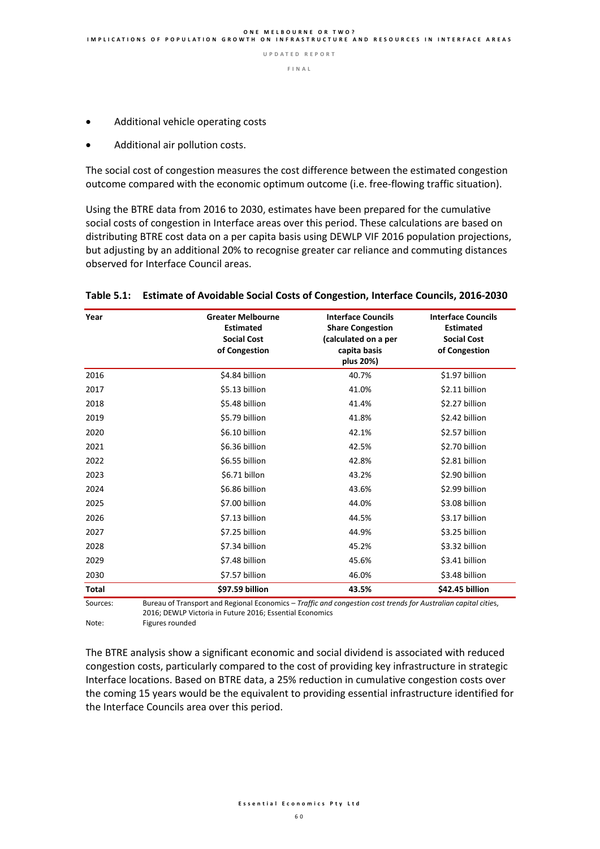- Additional vehicle operating costs
- Additional air pollution costs.

The social cost of congestion measures the cost difference between the estimated congestion outcome compared with the economic optimum outcome (i.e. free-flowing traffic situation).

Using the BTRE data from 2016 to 2030, estimates have been prepared for the cumulative social costs of congestion in Interface areas over this period. These calculations are based on distributing BTRE cost data on a per capita basis using DEWLP VIF 2016 population projections, but adjusting by an additional 20% to recognise greater car reliance and commuting distances observed for Interface Council areas.

| Year         | <b>Greater Melbourne</b><br><b>Estimated</b><br><b>Social Cost</b><br>of Congestion | <b>Interface Councils</b><br><b>Share Congestion</b><br>(calculated on a per<br>capita basis<br>plus 20%) | <b>Interface Councils</b><br><b>Estimated</b><br><b>Social Cost</b><br>of Congestion |
|--------------|-------------------------------------------------------------------------------------|-----------------------------------------------------------------------------------------------------------|--------------------------------------------------------------------------------------|
| 2016         | \$4.84 billion                                                                      | 40.7%                                                                                                     | \$1.97 billion                                                                       |
| 2017         | \$5.13 billion                                                                      | 41.0%                                                                                                     | \$2.11 billion                                                                       |
| 2018         | \$5.48 billion                                                                      | 41.4%                                                                                                     | \$2.27 billion                                                                       |
| 2019         | \$5.79 billion                                                                      | 41.8%                                                                                                     | \$2.42 billion                                                                       |
| 2020         | \$6.10 billion                                                                      | 42.1%                                                                                                     | \$2.57 billion                                                                       |
| 2021         | \$6.36 billion                                                                      | 42.5%                                                                                                     | \$2.70 billion                                                                       |
| 2022         | \$6.55 billion                                                                      | 42.8%                                                                                                     | \$2.81 billion                                                                       |
| 2023         | \$6.71 billon                                                                       | 43.2%                                                                                                     | \$2.90 billion                                                                       |
| 2024         | \$6.86 billion                                                                      | 43.6%                                                                                                     | \$2.99 billion                                                                       |
| 2025         | \$7.00 billion                                                                      | 44.0%                                                                                                     | \$3.08 billion                                                                       |
| 2026         | \$7.13 billion                                                                      | 44.5%                                                                                                     | \$3.17 billion                                                                       |
| 2027         | \$7.25 billion                                                                      | 44.9%                                                                                                     | \$3.25 billion                                                                       |
| 2028         | \$7.34 billion                                                                      | 45.2%                                                                                                     | \$3.32 billion                                                                       |
| 2029         | \$7.48 billion                                                                      | 45.6%                                                                                                     | \$3.41 billion                                                                       |
| 2030         | \$7.57 billion                                                                      | 46.0%                                                                                                     | \$3.48 billion                                                                       |
| <b>Total</b> | \$97.59 billion                                                                     | 43.5%                                                                                                     | \$42.45 billion                                                                      |

#### **Table 5.1: Estimate of Avoidable Social Costs of Congestion, Interface Councils, 2016-2030**

Sources: Bureau of Transport and Regional Economics – *Traffic and congestion cost trends for Australian capital citie*s, 2016; DEWLP Victoria in Future 2016; Essential Economics Note: Figures rounded

The BTRE analysis show a significant economic and social dividend is associated with reduced congestion costs, particularly compared to the cost of providing key infrastructure in strategic Interface locations. Based on BTRE data, a 25% reduction in cumulative congestion costs over the coming 15 years would be the equivalent to providing essential infrastructure identified for the Interface Councils area over this period.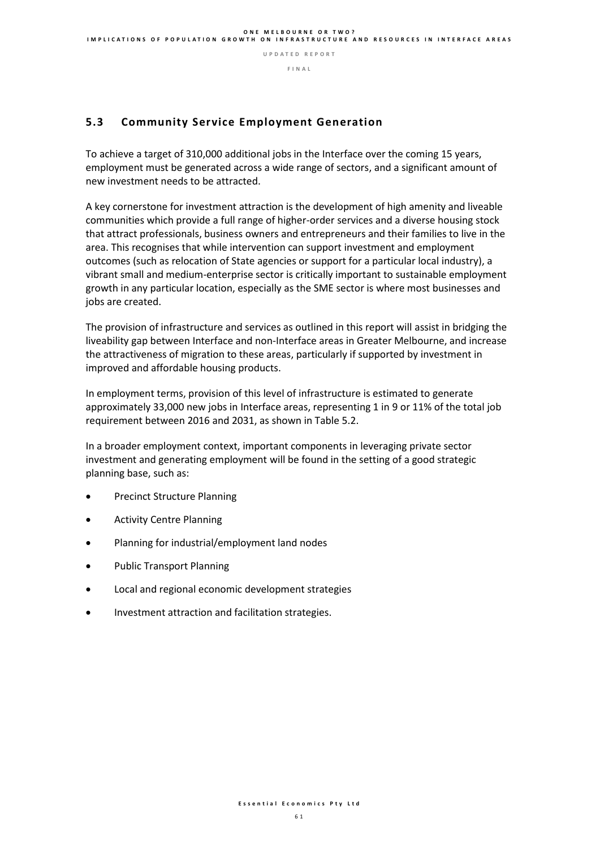#### **F I N A L**

### **5.3 Community Service Employment Generation**

To achieve a target of 310,000 additional jobs in the Interface over the coming 15 years, employment must be generated across a wide range of sectors, and a significant amount of new investment needs to be attracted.

A key cornerstone for investment attraction is the development of high amenity and liveable communities which provide a full range of higher-order services and a diverse housing stock that attract professionals, business owners and entrepreneurs and their families to live in the area. This recognises that while intervention can support investment and employment outcomes (such as relocation of State agencies or support for a particular local industry), a vibrant small and medium-enterprise sector is critically important to sustainable employment growth in any particular location, especially as the SME sector is where most businesses and jobs are created.

The provision of infrastructure and services as outlined in this report will assist in bridging the liveability gap between Interface and non-Interface areas in Greater Melbourne, and increase the attractiveness of migration to these areas, particularly if supported by investment in improved and affordable housing products.

In employment terms, provision of this level of infrastructure is estimated to generate approximately 33,000 new jobs in Interface areas, representing 1 in 9 or 11% of the total job requirement between 2016 and 2031, as shown in Table 5.2.

In a broader employment context, important components in leveraging private sector investment and generating employment will be found in the setting of a good strategic planning base, such as:

- Precinct Structure Planning
- Activity Centre Planning
- Planning for industrial/employment land nodes
- Public Transport Planning
- Local and regional economic development strategies
- Investment attraction and facilitation strategies.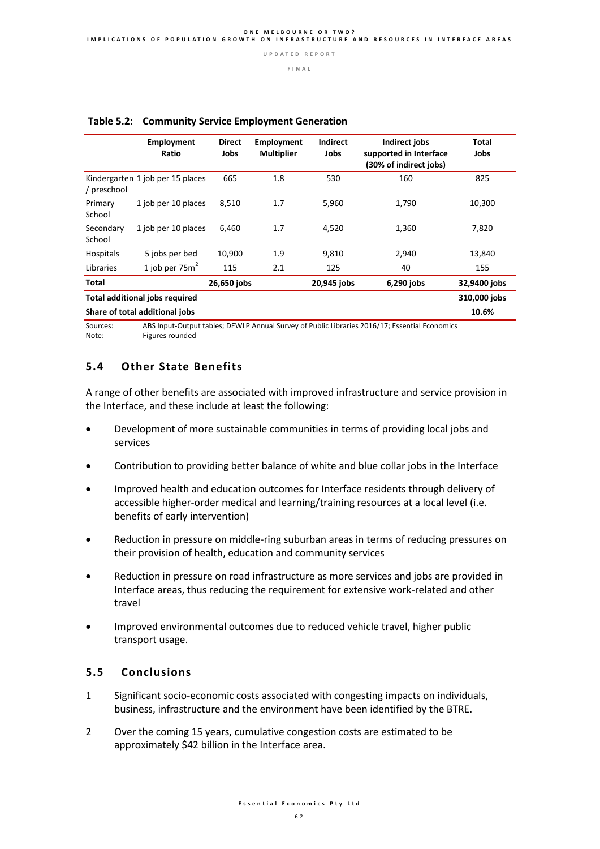|                                       | <b>Employment</b><br>Ratio       | <b>Direct</b><br>Jobs | <b>Employment</b><br><b>Multiplier</b> | <b>Indirect</b><br>Jobs | <b>Indirect jobs</b><br>supported in Interface<br>(30% of indirect jobs) | Total<br>Jobs |
|---------------------------------------|----------------------------------|-----------------------|----------------------------------------|-------------------------|--------------------------------------------------------------------------|---------------|
| / preschool                           | Kindergarten 1 job per 15 places | 665                   | 1.8                                    | 530                     | 160                                                                      | 825           |
| Primary<br>School                     | 1 job per 10 places              | 8,510                 | 1.7                                    | 5,960                   | 1,790                                                                    | 10,300        |
| Secondary<br>School                   | 1 job per 10 places              | 6,460                 | 1.7                                    | 4,520                   | 1,360                                                                    | 7,820         |
| Hospitals                             | 5 jobs per bed                   | 10,900                | 1.9                                    | 9,810                   | 2,940                                                                    | 13,840        |
| Libraries                             | 1 job per $75m^2$                | 115                   | 2.1                                    | 125                     | 40                                                                       | 155           |
| <b>Total</b>                          |                                  | 26,650 jobs           |                                        | 20,945 jobs             | 6,290 jobs                                                               | 32,9400 jobs  |
| <b>Total additional jobs required</b> |                                  | 310,000 jobs          |                                        |                         |                                                                          |               |
|                                       | Share of total additional jobs   |                       |                                        |                         |                                                                          | 10.6%         |

#### **Table 5.2: Community Service Employment Generation**

Sources: ABS Input-Output tables; DEWLP Annual Survey of Public Libraries 2016/17; Essential Economics Note: Figures rounded

#### **5.4 Other State Benefits**

A range of other benefits are associated with improved infrastructure and service provision in the Interface, and these include at least the following:

- Development of more sustainable communities in terms of providing local jobs and services
- Contribution to providing better balance of white and blue collar jobs in the Interface
- Improved health and education outcomes for Interface residents through delivery of accessible higher-order medical and learning/training resources at a local level (i.e. benefits of early intervention)
- Reduction in pressure on middle-ring suburban areas in terms of reducing pressures on their provision of health, education and community services
- Reduction in pressure on road infrastructure as more services and jobs are provided in Interface areas, thus reducing the requirement for extensive work-related and other travel
- Improved environmental outcomes due to reduced vehicle travel, higher public transport usage.

#### **5.5 Conclusions**

- 1 Significant socio-economic costs associated with congesting impacts on individuals, business, infrastructure and the environment have been identified by the BTRE.
- 2 Over the coming 15 years, cumulative congestion costs are estimated to be approximately \$42 billion in the Interface area.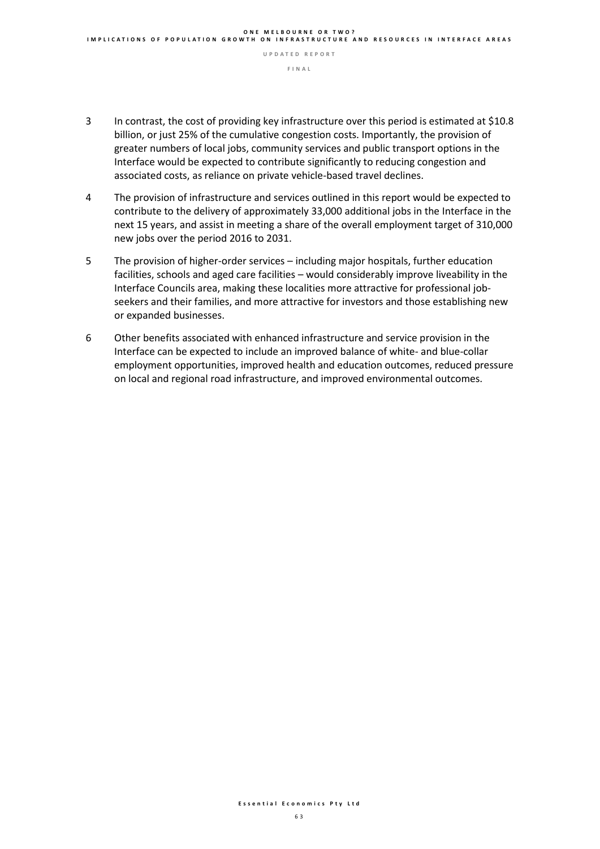- 3 In contrast, the cost of providing key infrastructure over this period is estimated at \$10.8 billion, or just 25% of the cumulative congestion costs. Importantly, the provision of greater numbers of local jobs, community services and public transport options in the Interface would be expected to contribute significantly to reducing congestion and associated costs, as reliance on private vehicle-based travel declines.
- 4 The provision of infrastructure and services outlined in this report would be expected to contribute to the delivery of approximately 33,000 additional jobs in the Interface in the next 15 years, and assist in meeting a share of the overall employment target of 310,000 new jobs over the period 2016 to 2031.
- 5 The provision of higher-order services including major hospitals, further education facilities, schools and aged care facilities – would considerably improve liveability in the Interface Councils area, making these localities more attractive for professional jobseekers and their families, and more attractive for investors and those establishing new or expanded businesses.
- 6 Other benefits associated with enhanced infrastructure and service provision in the Interface can be expected to include an improved balance of white- and blue-collar employment opportunities, improved health and education outcomes, reduced pressure on local and regional road infrastructure, and improved environmental outcomes.